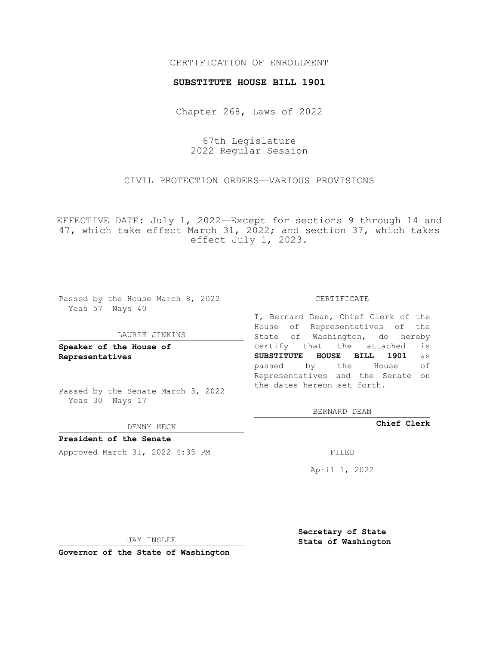### CERTIFICATION OF ENROLLMENT

#### **SUBSTITUTE HOUSE BILL 1901**

Chapter 268, Laws of 2022

67th Legislature 2022 Regular Session

CIVIL PROTECTION ORDERS—VARIOUS PROVISIONS

EFFECTIVE DATE: July 1, 2022—Except for sections 9 through 14 and 47, which take effect March 31, 2022; and section 37, which takes effect July 1, 2023.

Passed by the House March 8, 2022 Yeas 57 Nays 40

#### LAURIE JINKINS

**Speaker of the House of Representatives**

Passed by the Senate March 3, 2022 Yeas 30 Nays 17

DENNY HECK

**President of the Senate** Approved March 31, 2022 4:35 PM FILED

CERTIFICATE

I, Bernard Dean, Chief Clerk of the House of Representatives of the State of Washington, do hereby certify that the attached is **SUBSTITUTE HOUSE BILL 1901** as passed by the House of Representatives and the Senate on the dates hereon set forth.

BERNARD DEAN

**Chief Clerk**

April 1, 2022

JAY INSLEE

**Governor of the State of Washington**

**Secretary of State State of Washington**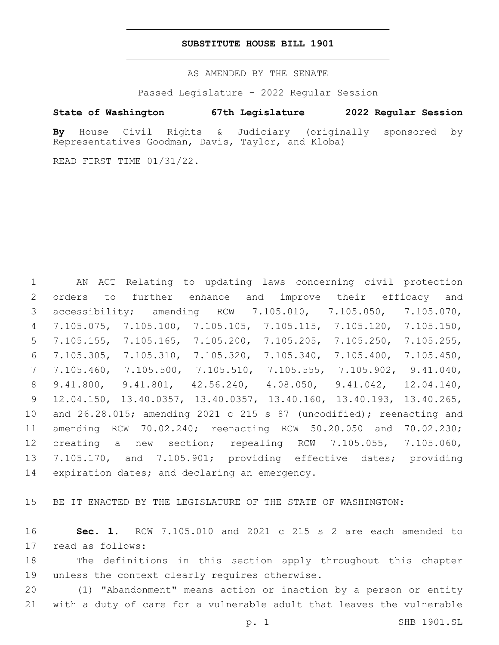#### **SUBSTITUTE HOUSE BILL 1901**

AS AMENDED BY THE SENATE

Passed Legislature - 2022 Regular Session

## **State of Washington 67th Legislature 2022 Regular Session**

**By** House Civil Rights & Judiciary (originally sponsored by Representatives Goodman, Davis, Taylor, and Kloba)

READ FIRST TIME 01/31/22.

 AN ACT Relating to updating laws concerning civil protection orders to further enhance and improve their efficacy and accessibility; amending RCW 7.105.010, 7.105.050, 7.105.070, 7.105.075, 7.105.100, 7.105.105, 7.105.115, 7.105.120, 7.105.150, 7.105.155, 7.105.165, 7.105.200, 7.105.205, 7.105.250, 7.105.255, 7.105.305, 7.105.310, 7.105.320, 7.105.340, 7.105.400, 7.105.450, 7.105.460, 7.105.500, 7.105.510, 7.105.555, 7.105.902, 9.41.040, 9.41.800, 9.41.801, 42.56.240, 4.08.050, 9.41.042, 12.04.140, 12.04.150, 13.40.0357, 13.40.0357, 13.40.160, 13.40.193, 13.40.265, and 26.28.015; amending 2021 c 215 s 87 (uncodified); reenacting and amending RCW 70.02.240; reenacting RCW 50.20.050 and 70.02.230; creating a new section; repealing RCW 7.105.055, 7.105.060, 7.105.170, and 7.105.901; providing effective dates; providing 14 expiration dates; and declaring an emergency.

BE IT ENACTED BY THE LEGISLATURE OF THE STATE OF WASHINGTON:

 **Sec. 1.** RCW 7.105.010 and 2021 c 215 s 2 are each amended to 17 read as follows:

 The definitions in this section apply throughout this chapter 19 unless the context clearly requires otherwise.

 (1) "Abandonment" means action or inaction by a person or entity with a duty of care for a vulnerable adult that leaves the vulnerable

p. 1 SHB 1901.SL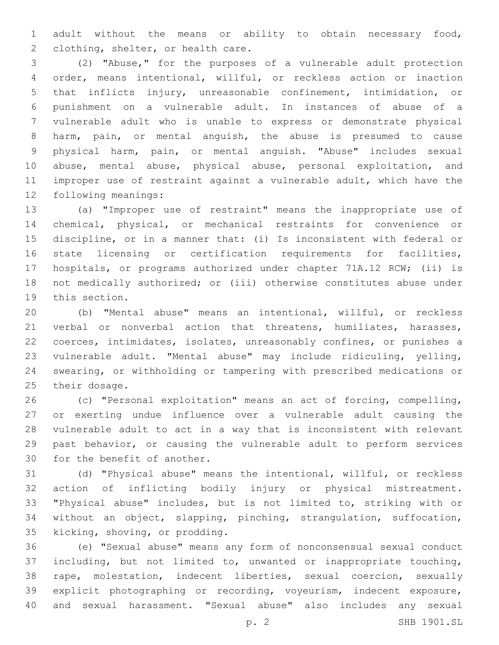adult without the means or ability to obtain necessary food, 2 clothing, shelter, or health care.

 (2) "Abuse," for the purposes of a vulnerable adult protection order, means intentional, willful, or reckless action or inaction that inflicts injury, unreasonable confinement, intimidation, or punishment on a vulnerable adult. In instances of abuse of a vulnerable adult who is unable to express or demonstrate physical harm, pain, or mental anguish, the abuse is presumed to cause physical harm, pain, or mental anguish. "Abuse" includes sexual abuse, mental abuse, physical abuse, personal exploitation, and improper use of restraint against a vulnerable adult, which have the 12 following meanings:

 (a) "Improper use of restraint" means the inappropriate use of chemical, physical, or mechanical restraints for convenience or discipline, or in a manner that: (i) Is inconsistent with federal or state licensing or certification requirements for facilities, hospitals, or programs authorized under chapter 71A.12 RCW; (ii) is not medically authorized; or (iii) otherwise constitutes abuse under 19 this section.

 (b) "Mental abuse" means an intentional, willful, or reckless 21 verbal or nonverbal action that threatens, humiliates, harasses, coerces, intimidates, isolates, unreasonably confines, or punishes a vulnerable adult. "Mental abuse" may include ridiculing, yelling, swearing, or withholding or tampering with prescribed medications or 25 their dosage.

 (c) "Personal exploitation" means an act of forcing, compelling, or exerting undue influence over a vulnerable adult causing the vulnerable adult to act in a way that is inconsistent with relevant past behavior, or causing the vulnerable adult to perform services 30 for the benefit of another.

 (d) "Physical abuse" means the intentional, willful, or reckless action of inflicting bodily injury or physical mistreatment. "Physical abuse" includes, but is not limited to, striking with or without an object, slapping, pinching, strangulation, suffocation, 35 kicking, shoving, or prodding.

 (e) "Sexual abuse" means any form of nonconsensual sexual conduct including, but not limited to, unwanted or inappropriate touching, rape, molestation, indecent liberties, sexual coercion, sexually explicit photographing or recording, voyeurism, indecent exposure, and sexual harassment. "Sexual abuse" also includes any sexual

p. 2 SHB 1901.SL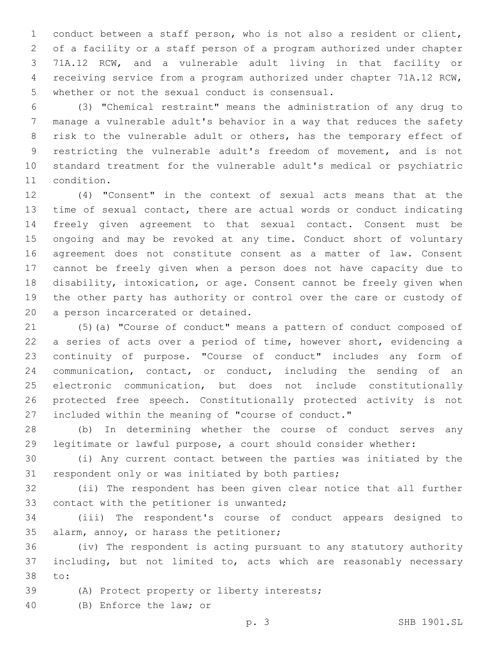conduct between a staff person, who is not also a resident or client, of a facility or a staff person of a program authorized under chapter 71A.12 RCW, and a vulnerable adult living in that facility or receiving service from a program authorized under chapter 71A.12 RCW, 5 whether or not the sexual conduct is consensual.

 (3) "Chemical restraint" means the administration of any drug to manage a vulnerable adult's behavior in a way that reduces the safety risk to the vulnerable adult or others, has the temporary effect of restricting the vulnerable adult's freedom of movement, and is not standard treatment for the vulnerable adult's medical or psychiatric 11 condition.

 (4) "Consent" in the context of sexual acts means that at the time of sexual contact, there are actual words or conduct indicating freely given agreement to that sexual contact. Consent must be ongoing and may be revoked at any time. Conduct short of voluntary agreement does not constitute consent as a matter of law. Consent cannot be freely given when a person does not have capacity due to disability, intoxication, or age. Consent cannot be freely given when the other party has authority or control over the care or custody of 20 a person incarcerated or detained.

 (5)(a) "Course of conduct" means a pattern of conduct composed of a series of acts over a period of time, however short, evidencing a continuity of purpose. "Course of conduct" includes any form of communication, contact, or conduct, including the sending of an electronic communication, but does not include constitutionally protected free speech. Constitutionally protected activity is not included within the meaning of "course of conduct."

 (b) In determining whether the course of conduct serves any legitimate or lawful purpose, a court should consider whether:

 (i) Any current contact between the parties was initiated by the 31 respondent only or was initiated by both parties;

 (ii) The respondent has been given clear notice that all further 33 contact with the petitioner is unwanted;

 (iii) The respondent's course of conduct appears designed to 35 alarm, annoy, or harass the petitioner;

 (iv) The respondent is acting pursuant to any statutory authority including, but not limited to, acts which are reasonably necessary 38 to:

- (A) Protect property or liberty interests;
- 40 (B) Enforce the law; or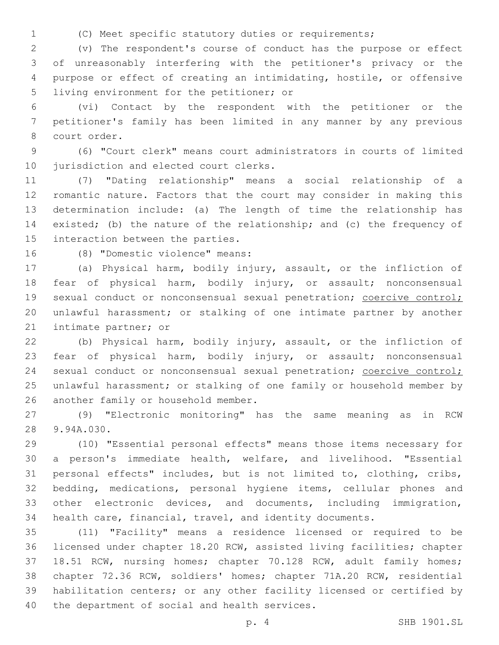- 
- (C) Meet specific statutory duties or requirements;

 (v) The respondent's course of conduct has the purpose or effect of unreasonably interfering with the petitioner's privacy or the purpose or effect of creating an intimidating, hostile, or offensive 5 living environment for the petitioner; or

 (vi) Contact by the respondent with the petitioner or the petitioner's family has been limited in any manner by any previous 8 court order.

 (6) "Court clerk" means court administrators in courts of limited 10 jurisdiction and elected court clerks.

 (7) "Dating relationship" means a social relationship of a romantic nature. Factors that the court may consider in making this determination include: (a) The length of time the relationship has existed; (b) the nature of the relationship; and (c) the frequency of 15 interaction between the parties.

16 (8) "Domestic violence" means:

 (a) Physical harm, bodily injury, assault, or the infliction of fear of physical harm, bodily injury, or assault; nonconsensual 19 sexual conduct or nonconsensual sexual penetration; coercive control; unlawful harassment; or stalking of one intimate partner by another 21 intimate partner; or

 (b) Physical harm, bodily injury, assault, or the infliction of fear of physical harm, bodily injury, or assault; nonconsensual 24 sexual conduct or nonconsensual sexual penetration; coercive control; unlawful harassment; or stalking of one family or household member by 26 another family or household member.

 (9) "Electronic monitoring" has the same meaning as in RCW 28 9.94A.030.

 (10) "Essential personal effects" means those items necessary for a person's immediate health, welfare, and livelihood. "Essential personal effects" includes, but is not limited to, clothing, cribs, bedding, medications, personal hygiene items, cellular phones and other electronic devices, and documents, including immigration, health care, financial, travel, and identity documents.

 (11) "Facility" means a residence licensed or required to be licensed under chapter 18.20 RCW, assisted living facilities; chapter 18.51 RCW, nursing homes; chapter 70.128 RCW, adult family homes; chapter 72.36 RCW, soldiers' homes; chapter 71A.20 RCW, residential habilitation centers; or any other facility licensed or certified by 40 the department of social and health services.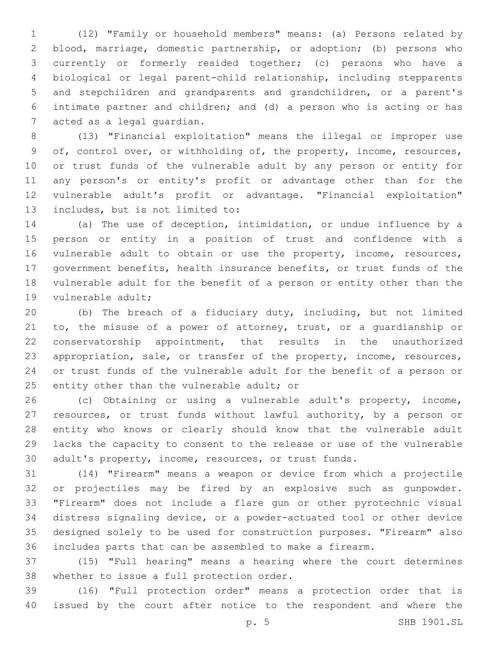(12) "Family or household members" means: (a) Persons related by blood, marriage, domestic partnership, or adoption; (b) persons who currently or formerly resided together; (c) persons who have a biological or legal parent-child relationship, including stepparents and stepchildren and grandparents and grandchildren, or a parent's intimate partner and children; and (d) a person who is acting or has 7 acted as a legal quardian.

 (13) "Financial exploitation" means the illegal or improper use of, control over, or withholding of, the property, income, resources, or trust funds of the vulnerable adult by any person or entity for any person's or entity's profit or advantage other than for the vulnerable adult's profit or advantage. "Financial exploitation" 13 includes, but is not limited to:

 (a) The use of deception, intimidation, or undue influence by a person or entity in a position of trust and confidence with a vulnerable adult to obtain or use the property, income, resources, government benefits, health insurance benefits, or trust funds of the vulnerable adult for the benefit of a person or entity other than the 19 vulnerable adult;

 (b) The breach of a fiduciary duty, including, but not limited to, the misuse of a power of attorney, trust, or a guardianship or conservatorship appointment, that results in the unauthorized appropriation, sale, or transfer of the property, income, resources, or trust funds of the vulnerable adult for the benefit of a person or 25 entity other than the vulnerable adult; or

 (c) Obtaining or using a vulnerable adult's property, income, resources, or trust funds without lawful authority, by a person or entity who knows or clearly should know that the vulnerable adult lacks the capacity to consent to the release or use of the vulnerable adult's property, income, resources, or trust funds.

 (14) "Firearm" means a weapon or device from which a projectile or projectiles may be fired by an explosive such as gunpowder. "Firearm" does not include a flare gun or other pyrotechnic visual distress signaling device, or a powder-actuated tool or other device designed solely to be used for construction purposes. "Firearm" also includes parts that can be assembled to make a firearm.

 (15) "Full hearing" means a hearing where the court determines 38 whether to issue a full protection order.

 (16) "Full protection order" means a protection order that is issued by the court after notice to the respondent and where the

p. 5 SHB 1901.SL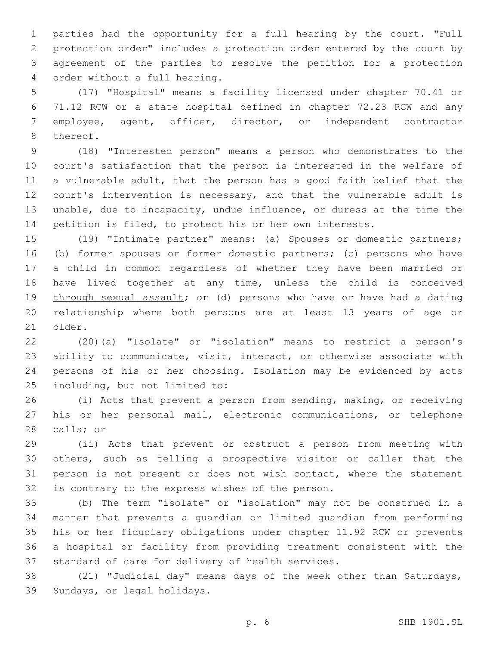parties had the opportunity for a full hearing by the court. "Full protection order" includes a protection order entered by the court by agreement of the parties to resolve the petition for a protection order without a full hearing.4

 (17) "Hospital" means a facility licensed under chapter 70.41 or 71.12 RCW or a state hospital defined in chapter 72.23 RCW and any employee, agent, officer, director, or independent contractor 8 thereof.

 (18) "Interested person" means a person who demonstrates to the court's satisfaction that the person is interested in the welfare of a vulnerable adult, that the person has a good faith belief that the court's intervention is necessary, and that the vulnerable adult is unable, due to incapacity, undue influence, or duress at the time the petition is filed, to protect his or her own interests.

 (19) "Intimate partner" means: (a) Spouses or domestic partners; (b) former spouses or former domestic partners; (c) persons who have a child in common regardless of whether they have been married or have lived together at any time, unless the child is conceived 19 through sexual assault; or (d) persons who have or have had a dating relationship where both persons are at least 13 years of age or 21 older.

 (20)(a) "Isolate" or "isolation" means to restrict a person's ability to communicate, visit, interact, or otherwise associate with persons of his or her choosing. Isolation may be evidenced by acts 25 including, but not limited to:

 (i) Acts that prevent a person from sending, making, or receiving his or her personal mail, electronic communications, or telephone 28 calls; or

 (ii) Acts that prevent or obstruct a person from meeting with others, such as telling a prospective visitor or caller that the 31 person is not present or does not wish contact, where the statement 32 is contrary to the express wishes of the person.

 (b) The term "isolate" or "isolation" may not be construed in a manner that prevents a guardian or limited guardian from performing his or her fiduciary obligations under chapter 11.92 RCW or prevents a hospital or facility from providing treatment consistent with the 37 standard of care for delivery of health services.

 (21) "Judicial day" means days of the week other than Saturdays, 39 Sundays, or legal holidays.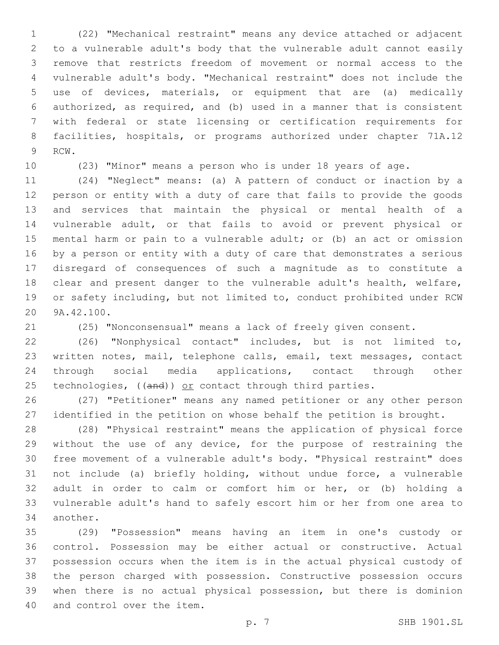(22) "Mechanical restraint" means any device attached or adjacent to a vulnerable adult's body that the vulnerable adult cannot easily remove that restricts freedom of movement or normal access to the vulnerable adult's body. "Mechanical restraint" does not include the use of devices, materials, or equipment that are (a) medically authorized, as required, and (b) used in a manner that is consistent with federal or state licensing or certification requirements for facilities, hospitals, or programs authorized under chapter 71A.12 9 RCW.

(23) "Minor" means a person who is under 18 years of age.

 (24) "Neglect" means: (a) A pattern of conduct or inaction by a person or entity with a duty of care that fails to provide the goods and services that maintain the physical or mental health of a vulnerable adult, or that fails to avoid or prevent physical or mental harm or pain to a vulnerable adult; or (b) an act or omission by a person or entity with a duty of care that demonstrates a serious disregard of consequences of such a magnitude as to constitute a clear and present danger to the vulnerable adult's health, welfare, or safety including, but not limited to, conduct prohibited under RCW 20 9A.42.100.

(25) "Nonconsensual" means a lack of freely given consent.

 (26) "Nonphysical contact" includes, but is not limited to, written notes, mail, telephone calls, email, text messages, contact through social media applications, contact through other 25 technologies,  $((and))$  or contact through third parties.

 (27) "Petitioner" means any named petitioner or any other person identified in the petition on whose behalf the petition is brought.

 (28) "Physical restraint" means the application of physical force without the use of any device, for the purpose of restraining the free movement of a vulnerable adult's body. "Physical restraint" does not include (a) briefly holding, without undue force, a vulnerable adult in order to calm or comfort him or her, or (b) holding a vulnerable adult's hand to safely escort him or her from one area to 34 another.

 (29) "Possession" means having an item in one's custody or control. Possession may be either actual or constructive. Actual possession occurs when the item is in the actual physical custody of the person charged with possession. Constructive possession occurs when there is no actual physical possession, but there is dominion 40 and control over the item.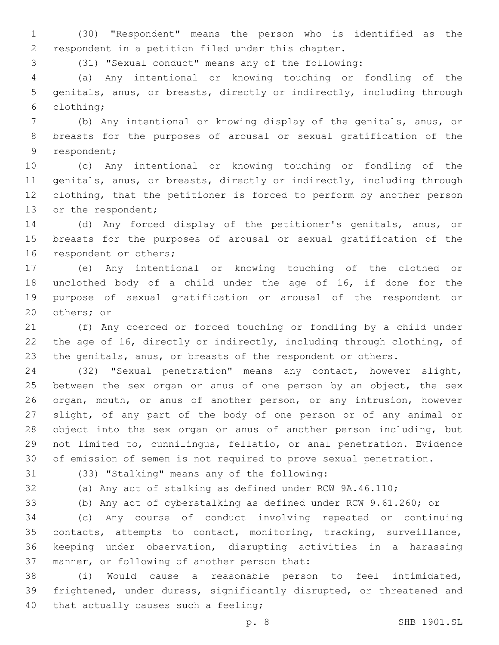(30) "Respondent" means the person who is identified as the 2 respondent in a petition filed under this chapter.

(31) "Sexual conduct" means any of the following:

 (a) Any intentional or knowing touching or fondling of the genitals, anus, or breasts, directly or indirectly, including through clothing;6

 (b) Any intentional or knowing display of the genitals, anus, or breasts for the purposes of arousal or sexual gratification of the 9 respondent;

 (c) Any intentional or knowing touching or fondling of the genitals, anus, or breasts, directly or indirectly, including through clothing, that the petitioner is forced to perform by another person 13 or the respondent;

 (d) Any forced display of the petitioner's genitals, anus, or breasts for the purposes of arousal or sexual gratification of the 16 respondent or others;

 (e) Any intentional or knowing touching of the clothed or unclothed body of a child under the age of 16, if done for the purpose of sexual gratification or arousal of the respondent or 20 others; or

 (f) Any coerced or forced touching or fondling by a child under the age of 16, directly or indirectly, including through clothing, of 23 the genitals, anus, or breasts of the respondent or others.

 (32) "Sexual penetration" means any contact, however slight, 25 between the sex organ or anus of one person by an object, the sex organ, mouth, or anus of another person, or any intrusion, however slight, of any part of the body of one person or of any animal or object into the sex organ or anus of another person including, but not limited to, cunnilingus, fellatio, or anal penetration. Evidence of emission of semen is not required to prove sexual penetration.

(33) "Stalking" means any of the following:31

(a) Any act of stalking as defined under RCW 9A.46.110;

(b) Any act of cyberstalking as defined under RCW 9.61.260; or

 (c) Any course of conduct involving repeated or continuing contacts, attempts to contact, monitoring, tracking, surveillance, keeping under observation, disrupting activities in a harassing 37 manner, or following of another person that:

 (i) Would cause a reasonable person to feel intimidated, frightened, under duress, significantly disrupted, or threatened and 40 that actually causes such a feeling;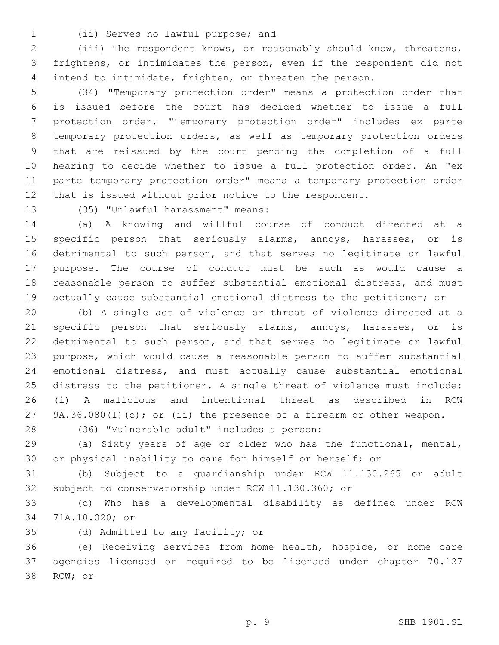- 
- (ii) Serves no lawful purpose; and1

 (iii) The respondent knows, or reasonably should know, threatens, frightens, or intimidates the person, even if the respondent did not intend to intimidate, frighten, or threaten the person.

 (34) "Temporary protection order" means a protection order that is issued before the court has decided whether to issue a full protection order. "Temporary protection order" includes ex parte temporary protection orders, as well as temporary protection orders that are reissued by the court pending the completion of a full hearing to decide whether to issue a full protection order. An "ex parte temporary protection order" means a temporary protection order that is issued without prior notice to the respondent.

13 (35) "Unlawful harassment" means:

 (a) A knowing and willful course of conduct directed at a 15 specific person that seriously alarms, annoys, harasses, or is detrimental to such person, and that serves no legitimate or lawful purpose. The course of conduct must be such as would cause a reasonable person to suffer substantial emotional distress, and must actually cause substantial emotional distress to the petitioner; or

 (b) A single act of violence or threat of violence directed at a specific person that seriously alarms, annoys, harasses, or is detrimental to such person, and that serves no legitimate or lawful purpose, which would cause a reasonable person to suffer substantial emotional distress, and must actually cause substantial emotional distress to the petitioner. A single threat of violence must include: (i) A malicious and intentional threat as described in RCW 9A.36.080(1)(c); or (ii) the presence of a firearm or other weapon.

28 (36) "Vulnerable adult" includes a person:

 (a) Sixty years of age or older who has the functional, mental, or physical inability to care for himself or herself; or

 (b) Subject to a guardianship under RCW 11.130.265 or adult subject to conservatorship under RCW 11.130.360; or

 (c) Who has a developmental disability as defined under RCW 71A.10.020; or34

35 (d) Admitted to any facility; or

 (e) Receiving services from home health, hospice, or home care agencies licensed or required to be licensed under chapter 70.127 38 RCW; or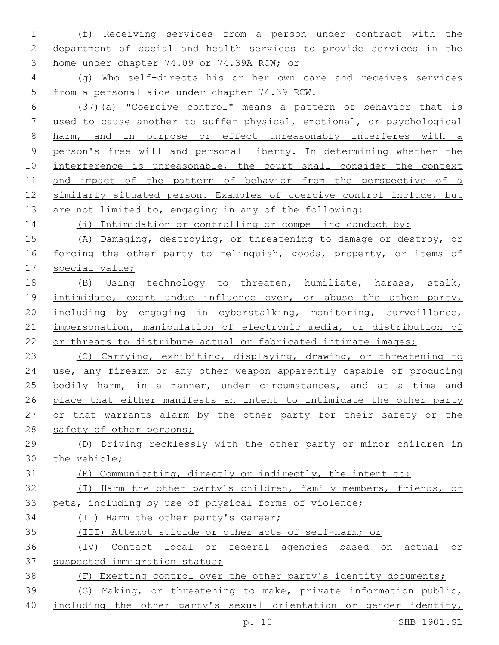(f) Receiving services from a person under contract with the department of social and health services to provide services in the 3 home under chapter 74.09 or 74.39A RCW; or

 (g) Who self-directs his or her own care and receives services 5 from a personal aide under chapter 74.39 RCW.

 (37)(a) "Coercive control" means a pattern of behavior that is used to cause another to suffer physical, emotional, or psychological harm, and in purpose or effect unreasonably interferes with a person's free will and personal liberty. In determining whether the 10 interference is unreasonable, the court shall consider the context and impact of the pattern of behavior from the perspective of a similarly situated person. Examples of coercive control include, but 13 are not limited to, engaging in any of the following:

(i) Intimidation or controlling or compelling conduct by:

 (A) Damaging, destroying, or threatening to damage or destroy, or 16 forcing the other party to relinquish, goods, property, or items of special value;

 (B) Using technology to threaten, humiliate, harass, stalk, 19 intimidate, exert undue influence over, or abuse the other party, including by engaging in cyberstalking, monitoring, surveillance, impersonation, manipulation of electronic media, or distribution of 22 or threats to distribute actual or fabricated intimate images;

 (C) Carrying, exhibiting, displaying, drawing, or threatening to use, any firearm or any other weapon apparently capable of producing bodily harm, in a manner, under circumstances, and at a time and 26 place that either manifests an intent to intimidate the other party or that warrants alarm by the other party for their safety or the 28 safety of other persons;

 (D) Driving recklessly with the other party or minor children in the vehicle;

(E) Communicating, directly or indirectly, the intent to:

 (I) Harm the other party's children, family members, friends, or pets, including by use of physical forms of violence;

(II) Harm the other party's career;

- (III) Attempt suicide or other acts of self-harm; or
- (IV) Contact local or federal agencies based on actual or suspected immigration status;
- (F) Exerting control over the other party's identity documents;

# (G) Making, or threatening to make, private information public,

including the other party's sexual orientation or gender identity,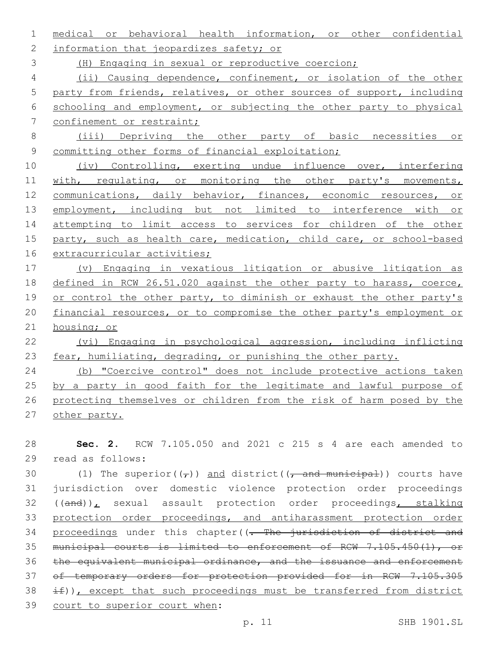medical or behavioral health information, or other confidential 2 information that jeopardizes safety; or (H) Engaging in sexual or reproductive coercion; (ii) Causing dependence, confinement, or isolation of the other party from friends, relatives, or other sources of support, including schooling and employment, or subjecting the other party to physical 7 confinement or restraint;

8 (iii) Depriving the other party of basic necessities or 9 committing other forms of financial exploitation;

10 (iv) Controlling, exerting undue influence over, interfering 11 with, regulating, or monitoring the other party's movements, 12 communications, daily behavior, finances, economic resources, or 13 employment, including but not limited to interference with or 14 attempting to limit access to services for children of the other 15 party, such as health care, medication, child care, or school-based 16 extracurricular activities;

 (v) Engaging in vexatious litigation or abusive litigation as defined in RCW 26.51.020 against the other party to harass, coerce, 19 or control the other party, to diminish or exhaust the other party's financial resources, or to compromise the other party's employment or housing; or

22 (vi) Engaging in psychological aggression, including inflicting 23 fear, humiliating, degrading, or punishing the other party.

 (b) "Coercive control" does not include protective actions taken 25 by a party in good faith for the legitimate and lawful purpose of protecting themselves or children from the risk of harm posed by the other party.

28 **Sec. 2.** RCW 7.105.050 and 2021 c 215 s 4 are each amended to read as follows:29

30 (1) The superior( $(\tau)$ ) and district( $(\tau)$  and municipal)) courts have 31 jurisdiction over domestic violence protection order proceedings 32 ((and)), sexual assault protection order proceedings, stalking 33 protection order proceedings, and antiharassment protection order 34 proceedings under this chapter((- The jurisdiction of district and 35 municipal courts is limited to enforcement of RCW 7.105.450(1), or 36 the equivalent municipal ordinance, and the issuance and enforcement 37 of temporary orders for protection provided for in RCW 7.105.305  $38 \quad \text{iff}$ ), except that such proceedings must be transferred from district 39 court to superior court when: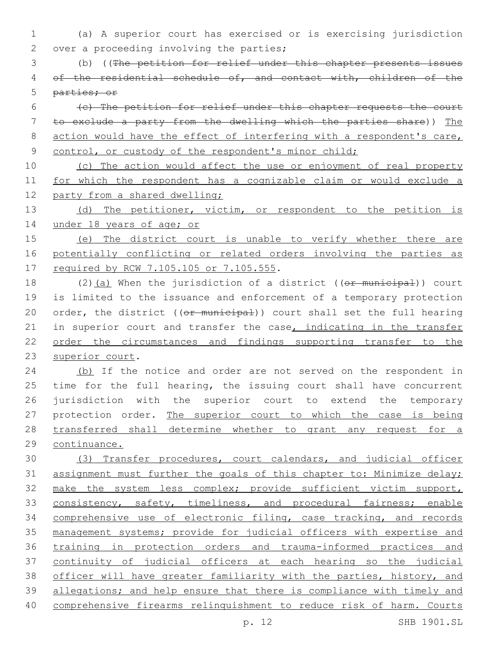- 1 (a) A superior court has exercised or is exercising jurisdiction 2 over a proceeding involving the parties;
- 3 (b) ((The petition for relief under this chapter presents issues 4 of the residential schedule of, and contact with, children of the 5 parties; or
- 6 (c) The petition for relief under this chapter requests the court 7 to exclude a party from the dwelling which the parties share)) The 8 action would have the effect of interfering with a respondent's care, 9 control, or custody of the respondent's minor child;
- 10 (c) The action would affect the use or enjoyment of real property 11 for which the respondent has a cognizable claim or would exclude a 12 party from a shared dwelling;
- 13 (d) The petitioner, victim, or respondent to the petition is 14 under 18 years of age; or
- 15 (e) The district court is unable to verify whether there are 16 potentially conflicting or related orders involving the parties as 17 required by RCW 7.105.105 or 7.105.555.
- 18 (2)(a) When the jurisdiction of a district ((or municipal)) court 19 is limited to the issuance and enforcement of a temporary protection 20 order, the district ((or municipal)) court shall set the full hearing 21 in superior court and transfer the case, indicating in the transfer 22 order the circumstances and findings supporting transfer to the 23 superior court.
- 24 (b) If the notice and order are not served on the respondent in 25 time for the full hearing, the issuing court shall have concurrent 26 jurisdiction with the superior court to extend the temporary 27 protection order. The superior court to which the case is being 28 transferred shall determine whether to grant any request for a 29 continuance.
- 30 (3) Transfer procedures, court calendars, and judicial officer 31 assignment must further the goals of this chapter to: Minimize delay; 32 make the system less complex; provide sufficient victim support, 33 consistency, safety, timeliness, and procedural fairness; enable 34 comprehensive use of electronic filing, case tracking, and records 35 management systems; provide for judicial officers with expertise and 36 training in protection orders and trauma-informed practices and 37 continuity of judicial officers at each hearing so the judicial 38 officer will have greater familiarity with the parties, history, and 39 allegations; and help ensure that there is compliance with timely and 40 comprehensive firearms relinquishment to reduce risk of harm. Courts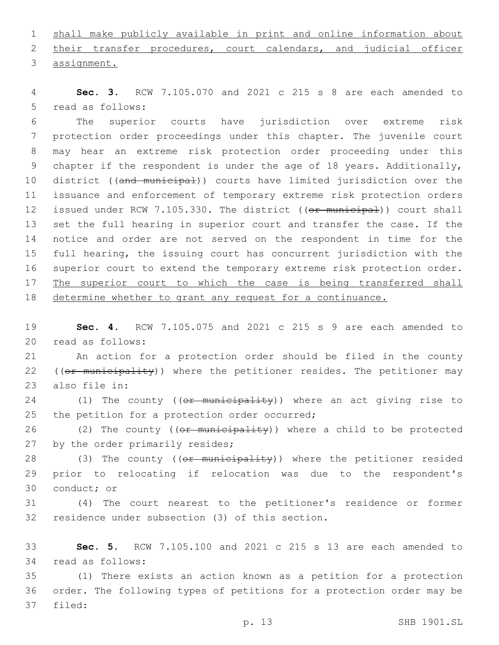1 shall make publicly available in print and online information about 2 their transfer procedures, court calendars, and judicial officer 3 assignment.

4 **Sec. 3.** RCW 7.105.070 and 2021 c 215 s 8 are each amended to 5 read as follows:

 The superior courts have jurisdiction over extreme risk protection order proceedings under this chapter. The juvenile court may hear an extreme risk protection order proceeding under this 9 chapter if the respondent is under the age of 18 years. Additionally, 10 district ((and municipal)) courts have limited jurisdiction over the issuance and enforcement of temporary extreme risk protection orders 12 issued under RCW 7.105.330. The district ((or municipal)) court shall set the full hearing in superior court and transfer the case. If the notice and order are not served on the respondent in time for the full hearing, the issuing court has concurrent jurisdiction with the superior court to extend the temporary extreme risk protection order. 17 The superior court to which the case is being transferred shall determine whether to grant any request for a continuance.

19 **Sec. 4.** RCW 7.105.075 and 2021 c 215 s 9 are each amended to 20 read as follows:

21 An action for a protection order should be filed in the county 22 ((or municipality)) where the petitioner resides. The petitioner may 23 also file in:

24 (1) The county ((or municipality)) where an act giving rise to 25 the petition for a protection order occurred;

26 (2) The county ((or municipality)) where a child to be protected 27 by the order primarily resides;

28 (3) The county ((or municipality)) where the petitioner resided 29 prior to relocating if relocation was due to the respondent's 30 conduct; or

31 (4) The court nearest to the petitioner's residence or former 32 residence under subsection (3) of this section.

33 **Sec. 5.** RCW 7.105.100 and 2021 c 215 s 13 are each amended to 34 read as follows:

35 (1) There exists an action known as a petition for a protection 36 order. The following types of petitions for a protection order may be 37 filed: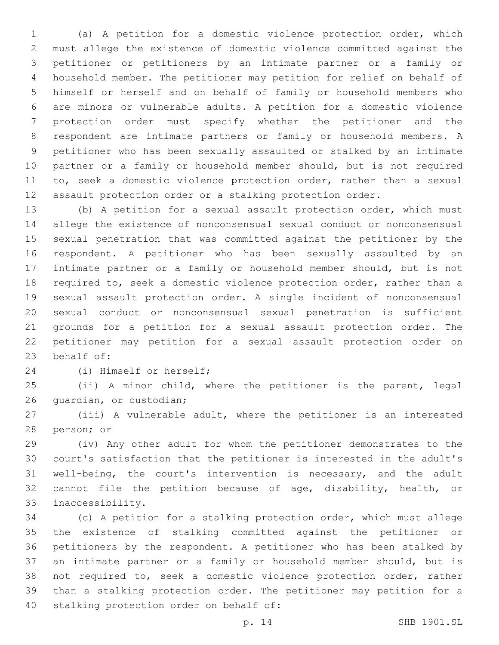(a) A petition for a domestic violence protection order, which must allege the existence of domestic violence committed against the petitioner or petitioners by an intimate partner or a family or household member. The petitioner may petition for relief on behalf of himself or herself and on behalf of family or household members who are minors or vulnerable adults. A petition for a domestic violence protection order must specify whether the petitioner and the respondent are intimate partners or family or household members. A petitioner who has been sexually assaulted or stalked by an intimate partner or a family or household member should, but is not required 11 to, seek a domestic violence protection order, rather than a sexual assault protection order or a stalking protection order.

 (b) A petition for a sexual assault protection order, which must allege the existence of nonconsensual sexual conduct or nonconsensual sexual penetration that was committed against the petitioner by the respondent. A petitioner who has been sexually assaulted by an intimate partner or a family or household member should, but is not required to, seek a domestic violence protection order, rather than a sexual assault protection order. A single incident of nonconsensual sexual conduct or nonconsensual sexual penetration is sufficient grounds for a petition for a sexual assault protection order. The petitioner may petition for a sexual assault protection order on 23 behalf of:

24 (i) Himself or herself;

 (ii) A minor child, where the petitioner is the parent, legal 26 quardian, or custodian;

 (iii) A vulnerable adult, where the petitioner is an interested 28 person; or

 (iv) Any other adult for whom the petitioner demonstrates to the court's satisfaction that the petitioner is interested in the adult's well-being, the court's intervention is necessary, and the adult cannot file the petition because of age, disability, health, or 33 inaccessibility.

 (c) A petition for a stalking protection order, which must allege the existence of stalking committed against the petitioner or petitioners by the respondent. A petitioner who has been stalked by an intimate partner or a family or household member should, but is not required to, seek a domestic violence protection order, rather than a stalking protection order. The petitioner may petition for a 40 stalking protection order on behalf of: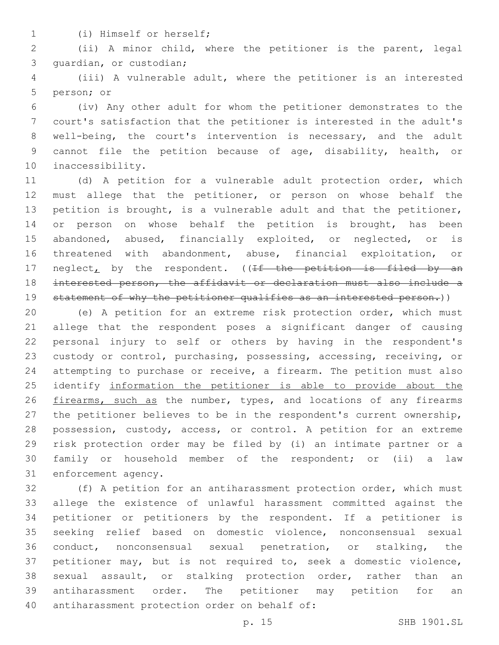(i) Himself or herself;1

 (ii) A minor child, where the petitioner is the parent, legal 3 quardian, or custodian;

 (iii) A vulnerable adult, where the petitioner is an interested 5 person; or

 (iv) Any other adult for whom the petitioner demonstrates to the court's satisfaction that the petitioner is interested in the adult's well-being, the court's intervention is necessary, and the adult cannot file the petition because of age, disability, health, or 10 inaccessibility.

 (d) A petition for a vulnerable adult protection order, which must allege that the petitioner, or person on whose behalf the petition is brought, is a vulnerable adult and that the petitioner, 14 or person on whose behalf the petition is brought, has been abandoned, abused, financially exploited, or neglected, or is threatened with abandonment, abuse, financial exploitation, or 17 neglect<sub>L</sub> by the respondent. ( $\sqrt{f}$  the petition is filed by an interested person, the affidavit or declaration must also include a 19 statement of why the petitioner qualifies as an interested person.))

 (e) A petition for an extreme risk protection order, which must allege that the respondent poses a significant danger of causing personal injury to self or others by having in the respondent's custody or control, purchasing, possessing, accessing, receiving, or attempting to purchase or receive, a firearm. The petition must also identify information the petitioner is able to provide about the 26 firearms, such as the number, types, and locations of any firearms the petitioner believes to be in the respondent's current ownership, possession, custody, access, or control. A petition for an extreme risk protection order may be filed by (i) an intimate partner or a family or household member of the respondent; or (ii) a law 31 enforcement agency.

 (f) A petition for an antiharassment protection order, which must allege the existence of unlawful harassment committed against the petitioner or petitioners by the respondent. If a petitioner is seeking relief based on domestic violence, nonconsensual sexual conduct, nonconsensual sexual penetration, or stalking, the petitioner may, but is not required to, seek a domestic violence, sexual assault, or stalking protection order, rather than an antiharassment order. The petitioner may petition for an 40 antiharassment protection order on behalf of: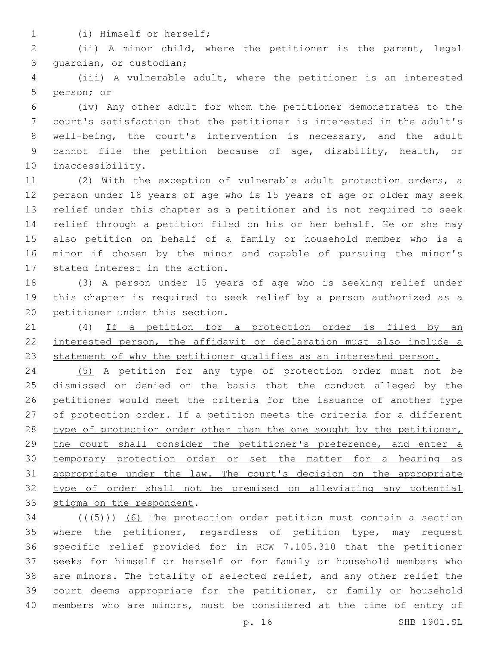(i) Himself or herself;1

 (ii) A minor child, where the petitioner is the parent, legal 3 quardian, or custodian;

 (iii) A vulnerable adult, where the petitioner is an interested 5 person; or

 (iv) Any other adult for whom the petitioner demonstrates to the court's satisfaction that the petitioner is interested in the adult's well-being, the court's intervention is necessary, and the adult cannot file the petition because of age, disability, health, or 10 inaccessibility.

 (2) With the exception of vulnerable adult protection orders, a person under 18 years of age who is 15 years of age or older may seek relief under this chapter as a petitioner and is not required to seek relief through a petition filed on his or her behalf. He or she may also petition on behalf of a family or household member who is a minor if chosen by the minor and capable of pursuing the minor's 17 stated interest in the action.

 (3) A person under 15 years of age who is seeking relief under this chapter is required to seek relief by a person authorized as a 20 petitioner under this section.

 (4) If a petition for a protection order is filed by an interested person, the affidavit or declaration must also include a 23 statement of why the petitioner qualifies as an interested person.

 (5) A petition for any type of protection order must not be dismissed or denied on the basis that the conduct alleged by the petitioner would meet the criteria for the issuance of another type 27 of protection order. If a petition meets the criteria for a different 28 type of protection order other than the one sought by the petitioner, the court shall consider the petitioner's preference, and enter a temporary protection order or set the matter for a hearing as appropriate under the law. The court's decision on the appropriate type of order shall not be premised on alleviating any potential 33 stigma on the respondent.

 (( $(45)$ )) (6) The protection order petition must contain a section where the petitioner, regardless of petition type, may request specific relief provided for in RCW 7.105.310 that the petitioner seeks for himself or herself or for family or household members who are minors. The totality of selected relief, and any other relief the court deems appropriate for the petitioner, or family or household members who are minors, must be considered at the time of entry of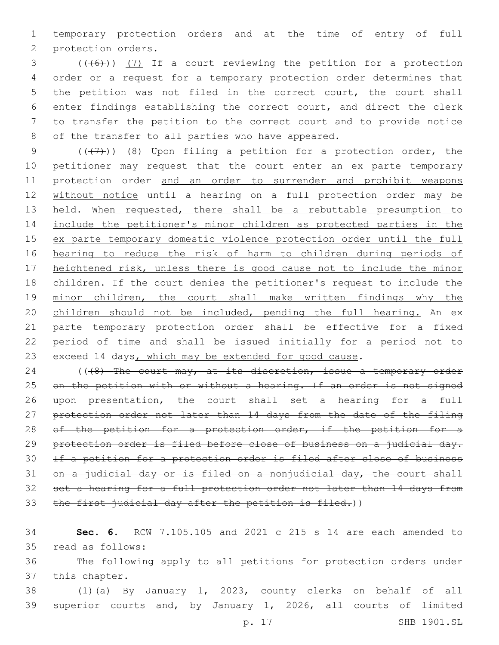1 temporary protection orders and at the time of entry of full 2 protection orders.

 (( $(6)$ )) (7) If a court reviewing the petition for a protection order or a request for a temporary protection order determines that the petition was not filed in the correct court, the court shall enter findings establishing the correct court, and direct the clerk to transfer the petition to the correct court and to provide notice 8 of the transfer to all parties who have appeared.

 $((+7)$ )  $(8)$  Upon filing a petition for a protection order, the petitioner may request that the court enter an ex parte temporary protection order and an order to surrender and prohibit weapons without notice until a hearing on a full protection order may be 13 held. When requested, there shall be a rebuttable presumption to include the petitioner's minor children as protected parties in the ex parte temporary domestic violence protection order until the full hearing to reduce the risk of harm to children during periods of 17 heightened risk, unless there is good cause not to include the minor children. If the court denies the petitioner's request to include the 19 minor children, the court shall make written findings why the 20 children should not be included, pending the full hearing. An ex parte temporary protection order shall be effective for a fixed period of time and shall be issued initially for a period not to 23 exceed 14 days, which may be extended for good cause.

24 ((48) The court may, at its discretion, issue a temporary order 25 on the petition with or without a hearing. If an order is not signed 26 upon presentation, the court shall set a hearing for a full 27 protection order not later than 14 days from the date of the filing 28 of the petition for a protection order, if the petition for a 29 protection order is filed before close of business on a judicial day. 30 If a petition for a protection order is filed after close of business 31 on a judicial day or is filed on a nonjudicial day, the court shall 32 set a hearing for a full protection order not later than 14 days from 33 the first judicial day after the petition is filed.))

34 **Sec. 6.** RCW 7.105.105 and 2021 c 215 s 14 are each amended to 35 read as follows:

36 The following apply to all petitions for protection orders under 37 this chapter.

38 (1)(a) By January 1, 2023, county clerks on behalf of all 39 superior courts and, by January 1, 2026, all courts of limited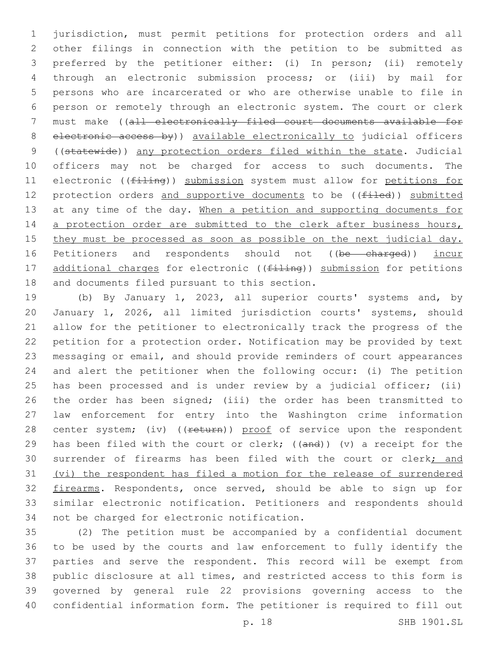jurisdiction, must permit petitions for protection orders and all other filings in connection with the petition to be submitted as preferred by the petitioner either: (i) In person; (ii) remotely through an electronic submission process; or (iii) by mail for persons who are incarcerated or who are otherwise unable to file in person or remotely through an electronic system. The court or clerk must make ((all electronically filed court documents available for electronic access by)) available electronically to judicial officers ((statewide)) any protection orders filed within the state. Judicial officers may not be charged for access to such documents. The 11 electronic (( $f$ iling)) submission system must allow for petitions for 12 protection orders and supportive documents to be ((filed)) submitted 13 at any time of the day. When a petition and supporting documents for 14 a protection order are submitted to the clerk after business hours, 15 they must be processed as soon as possible on the next judicial day. 16 Petitioners and respondents should not ((be charged)) incur 17 additional charges for electronic ((filing)) submission for petitions 18 and documents filed pursuant to this section.

 (b) By January 1, 2023, all superior courts' systems and, by January 1, 2026, all limited jurisdiction courts' systems, should allow for the petitioner to electronically track the progress of the petition for a protection order. Notification may be provided by text messaging or email, and should provide reminders of court appearances and alert the petitioner when the following occur: (i) The petition has been processed and is under review by a judicial officer; (ii) the order has been signed; (iii) the order has been transmitted to law enforcement for entry into the Washington crime information 28 center system; (iv) ((return)) proof of service upon the respondent 29 has been filed with the court or clerk;  $((and))$  (v) a receipt for the 30 surrender of firearms has been filed with the court or clerk; and (vi) the respondent has filed a motion for the release of surrendered 32 firearms. Respondents, once served, should be able to sign up for similar electronic notification. Petitioners and respondents should 34 not be charged for electronic notification.

 (2) The petition must be accompanied by a confidential document to be used by the courts and law enforcement to fully identify the parties and serve the respondent. This record will be exempt from public disclosure at all times, and restricted access to this form is governed by general rule 22 provisions governing access to the confidential information form. The petitioner is required to fill out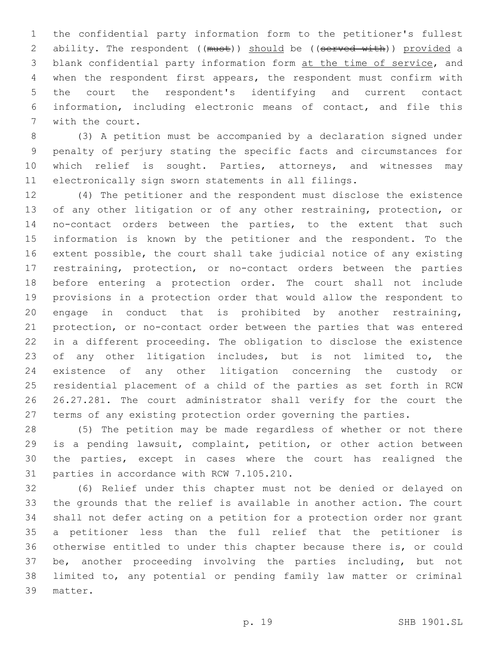the confidential party information form to the petitioner's fullest 2 ability. The respondent ((must)) should be ((served with)) provided a blank confidential party information form at the time of service, and when the respondent first appears, the respondent must confirm with the court the respondent's identifying and current contact information, including electronic means of contact, and file this 7 with the court.

 (3) A petition must be accompanied by a declaration signed under penalty of perjury stating the specific facts and circumstances for 10 which relief is sought. Parties, attorneys, and witnesses may electronically sign sworn statements in all filings.

 (4) The petitioner and the respondent must disclose the existence of any other litigation or of any other restraining, protection, or no-contact orders between the parties, to the extent that such information is known by the petitioner and the respondent. To the extent possible, the court shall take judicial notice of any existing restraining, protection, or no-contact orders between the parties before entering a protection order. The court shall not include provisions in a protection order that would allow the respondent to engage in conduct that is prohibited by another restraining, protection, or no-contact order between the parties that was entered in a different proceeding. The obligation to disclose the existence 23 of any other litigation includes, but is not limited to, the existence of any other litigation concerning the custody or residential placement of a child of the parties as set forth in RCW 26.27.281. The court administrator shall verify for the court the terms of any existing protection order governing the parties.

 (5) The petition may be made regardless of whether or not there is a pending lawsuit, complaint, petition, or other action between the parties, except in cases where the court has realigned the 31 parties in accordance with RCW 7.105.210.

 (6) Relief under this chapter must not be denied or delayed on the grounds that the relief is available in another action. The court shall not defer acting on a petition for a protection order nor grant a petitioner less than the full relief that the petitioner is otherwise entitled to under this chapter because there is, or could be, another proceeding involving the parties including, but not limited to, any potential or pending family law matter or criminal 39 matter.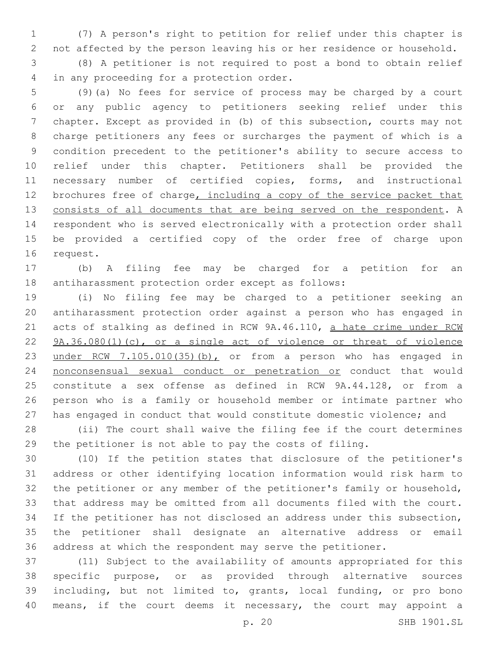(7) A person's right to petition for relief under this chapter is not affected by the person leaving his or her residence or household.

 (8) A petitioner is not required to post a bond to obtain relief 4 in any proceeding for a protection order.

 (9)(a) No fees for service of process may be charged by a court or any public agency to petitioners seeking relief under this chapter. Except as provided in (b) of this subsection, courts may not charge petitioners any fees or surcharges the payment of which is a condition precedent to the petitioner's ability to secure access to relief under this chapter. Petitioners shall be provided the necessary number of certified copies, forms, and instructional 12 brochures free of charge, including a copy of the service packet that consists of all documents that are being served on the respondent. A respondent who is served electronically with a protection order shall be provided a certified copy of the order free of charge upon 16 request.

 (b) A filing fee may be charged for a petition for an antiharassment protection order except as follows:

 (i) No filing fee may be charged to a petitioner seeking an antiharassment protection order against a person who has engaged in 21 acts of stalking as defined in RCW 9A.46.110, a hate crime under RCW 22 9A.36.080(1)(c), or a single act of violence or threat of violence 23 under RCW 7.105.010(35)(b), or from a person who has engaged in 24 nonconsensual sexual conduct or penetration or conduct that would constitute a sex offense as defined in RCW 9A.44.128, or from a person who is a family or household member or intimate partner who has engaged in conduct that would constitute domestic violence; and

 (ii) The court shall waive the filing fee if the court determines the petitioner is not able to pay the costs of filing.

 (10) If the petition states that disclosure of the petitioner's address or other identifying location information would risk harm to the petitioner or any member of the petitioner's family or household, that address may be omitted from all documents filed with the court. If the petitioner has not disclosed an address under this subsection, the petitioner shall designate an alternative address or email address at which the respondent may serve the petitioner.

 (11) Subject to the availability of amounts appropriated for this specific purpose, or as provided through alternative sources including, but not limited to, grants, local funding, or pro bono means, if the court deems it necessary, the court may appoint a

p. 20 SHB 1901.SL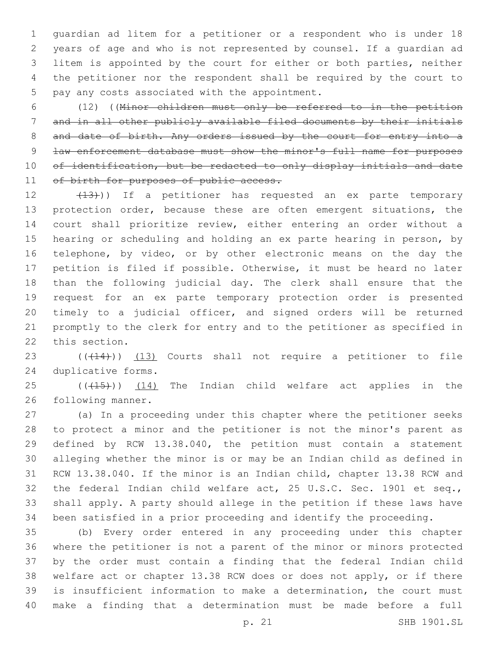guardian ad litem for a petitioner or a respondent who is under 18 years of age and who is not represented by counsel. If a guardian ad litem is appointed by the court for either or both parties, neither the petitioner nor the respondent shall be required by the court to 5 pay any costs associated with the appointment.

 (12) ((Minor children must only be referred to in the petition and in all other publicly available filed documents by their initials 8 and date of birth. Any orders issued by the court for entry into a 9 law enforcement database must show the minor's full name for purposes 10 of identification, but be redacted to only display initials and date 11 of birth for purposes of public access.

12 (13))) If a petitioner has requested an ex parte temporary 13 protection order, because these are often emergent situations, the court shall prioritize review, either entering an order without a hearing or scheduling and holding an ex parte hearing in person, by telephone, by video, or by other electronic means on the day the petition is filed if possible. Otherwise, it must be heard no later than the following judicial day. The clerk shall ensure that the request for an ex parte temporary protection order is presented timely to a judicial officer, and signed orders will be returned promptly to the clerk for entry and to the petitioner as specified in 22 this section.

23 (((414))) (13) Courts shall not require a petitioner to file 24 duplicative forms.

 ( $(\overline{+15})$ )  $(14)$  The Indian child welfare act applies in the 26 following manner.

 (a) In a proceeding under this chapter where the petitioner seeks to protect a minor and the petitioner is not the minor's parent as defined by RCW 13.38.040, the petition must contain a statement alleging whether the minor is or may be an Indian child as defined in RCW 13.38.040. If the minor is an Indian child, chapter 13.38 RCW and the federal Indian child welfare act, 25 U.S.C. Sec. 1901 et seq., shall apply. A party should allege in the petition if these laws have been satisfied in a prior proceeding and identify the proceeding.

 (b) Every order entered in any proceeding under this chapter where the petitioner is not a parent of the minor or minors protected by the order must contain a finding that the federal Indian child welfare act or chapter 13.38 RCW does or does not apply, or if there is insufficient information to make a determination, the court must make a finding that a determination must be made before a full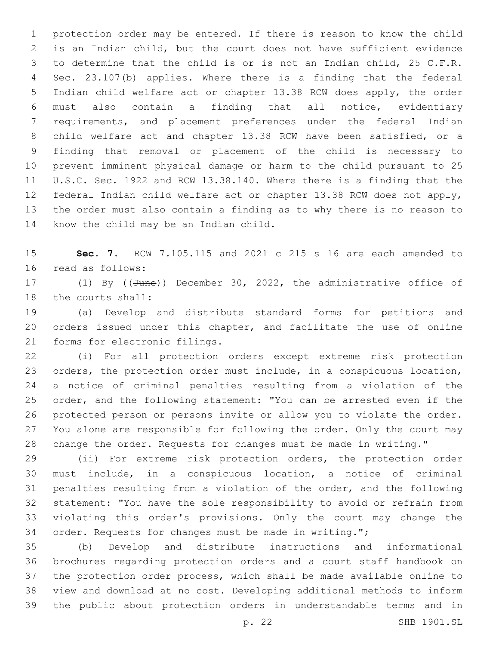protection order may be entered. If there is reason to know the child is an Indian child, but the court does not have sufficient evidence to determine that the child is or is not an Indian child, 25 C.F.R. Sec. 23.107(b) applies. Where there is a finding that the federal Indian child welfare act or chapter 13.38 RCW does apply, the order must also contain a finding that all notice, evidentiary requirements, and placement preferences under the federal Indian child welfare act and chapter 13.38 RCW have been satisfied, or a finding that removal or placement of the child is necessary to prevent imminent physical damage or harm to the child pursuant to 25 U.S.C. Sec. 1922 and RCW 13.38.140. Where there is a finding that the federal Indian child welfare act or chapter 13.38 RCW does not apply, the order must also contain a finding as to why there is no reason to 14 know the child may be an Indian child.

 **Sec. 7.** RCW 7.105.115 and 2021 c 215 s 16 are each amended to 16 read as follows:

17 (1) By ((June)) December 30, 2022, the administrative office of 18 the courts shall:

 (a) Develop and distribute standard forms for petitions and orders issued under this chapter, and facilitate the use of online 21 forms for electronic filings.

 (i) For all protection orders except extreme risk protection orders, the protection order must include, in a conspicuous location, a notice of criminal penalties resulting from a violation of the order, and the following statement: "You can be arrested even if the protected person or persons invite or allow you to violate the order. You alone are responsible for following the order. Only the court may change the order. Requests for changes must be made in writing."

 (ii) For extreme risk protection orders, the protection order must include, in a conspicuous location, a notice of criminal penalties resulting from a violation of the order, and the following statement: "You have the sole responsibility to avoid or refrain from violating this order's provisions. Only the court may change the order. Requests for changes must be made in writing.";

 (b) Develop and distribute instructions and informational brochures regarding protection orders and a court staff handbook on the protection order process, which shall be made available online to view and download at no cost. Developing additional methods to inform the public about protection orders in understandable terms and in

p. 22 SHB 1901.SL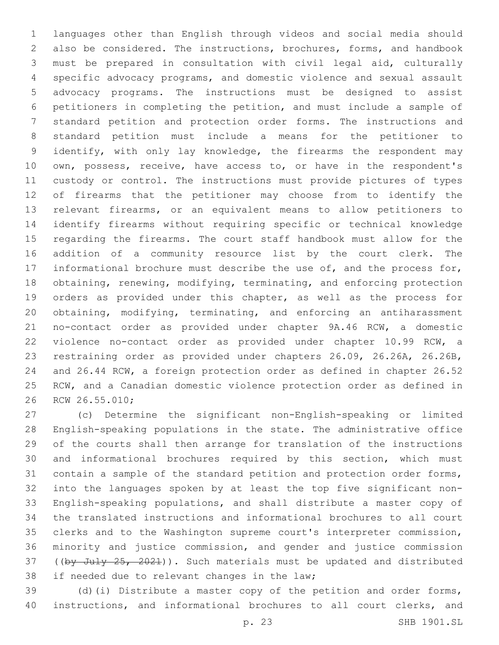languages other than English through videos and social media should also be considered. The instructions, brochures, forms, and handbook must be prepared in consultation with civil legal aid, culturally specific advocacy programs, and domestic violence and sexual assault advocacy programs. The instructions must be designed to assist petitioners in completing the petition, and must include a sample of standard petition and protection order forms. The instructions and standard petition must include a means for the petitioner to 9 identify, with only lay knowledge, the firearms the respondent may own, possess, receive, have access to, or have in the respondent's custody or control. The instructions must provide pictures of types of firearms that the petitioner may choose from to identify the relevant firearms, or an equivalent means to allow petitioners to identify firearms without requiring specific or technical knowledge regarding the firearms. The court staff handbook must allow for the addition of a community resource list by the court clerk. The 17 informational brochure must describe the use of, and the process for, obtaining, renewing, modifying, terminating, and enforcing protection orders as provided under this chapter, as well as the process for obtaining, modifying, terminating, and enforcing an antiharassment no-contact order as provided under chapter 9A.46 RCW, a domestic violence no-contact order as provided under chapter 10.99 RCW, a restraining order as provided under chapters 26.09, 26.26A, 26.26B, and 26.44 RCW, a foreign protection order as defined in chapter 26.52 RCW, and a Canadian domestic violence protection order as defined in 26 RCW 26.55.010;

 (c) Determine the significant non-English-speaking or limited English-speaking populations in the state. The administrative office of the courts shall then arrange for translation of the instructions and informational brochures required by this section, which must contain a sample of the standard petition and protection order forms, into the languages spoken by at least the top five significant non- English-speaking populations, and shall distribute a master copy of the translated instructions and informational brochures to all court clerks and to the Washington supreme court's interpreter commission, minority and justice commission, and gender and justice commission 37 ((by July 25, 2021)). Such materials must be updated and distributed 38 if needed due to relevant changes in the law;

 (d)(i) Distribute a master copy of the petition and order forms, instructions, and informational brochures to all court clerks, and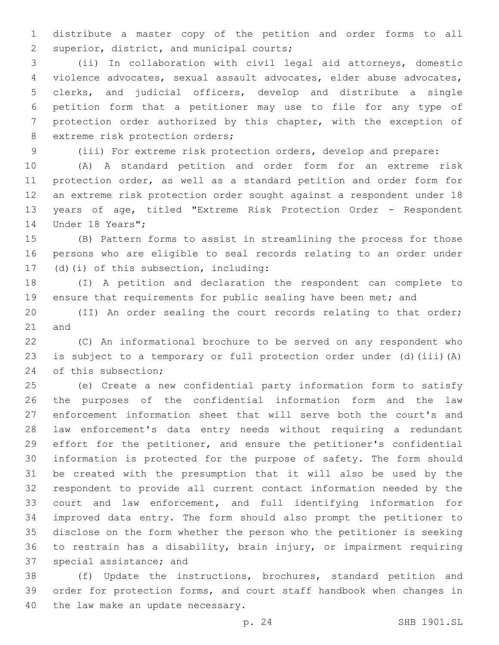distribute a master copy of the petition and order forms to all 2 superior, district, and municipal courts;

 (ii) In collaboration with civil legal aid attorneys, domestic violence advocates, sexual assault advocates, elder abuse advocates, clerks, and judicial officers, develop and distribute a single petition form that a petitioner may use to file for any type of protection order authorized by this chapter, with the exception of 8 extreme risk protection orders;

(iii) For extreme risk protection orders, develop and prepare:

 (A) A standard petition and order form for an extreme risk protection order, as well as a standard petition and order form for an extreme risk protection order sought against a respondent under 18 years of age, titled "Extreme Risk Protection Order - Respondent 14 Under 18 Years";

 (B) Pattern forms to assist in streamlining the process for those persons who are eligible to seal records relating to an order under 17 (d)(i) of this subsection, including:

 (I) A petition and declaration the respondent can complete to 19 ensure that requirements for public sealing have been met; and

 (II) An order sealing the court records relating to that order; 21 and

 (C) An informational brochure to be served on any respondent who is subject to a temporary or full protection order under (d)(iii)(A) 24 of this subsection;

 (e) Create a new confidential party information form to satisfy the purposes of the confidential information form and the law enforcement information sheet that will serve both the court's and law enforcement's data entry needs without requiring a redundant effort for the petitioner, and ensure the petitioner's confidential information is protected for the purpose of safety. The form should be created with the presumption that it will also be used by the respondent to provide all current contact information needed by the court and law enforcement, and full identifying information for improved data entry. The form should also prompt the petitioner to disclose on the form whether the person who the petitioner is seeking to restrain has a disability, brain injury, or impairment requiring 37 special assistance; and

 (f) Update the instructions, brochures, standard petition and order for protection forms, and court staff handbook when changes in 40 the law make an update necessary.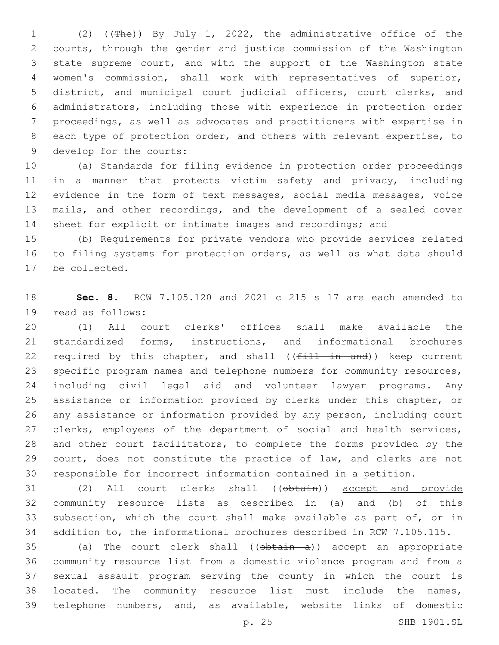(2) ((The)) By July 1, 2022, the administrative office of the courts, through the gender and justice commission of the Washington state supreme court, and with the support of the Washington state women's commission, shall work with representatives of superior, district, and municipal court judicial officers, court clerks, and administrators, including those with experience in protection order proceedings, as well as advocates and practitioners with expertise in each type of protection order, and others with relevant expertise, to 9 develop for the courts:

 (a) Standards for filing evidence in protection order proceedings in a manner that protects victim safety and privacy, including evidence in the form of text messages, social media messages, voice mails, and other recordings, and the development of a sealed cover sheet for explicit or intimate images and recordings; and

 (b) Requirements for private vendors who provide services related to filing systems for protection orders, as well as what data should 17 be collected.

 **Sec. 8.** RCW 7.105.120 and 2021 c 215 s 17 are each amended to 19 read as follows:

 (1) All court clerks' offices shall make available the standardized forms, instructions, and informational brochures 22 required by this chapter, and shall  $((f<sub>1</sub> + 1 + 1 - 1)$  and) keep current specific program names and telephone numbers for community resources, including civil legal aid and volunteer lawyer programs. Any assistance or information provided by clerks under this chapter, or any assistance or information provided by any person, including court clerks, employees of the department of social and health services, and other court facilitators, to complete the forms provided by the court, does not constitute the practice of law, and clerks are not responsible for incorrect information contained in a petition.

 (2) All court clerks shall ((obtain)) accept and provide community resource lists as described in (a) and (b) of this subsection, which the court shall make available as part of, or in addition to, the informational brochures described in RCW 7.105.115.

35 (a) The court clerk shall ((obtain a)) accept an appropriate community resource list from a domestic violence program and from a sexual assault program serving the county in which the court is located. The community resource list must include the names, telephone numbers, and, as available, website links of domestic

p. 25 SHB 1901.SL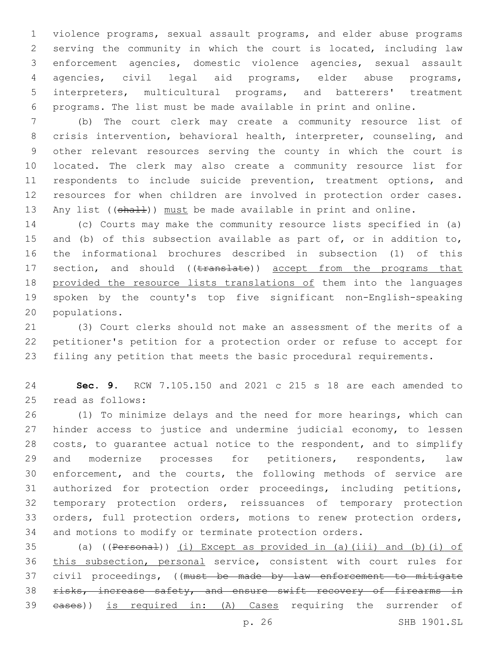violence programs, sexual assault programs, and elder abuse programs serving the community in which the court is located, including law enforcement agencies, domestic violence agencies, sexual assault agencies, civil legal aid programs, elder abuse programs, interpreters, multicultural programs, and batterers' treatment programs. The list must be made available in print and online.

 (b) The court clerk may create a community resource list of crisis intervention, behavioral health, interpreter, counseling, and other relevant resources serving the county in which the court is located. The clerk may also create a community resource list for respondents to include suicide prevention, treatment options, and resources for when children are involved in protection order cases. 13 Any list ((shall)) must be made available in print and online.

 (c) Courts may make the community resource lists specified in (a) and (b) of this subsection available as part of, or in addition to, the informational brochures described in subsection (1) of this 17 section, and should ((translate)) accept from the programs that provided the resource lists translations of them into the languages spoken by the county's top five significant non-English-speaking 20 populations.

 (3) Court clerks should not make an assessment of the merits of a petitioner's petition for a protection order or refuse to accept for filing any petition that meets the basic procedural requirements.

 **Sec. 9.** RCW 7.105.150 and 2021 c 215 s 18 are each amended to 25 read as follows:

 (1) To minimize delays and the need for more hearings, which can hinder access to justice and undermine judicial economy, to lessen costs, to guarantee actual notice to the respondent, and to simplify 29 and modernize processes for petitioners, respondents, law enforcement, and the courts, the following methods of service are authorized for protection order proceedings, including petitions, temporary protection orders, reissuances of temporary protection orders, full protection orders, motions to renew protection orders, and motions to modify or terminate protection orders.

 (a) ((Personal)) (i) Except as provided in (a)(iii) and (b)(i) of this subsection, personal service, consistent with court rules for 37 civil proceedings, ((must be made by law enforcement to mitigate 38 risks, increase safety, and ensure swift recovery of firearms in cases)) is required in: (A) Cases requiring the surrender of

p. 26 SHB 1901.SL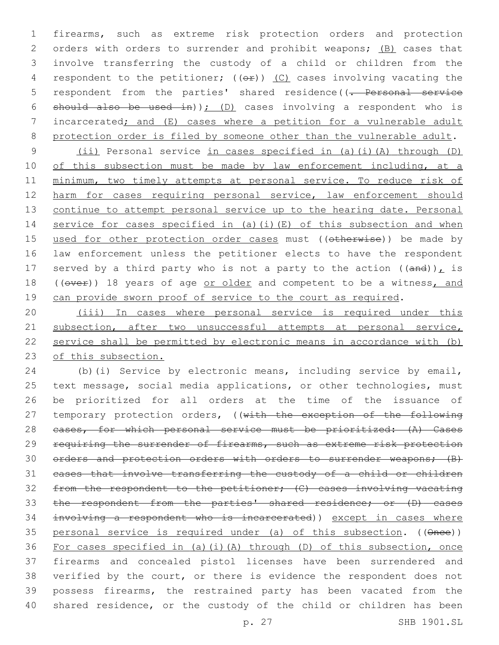1 firearms, such as extreme risk protection orders and protection 2 orders with orders to surrender and prohibit weapons; (B) cases that 3 involve transferring the custody of a child or children from the 4 respondent to the petitioner;  $((eF))$  (C) cases involving vacating the 5 respondent from the parties' shared residence((<del>. Personal service</del> 6 should also be used in)); (D) cases involving a respondent who is 7 incarcerated; and (E) cases where a petition for a vulnerable adult 8 protection order is filed by someone other than the vulnerable adult.

9 (ii) Personal service in cases specified in (a)(i)(A) through (D) 10 of this subsection must be made by law enforcement including, at a 11 minimum, two timely attempts at personal service. To reduce risk of 12 harm for cases requiring personal service, law enforcement should 13 continue to attempt personal service up to the hearing date. Personal 14 service for cases specified in (a)(i)(E) of this subsection and when 15 used for other protection order cases must ((otherwise)) be made by 16 law enforcement unless the petitioner elects to have the respondent 17 served by a third party who is not a party to the action  $((and))_L$  is 18 ((over)) 18 years of age or older and competent to be a witness, and 19 can provide sworn proof of service to the court as required.

20 (iii) In cases where personal service is required under this 21 subsection, after two unsuccessful attempts at personal service, 22 service shall be permitted by electronic means in accordance with (b) 23 of this subsection.

 (b)(i) Service by electronic means, including service by email, text message, social media applications, or other technologies, must be prioritized for all orders at the time of the issuance of 27 temporary protection orders, ((with the exception of the following 28 eases, for which personal service must be prioritized: (A) Cases 29 requiring the surrender of firearms, such as extreme risk protection 30 orders and protection orders with orders to surrender weapons; (B) cases that involve transferring the custody of a child or children from the respondent to the petitioner; (C) cases involving vacating 33 the respondent from the parties' shared residence; or (D) cases involving a respondent who is incarcerated)) except in cases where personal service is required under (a) of this subsection. ((Once)) For cases specified in (a)(i)(A) through (D) of this subsection, once firearms and concealed pistol licenses have been surrendered and verified by the court, or there is evidence the respondent does not possess firearms, the restrained party has been vacated from the 40 shared residence, or the custody of the child or children has been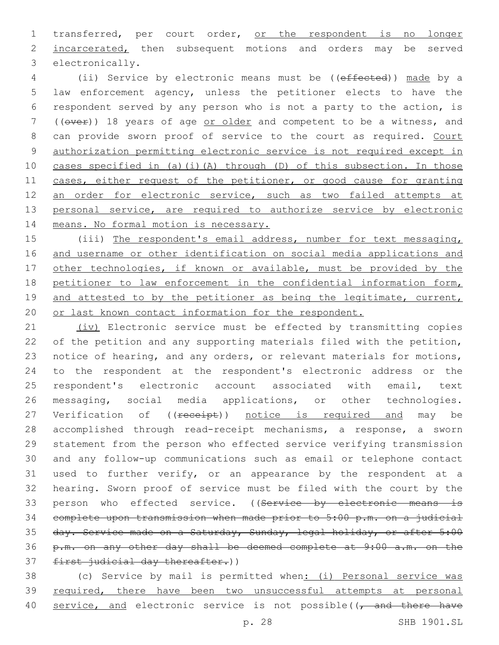1 transferred, per court order, or the respondent is no longer 2 incarcerated, then subsequent motions and orders may be served 3 electronically.

4 (ii) Service by electronic means must be ((effected)) made by a 5 law enforcement agency, unless the petitioner elects to have the 6 respondent served by any person who is not a party to the action, is 7 ((over)) 18 years of age or older and competent to be a witness, and 8 can provide sworn proof of service to the court as required. Court 9 authorization permitting electronic service is not required except in 10 cases specified in (a)(i)(A) through (D) of this subsection. In those 11 cases, either request of the petitioner, or good cause for granting 12 an order for electronic service, such as two failed attempts at 13 personal service, are required to authorize service by electronic 14 means. No formal motion is necessary.

15 (iii) The respondent's email address, number for text messaging, 16 and username or other identification on social media applications and 17 other technologies, if known or available, must be provided by the 18 petitioner to law enforcement in the confidential information form, 19 and attested to by the petitioner as being the legitimate, current, 20 or last known contact information for the respondent.

21 (iv) Electronic service must be effected by transmitting copies of the petition and any supporting materials filed with the petition, notice of hearing, and any orders, or relevant materials for motions, to the respondent at the respondent's electronic address or the respondent's electronic account associated with email, text messaging, social media applications, or other technologies. 27 Verification of ((receipt)) notice is required and may be accomplished through read-receipt mechanisms, a response, a sworn statement from the person who effected service verifying transmission and any follow-up communications such as email or telephone contact used to further verify, or an appearance by the respondent at a hearing. Sworn proof of service must be filed with the court by the 33 person who effected service. ((Service by electronic means is complete upon transmission when made prior to 5:00 p.m. on a judicial day. Service made on a Saturday, Sunday, legal holiday, or after 5:00 p.m. on any other day shall be deemed complete at 9:00 a.m. on the 37 first judicial day thereafter.))

38 (c) Service by mail is permitted when: (i) Personal service was 39 required, there have been two unsuccessful attempts at personal 40 service, and electronic service is not possible( $\sqrt{\frac{1}{1-\alpha}}$  there have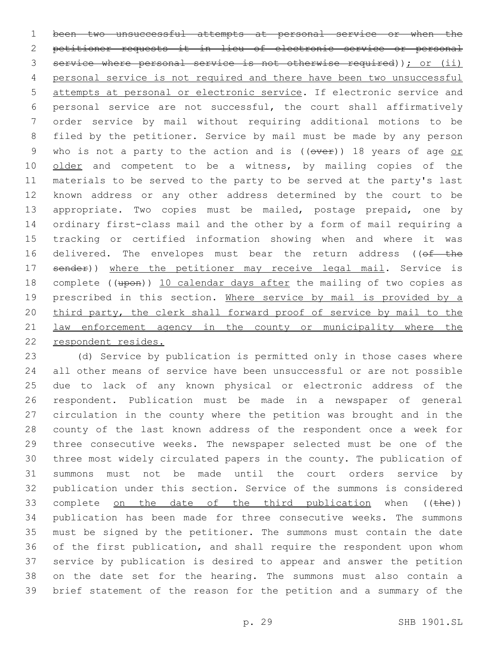been two unsuccessful attempts at personal service or when the petitioner requests it in lieu of electronic service or personal service where personal service is not otherwise required)); or (ii) 4 personal service is not required and there have been two unsuccessful attempts at personal or electronic service. If electronic service and personal service are not successful, the court shall affirmatively order service by mail without requiring additional motions to be filed by the petitioner. Service by mail must be made by any person 9 who is not a party to the action and is ((over)) 18 years of age or 10 older and competent to be a witness, by mailing copies of the materials to be served to the party to be served at the party's last known address or any other address determined by the court to be appropriate. Two copies must be mailed, postage prepaid, one by ordinary first-class mail and the other by a form of mail requiring a tracking or certified information showing when and where it was 16 delivered. The envelopes must bear the return address ((of the 17 sender)) where the petitioner may receive legal mail. Service is 18 complete ((upon)) 10 calendar days after the mailing of two copies as 19 prescribed in this section. Where service by mail is provided by a third party, the clerk shall forward proof of service by mail to the law enforcement agency in the county or municipality where the respondent resides.

 (d) Service by publication is permitted only in those cases where all other means of service have been unsuccessful or are not possible due to lack of any known physical or electronic address of the respondent. Publication must be made in a newspaper of general circulation in the county where the petition was brought and in the county of the last known address of the respondent once a week for three consecutive weeks. The newspaper selected must be one of the three most widely circulated papers in the county. The publication of summons must not be made until the court orders service by publication under this section. Service of the summons is considered 33 complete on the date of the third publication when  $((the)$ ) publication has been made for three consecutive weeks. The summons must be signed by the petitioner. The summons must contain the date of the first publication, and shall require the respondent upon whom service by publication is desired to appear and answer the petition on the date set for the hearing. The summons must also contain a brief statement of the reason for the petition and a summary of the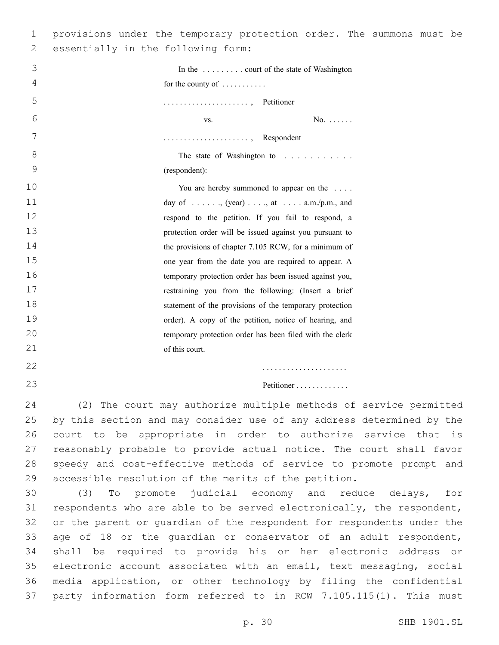| 1  | provisions under the temporary protection order. The summons must be  |
|----|-----------------------------------------------------------------------|
| 2  | essentially in the following form:                                    |
| 3  | In the  court of the state of Washington                              |
| 4  | for the county of $\dots \dots$                                       |
| 5  | , Petitioner                                                          |
| 6  | $No. \ldots$ .<br>VS.                                                 |
| 7  | , Respondent                                                          |
| 8  | The state of Washington to                                            |
| 9  | (respondent):                                                         |
| 10 | You are hereby summoned to appear on the                              |
| 11 | day of $\dots$ , $(year)$ , $\dots$ , at $\dots$ a.m./p.m., and       |
| 12 | respond to the petition. If you fail to respond, a                    |
| 13 | protection order will be issued against you pursuant to               |
| 14 | the provisions of chapter 7.105 RCW, for a minimum of                 |
| 15 | one year from the date you are required to appear. A                  |
| 16 | temporary protection order has been issued against you,               |
| 17 | restraining you from the following: (Insert a brief                   |
| 18 | statement of the provisions of the temporary protection               |
| 19 | order). A copy of the petition, notice of hearing, and                |
| 20 | temporary protection order has been filed with the clerk              |
| 21 | of this court.                                                        |
| 22 | .                                                                     |
| 23 | Petitioner                                                            |
| 24 | (2) The court may authorize multiple methods of service permitted     |
| 25 | by this section and may consider use of any address determined by the |
| 26 | court to be appropriate in order to authorize service that is         |
| 27 | reasonably probable to provide actual notice. The court shall favor   |
| 28 | speedy and cost-effective methods of service to promote prompt and    |
| 29 | accessible resolution of the merits of the petition.                  |
| 30 | promote judicial economy and reduce delays, for<br>(3)<br>$_{\rm TO}$ |
| 31 | respondents who are able to be served electronically, the respondent, |
| 32 | or the parent or quardian of the respondent for respondents under the |
| 33 | age of 18 or the guardian or conservator of an adult respondent,      |
| 34 | shall be required to provide his or her electronic address or         |
| 35 | electronic account associated with an email, text messaging, social   |
| 36 | media application, or other technology by filing the confidential     |
| 37 | party information form referred to in RCW 7.105.115(1). This must     |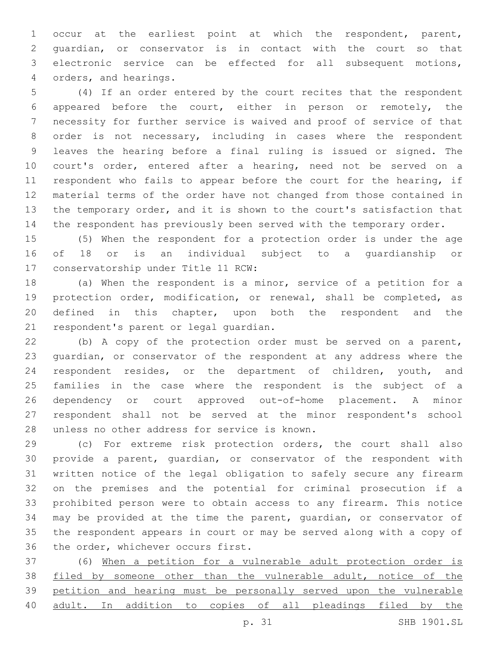occur at the earliest point at which the respondent, parent, guardian, or conservator is in contact with the court so that electronic service can be effected for all subsequent motions, orders, and hearings.4

 (4) If an order entered by the court recites that the respondent appeared before the court, either in person or remotely, the necessity for further service is waived and proof of service of that order is not necessary, including in cases where the respondent leaves the hearing before a final ruling is issued or signed. The court's order, entered after a hearing, need not be served on a respondent who fails to appear before the court for the hearing, if material terms of the order have not changed from those contained in the temporary order, and it is shown to the court's satisfaction that the respondent has previously been served with the temporary order.

 (5) When the respondent for a protection order is under the age of 18 or is an individual subject to a guardianship or 17 conservatorship under Title 11 RCW:

 (a) When the respondent is a minor, service of a petition for a protection order, modification, or renewal, shall be completed, as defined in this chapter, upon both the respondent and the 21 respondent's parent or legal guardian.

 (b) A copy of the protection order must be served on a parent, guardian, or conservator of the respondent at any address where the respondent resides, or the department of children, youth, and families in the case where the respondent is the subject of a dependency or court approved out-of-home placement. A minor respondent shall not be served at the minor respondent's school 28 unless no other address for service is known.

 (c) For extreme risk protection orders, the court shall also provide a parent, guardian, or conservator of the respondent with written notice of the legal obligation to safely secure any firearm on the premises and the potential for criminal prosecution if a prohibited person were to obtain access to any firearm. This notice may be provided at the time the parent, guardian, or conservator of the respondent appears in court or may be served along with a copy of 36 the order, whichever occurs first.

 (6) When a petition for a vulnerable adult protection order is filed by someone other than the vulnerable adult, notice of the petition and hearing must be personally served upon the vulnerable adult. In addition to copies of all pleadings filed by the

p. 31 SHB 1901.SL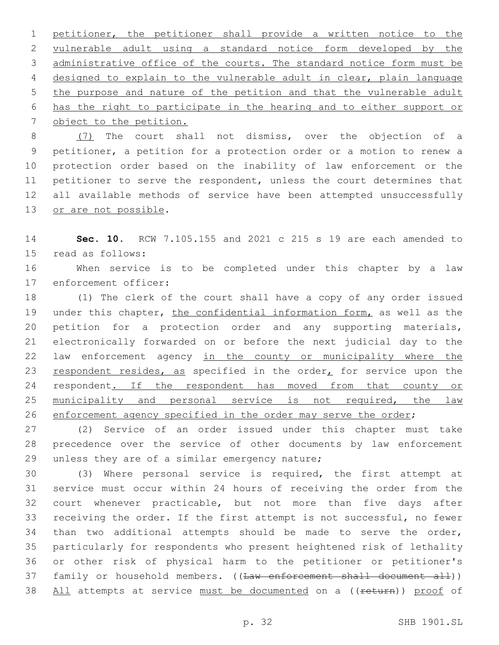petitioner, the petitioner shall provide a written notice to the vulnerable adult using a standard notice form developed by the administrative office of the courts. The standard notice form must be designed to explain to the vulnerable adult in clear, plain language the purpose and nature of the petition and that the vulnerable adult has the right to participate in the hearing and to either support or 7 object to the petition.

 (7) The court shall not dismiss, over the objection of a petitioner, a petition for a protection order or a motion to renew a protection order based on the inability of law enforcement or the petitioner to serve the respondent, unless the court determines that all available methods of service have been attempted unsuccessfully 13 or are not possible.

 **Sec. 10.** RCW 7.105.155 and 2021 c 215 s 19 are each amended to 15 read as follows:

 When service is to be completed under this chapter by a law 17 enforcement officer:

 (1) The clerk of the court shall have a copy of any order issued 19 under this chapter, the confidential information form, as well as the petition for a protection order and any supporting materials, electronically forwarded on or before the next judicial day to the 22 law enforcement agency in the county or municipality where the 23 respondent resides, as specified in the order<sub> $<sub>L</sub>$  for service upon the</sub></sub> 24 respondent. If the respondent has moved from that county or 25 municipality and personal service is not required, the law enforcement agency specified in the order may serve the order;

 (2) Service of an order issued under this chapter must take precedence over the service of other documents by law enforcement 29 unless they are of a similar emergency nature;

 (3) Where personal service is required, the first attempt at service must occur within 24 hours of receiving the order from the court whenever practicable, but not more than five days after receiving the order. If the first attempt is not successful, no fewer than two additional attempts should be made to serve the order, particularly for respondents who present heightened risk of lethality or other risk of physical harm to the petitioner or petitioner's 37 family or household members. ((Law enforcement shall document all)) 38 All attempts at service must be documented on a ((return)) proof of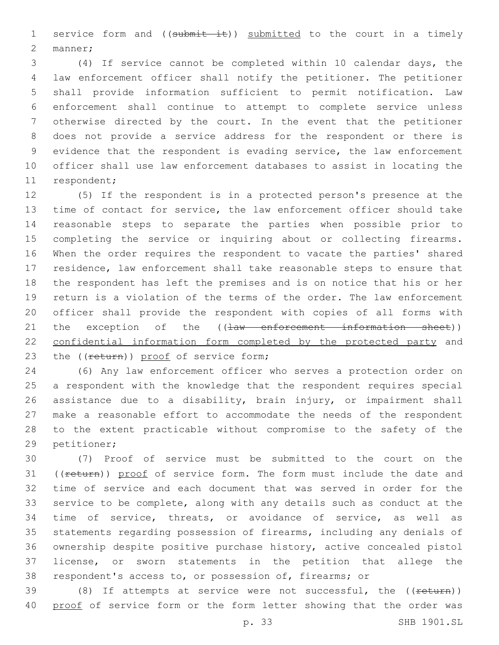1 service form and ((submit it)) submitted to the court in a timely 2 manner;

 (4) If service cannot be completed within 10 calendar days, the law enforcement officer shall notify the petitioner. The petitioner shall provide information sufficient to permit notification. Law enforcement shall continue to attempt to complete service unless otherwise directed by the court. In the event that the petitioner does not provide a service address for the respondent or there is evidence that the respondent is evading service, the law enforcement officer shall use law enforcement databases to assist in locating the 11 respondent;

 (5) If the respondent is in a protected person's presence at the time of contact for service, the law enforcement officer should take reasonable steps to separate the parties when possible prior to completing the service or inquiring about or collecting firearms. When the order requires the respondent to vacate the parties' shared residence, law enforcement shall take reasonable steps to ensure that the respondent has left the premises and is on notice that his or her return is a violation of the terms of the order. The law enforcement officer shall provide the respondent with copies of all forms with 21 the exception of the ((law enforcement information sheet)) confidential information form completed by the protected party and 23 the ((return)) proof of service form;

 (6) Any law enforcement officer who serves a protection order on a respondent with the knowledge that the respondent requires special assistance due to a disability, brain injury, or impairment shall make a reasonable effort to accommodate the needs of the respondent to the extent practicable without compromise to the safety of the 29 petitioner;

 (7) Proof of service must be submitted to the court on the 31 ((return)) proof of service form. The form must include the date and time of service and each document that was served in order for the service to be complete, along with any details such as conduct at the time of service, threats, or avoidance of service, as well as statements regarding possession of firearms, including any denials of ownership despite positive purchase history, active concealed pistol license, or sworn statements in the petition that allege the respondent's access to, or possession of, firearms; or

39 (8) If attempts at service were not successful, the ((return)) proof of service form or the form letter showing that the order was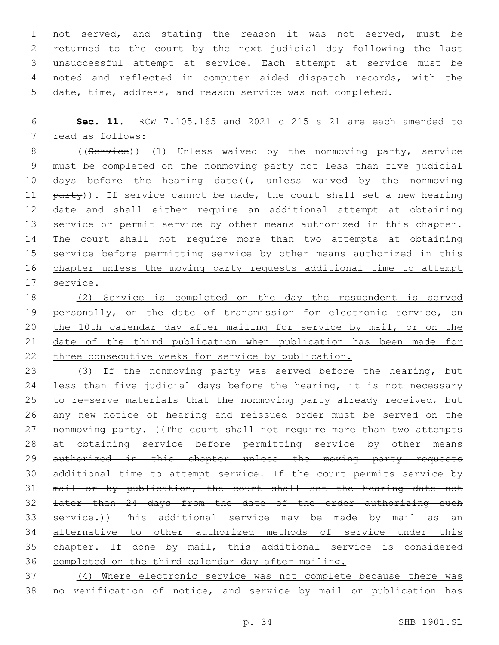not served, and stating the reason it was not served, must be returned to the court by the next judicial day following the last unsuccessful attempt at service. Each attempt at service must be noted and reflected in computer aided dispatch records, with the date, time, address, and reason service was not completed.

 **Sec. 11.** RCW 7.105.165 and 2021 c 215 s 21 are each amended to 7 read as follows:

8 ((Service)) (1) Unless waived by the nonmoving party, service must be completed on the nonmoving party not less than five judicial 10 days before the hearing date((, unless waived by the nonmoving 11 party)). If service cannot be made, the court shall set a new hearing date and shall either require an additional attempt at obtaining service or permit service by other means authorized in this chapter. The court shall not require more than two attempts at obtaining 15 service before permitting service by other means authorized in this chapter unless the moving party requests additional time to attempt service.

 (2) Service is completed on the day the respondent is served 19 personally, on the date of transmission for electronic service, on 20 the 10th calendar day after mailing for service by mail, or on the date of the third publication when publication has been made for three consecutive weeks for service by publication.

 (3) If the nonmoving party was served before the hearing, but 24 less than five judicial days before the hearing, it is not necessary to re-serve materials that the nonmoving party already received, but any new notice of hearing and reissued order must be served on the 27 nonmoving party. ((The court shall not require more than two attempts at obtaining service before permitting service by other means 29 authorized in this chapter unless the moving party requests 30 additional time to attempt service. If the court permits service by 31 mail or by publication, the court shall set the hearing date not later than 24 days from the date of the order authorizing such 33 service.)) This additional service may be made by mail as an alternative to other authorized methods of service under this chapter. If done by mail, this additional service is considered completed on the third calendar day after mailing.

 (4) Where electronic service was not complete because there was no verification of notice, and service by mail or publication has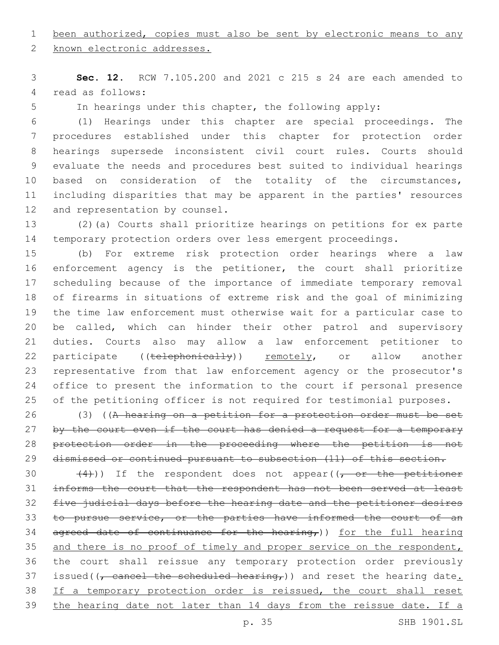been authorized, copies must also be sent by electronic means to any

2 known electronic addresses.

 **Sec. 12.** RCW 7.105.200 and 2021 c 215 s 24 are each amended to 4 read as follows:

In hearings under this chapter, the following apply:

 (1) Hearings under this chapter are special proceedings. The procedures established under this chapter for protection order hearings supersede inconsistent civil court rules. Courts should evaluate the needs and procedures best suited to individual hearings 10 based on consideration of the totality of the circumstances, including disparities that may be apparent in the parties' resources 12 and representation by counsel.

 (2)(a) Courts shall prioritize hearings on petitions for ex parte temporary protection orders over less emergent proceedings.

 (b) For extreme risk protection order hearings where a law enforcement agency is the petitioner, the court shall prioritize scheduling because of the importance of immediate temporary removal of firearms in situations of extreme risk and the goal of minimizing the time law enforcement must otherwise wait for a particular case to be called, which can hinder their other patrol and supervisory duties. Courts also may allow a law enforcement petitioner to 22 participate ((telephonically)) remotely, or allow another representative from that law enforcement agency or the prosecutor's office to present the information to the court if personal presence of the petitioning officer is not required for testimonial purposes.

 (3) ((A hearing on a petition for a protection order must be set 27 by the court even if the court has denied a request for a temporary protection order in the proceeding where the petition is not 29 dismissed or continued pursuant to subsection (11) of this section.

30  $(4)$ )) If the respondent does not appear( $(-$ or the petitioner informs the court that the respondent has not been served at least five judicial days before the hearing date and the petitioner desires 33 to pursue service, or the parties have informed the court of an 34 agreed date of continuance for the hearing,)) for the full hearing 35 and there is no proof of timely and proper service on the respondent, the court shall reissue any temporary protection order previously 37 issued( $\frac{1}{\tau}$  cancel the scheduled hearing,)) and reset the hearing date. 38 If a temporary protection order is reissued, the court shall reset the hearing date not later than 14 days from the reissue date. If a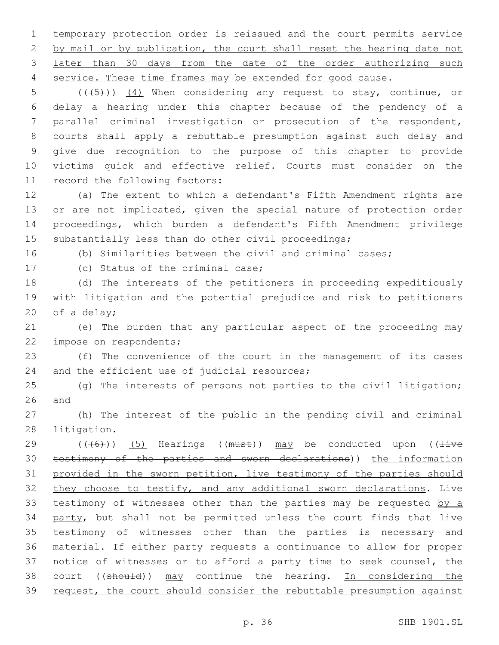temporary protection order is reissued and the court permits service 2 by mail or by publication, the court shall reset the hearing date not later than 30 days from the date of the order authorizing such service. These time frames may be extended for good cause.

 $((\overline{5}))$   $(4)$  When considering any request to stay, continue, or delay a hearing under this chapter because of the pendency of a parallel criminal investigation or prosecution of the respondent, courts shall apply a rebuttable presumption against such delay and give due recognition to the purpose of this chapter to provide victims quick and effective relief. Courts must consider on the 11 record the following factors:

 (a) The extent to which a defendant's Fifth Amendment rights are or are not implicated, given the special nature of protection order proceedings, which burden a defendant's Fifth Amendment privilege substantially less than do other civil proceedings;

(b) Similarities between the civil and criminal cases;

17 (c) Status of the criminal case;

 (d) The interests of the petitioners in proceeding expeditiously with litigation and the potential prejudice and risk to petitioners 20 of a delay;

 (e) The burden that any particular aspect of the proceeding may 22 impose on respondents;

 (f) The convenience of the court in the management of its cases 24 and the efficient use of judicial resources;

 (g) The interests of persons not parties to the civil litigation; and

 (h) The interest of the public in the pending civil and criminal 28 litigation.

29 ( $(\overline{6})$ ) (5) Hearings ((must)) may be conducted upon (( $\overline{4\text{ive}}$ ) testimony of the parties and sworn declarations)) the information provided in the sworn petition, live testimony of the parties should 32 they choose to testify, and any additional sworn declarations. Live 33 testimony of witnesses other than the parties may be requested by a 34 party, but shall not be permitted unless the court finds that live testimony of witnesses other than the parties is necessary and material. If either party requests a continuance to allow for proper notice of witnesses or to afford a party time to seek counsel, the 38 court ((should)) may continue the hearing. In considering the 39 request, the court should consider the rebuttable presumption against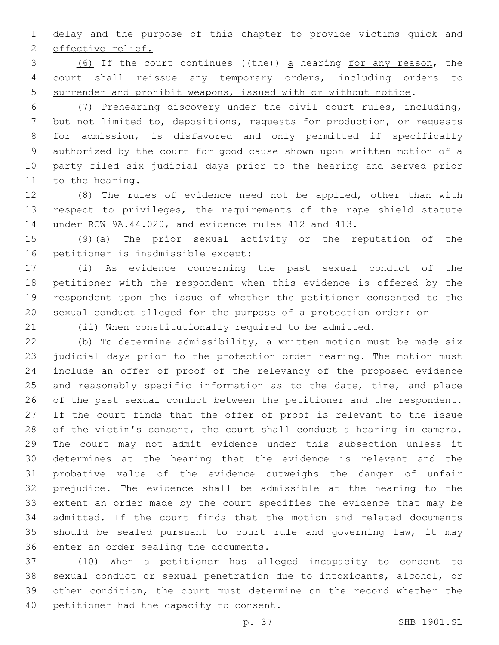1 delay and the purpose of this chapter to provide victims quick and 2 effective relief.

3 (6) If the court continues ((the)) a hearing for any reason, the 4 court shall reissue any temporary orders, including orders to surrender and prohibit weapons, issued with or without notice.

 (7) Prehearing discovery under the civil court rules, including, but not limited to, depositions, requests for production, or requests for admission, is disfavored and only permitted if specifically authorized by the court for good cause shown upon written motion of a party filed six judicial days prior to the hearing and served prior 11 to the hearing.

 (8) The rules of evidence need not be applied, other than with respect to privileges, the requirements of the rape shield statute under RCW 9A.44.020, and evidence rules 412 and 413.

 (9)(a) The prior sexual activity or the reputation of the 16 petitioner is inadmissible except:

 (i) As evidence concerning the past sexual conduct of the petitioner with the respondent when this evidence is offered by the respondent upon the issue of whether the petitioner consented to the sexual conduct alleged for the purpose of a protection order; or

(ii) When constitutionally required to be admitted.

 (b) To determine admissibility, a written motion must be made six judicial days prior to the protection order hearing. The motion must include an offer of proof of the relevancy of the proposed evidence 25 and reasonably specific information as to the date, time, and place 26 of the past sexual conduct between the petitioner and the respondent. If the court finds that the offer of proof is relevant to the issue 28 of the victim's consent, the court shall conduct a hearing in camera. The court may not admit evidence under this subsection unless it determines at the hearing that the evidence is relevant and the probative value of the evidence outweighs the danger of unfair prejudice. The evidence shall be admissible at the hearing to the extent an order made by the court specifies the evidence that may be admitted. If the court finds that the motion and related documents should be sealed pursuant to court rule and governing law, it may 36 enter an order sealing the documents.

 (10) When a petitioner has alleged incapacity to consent to sexual conduct or sexual penetration due to intoxicants, alcohol, or other condition, the court must determine on the record whether the 40 petitioner had the capacity to consent.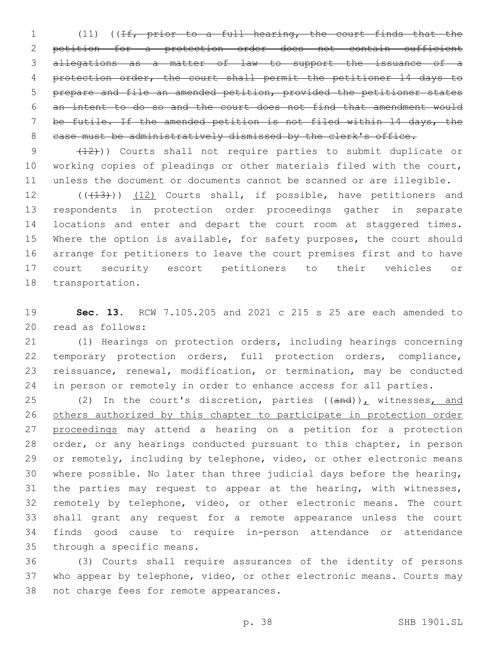(11) ((If, prior to a full hearing, the court finds that the petition for a protection order does not contain sufficient allegations as a matter of law to support the issuance of a protection order, the court shall permit the petitioner 14 days to prepare and file an amended petition, provided the petitioner states an intent to do so and the court does not find that amendment would be futile. If the amended petition is not filed within 14 days, the 8 case must be administratively dismissed by the clerk's office.

9 (12))) Courts shall not require parties to submit duplicate or working copies of pleadings or other materials filed with the court, unless the document or documents cannot be scanned or are illegible.

12 (((13))) (12) Courts shall, if possible, have petitioners and respondents in protection order proceedings gather in separate locations and enter and depart the court room at staggered times. Where the option is available, for safety purposes, the court should arrange for petitioners to leave the court premises first and to have court security escort petitioners to their vehicles or 18 transportation.

 **Sec. 13.** RCW 7.105.205 and 2021 c 215 s 25 are each amended to 20 read as follows:

 (1) Hearings on protection orders, including hearings concerning temporary protection orders, full protection orders, compliance, reissuance, renewal, modification, or termination, may be conducted 24 in person or remotely in order to enhance access for all parties.

25 (2) In the court's discretion, parties  $((and))_L$  witnesses, and others authorized by this chapter to participate in protection order 27 proceedings may attend a hearing on a petition for a protection order, or any hearings conducted pursuant to this chapter, in person 29 or remotely, including by telephone, video, or other electronic means where possible. No later than three judicial days before the hearing, the parties may request to appear at the hearing, with witnesses, remotely by telephone, video, or other electronic means. The court shall grant any request for a remote appearance unless the court finds good cause to require in-person attendance or attendance 35 through a specific means.

 (3) Courts shall require assurances of the identity of persons who appear by telephone, video, or other electronic means. Courts may 38 not charge fees for remote appearances.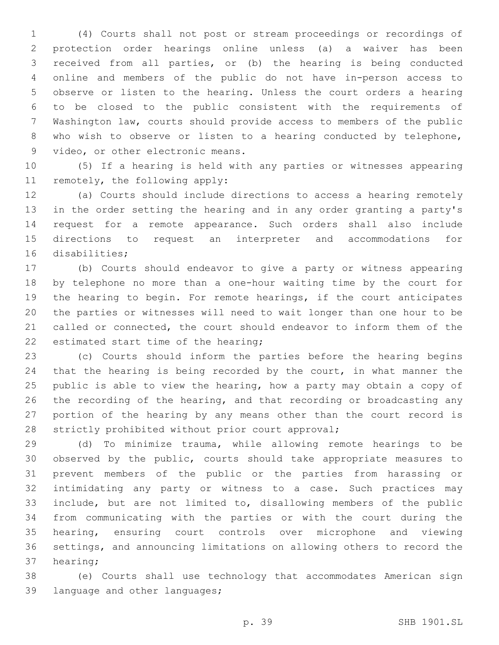(4) Courts shall not post or stream proceedings or recordings of protection order hearings online unless (a) a waiver has been received from all parties, or (b) the hearing is being conducted online and members of the public do not have in-person access to observe or listen to the hearing. Unless the court orders a hearing to be closed to the public consistent with the requirements of Washington law, courts should provide access to members of the public who wish to observe or listen to a hearing conducted by telephone, 9 video, or other electronic means.

 (5) If a hearing is held with any parties or witnesses appearing 11 remotely, the following apply:

 (a) Courts should include directions to access a hearing remotely in the order setting the hearing and in any order granting a party's request for a remote appearance. Such orders shall also include directions to request an interpreter and accommodations for 16 disabilities;

 (b) Courts should endeavor to give a party or witness appearing by telephone no more than a one-hour waiting time by the court for the hearing to begin. For remote hearings, if the court anticipates the parties or witnesses will need to wait longer than one hour to be called or connected, the court should endeavor to inform them of the 22 estimated start time of the hearing;

 (c) Courts should inform the parties before the hearing begins that the hearing is being recorded by the court, in what manner the public is able to view the hearing, how a party may obtain a copy of the recording of the hearing, and that recording or broadcasting any portion of the hearing by any means other than the court record is 28 strictly prohibited without prior court approval;

 (d) To minimize trauma, while allowing remote hearings to be observed by the public, courts should take appropriate measures to prevent members of the public or the parties from harassing or intimidating any party or witness to a case. Such practices may include, but are not limited to, disallowing members of the public from communicating with the parties or with the court during the hearing, ensuring court controls over microphone and viewing settings, and announcing limitations on allowing others to record the 37 hearing;

 (e) Courts shall use technology that accommodates American sign 39 language and other languages;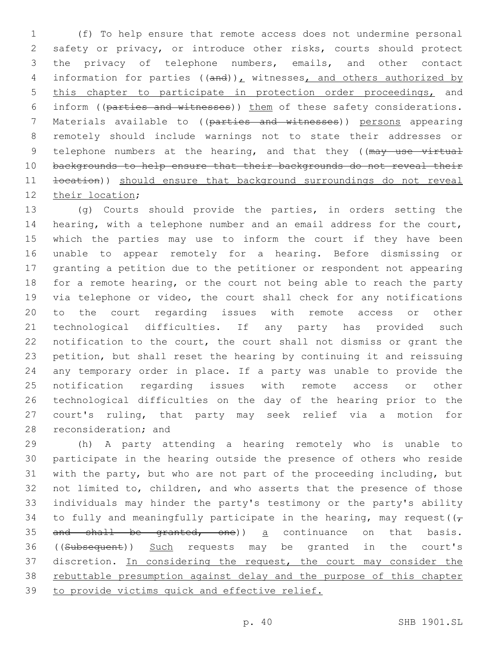(f) To help ensure that remote access does not undermine personal safety or privacy, or introduce other risks, courts should protect the privacy of telephone numbers, emails, and other contact 4 information for parties  $((and))_L$  witnesses, and others authorized by this chapter to participate in protection order proceedings, and inform ((parties and witnesses)) them of these safety considerations. Materials available to ((parties and witnesses)) persons appearing remotely should include warnings not to state their addresses or 9 telephone numbers at the hearing, and that they ((may use virtual backgrounds to help ensure that their backgrounds do not reveal their **location**)) should ensure that background surroundings do not reveal 12 their location;

 (g) Courts should provide the parties, in orders setting the hearing, with a telephone number and an email address for the court, which the parties may use to inform the court if they have been unable to appear remotely for a hearing. Before dismissing or granting a petition due to the petitioner or respondent not appearing for a remote hearing, or the court not being able to reach the party via telephone or video, the court shall check for any notifications to the court regarding issues with remote access or other technological difficulties. If any party has provided such notification to the court, the court shall not dismiss or grant the petition, but shall reset the hearing by continuing it and reissuing any temporary order in place. If a party was unable to provide the notification regarding issues with remote access or other technological difficulties on the day of the hearing prior to the court's ruling, that party may seek relief via a motion for 28 reconsideration; and

 (h) A party attending a hearing remotely who is unable to participate in the hearing outside the presence of others who reside with the party, but who are not part of the proceeding including, but not limited to, children, and who asserts that the presence of those individuals may hinder the party's testimony or the party's ability 34 to fully and meaningfully participate in the hearing, may request( $(\tau)$ 35 and shall be granted, one)) a continuance on that basis. ((Subsequent)) Such requests may be granted in the court's discretion. In considering the request, the court may consider the rebuttable presumption against delay and the purpose of this chapter to provide victims quick and effective relief.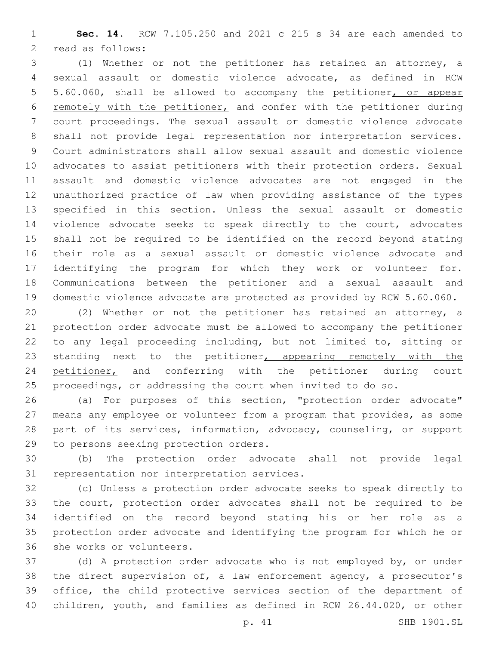**Sec. 14.** RCW 7.105.250 and 2021 c 215 s 34 are each amended to 2 read as follows:

 (1) Whether or not the petitioner has retained an attorney, a sexual assault or domestic violence advocate, as defined in RCW 5.60.060, shall be allowed to accompany the petitioner, or appear 6 remotely with the petitioner, and confer with the petitioner during court proceedings. The sexual assault or domestic violence advocate shall not provide legal representation nor interpretation services. Court administrators shall allow sexual assault and domestic violence advocates to assist petitioners with their protection orders. Sexual assault and domestic violence advocates are not engaged in the unauthorized practice of law when providing assistance of the types specified in this section. Unless the sexual assault or domestic violence advocate seeks to speak directly to the court, advocates shall not be required to be identified on the record beyond stating their role as a sexual assault or domestic violence advocate and identifying the program for which they work or volunteer for. Communications between the petitioner and a sexual assault and domestic violence advocate are protected as provided by RCW 5.60.060.

 (2) Whether or not the petitioner has retained an attorney, a protection order advocate must be allowed to accompany the petitioner to any legal proceeding including, but not limited to, sitting or 23 standing next to the petitioner, appearing remotely with the 24 petitioner, and conferring with the petitioner during court proceedings, or addressing the court when invited to do so.

 (a) For purposes of this section, "protection order advocate" means any employee or volunteer from a program that provides, as some part of its services, information, advocacy, counseling, or support 29 to persons seeking protection orders.

 (b) The protection order advocate shall not provide legal 31 representation nor interpretation services.

 (c) Unless a protection order advocate seeks to speak directly to the court, protection order advocates shall not be required to be identified on the record beyond stating his or her role as a protection order advocate and identifying the program for which he or 36 she works or volunteers.

 (d) A protection order advocate who is not employed by, or under the direct supervision of, a law enforcement agency, a prosecutor's office, the child protective services section of the department of children, youth, and families as defined in RCW 26.44.020, or other

p. 41 SHB 1901.SL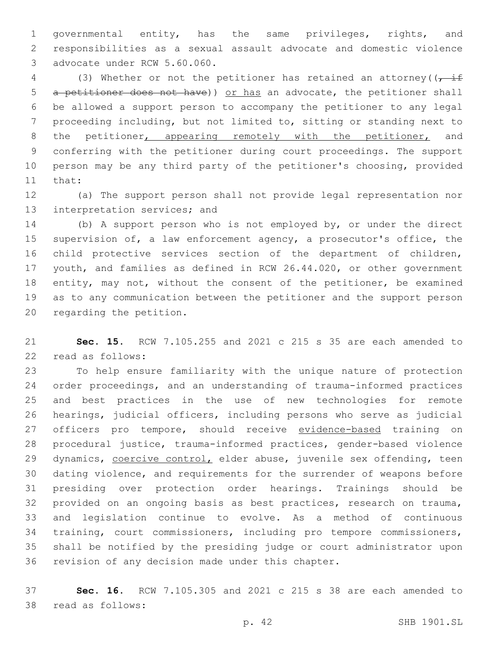governmental entity, has the same privileges, rights, and responsibilities as a sexual assault advocate and domestic violence 3 advocate under RCW 5.60.060.

4 (3) Whether or not the petitioner has retained an attorney( $\sqrt{t}$  if 5 a petitioner does not have)) or has an advocate, the petitioner shall be allowed a support person to accompany the petitioner to any legal proceeding including, but not limited to, sitting or standing next to 8 the petitioner, appearing remotely with the petitioner, and conferring with the petitioner during court proceedings. The support person may be any third party of the petitioner's choosing, provided 11 that:

 (a) The support person shall not provide legal representation nor 13 interpretation services; and

 (b) A support person who is not employed by, or under the direct 15 supervision of, a law enforcement agency, a prosecutor's office, the child protective services section of the department of children, youth, and families as defined in RCW 26.44.020, or other government 18 entity, may not, without the consent of the petitioner, be examined as to any communication between the petitioner and the support person 20 regarding the petition.

 **Sec. 15.** RCW 7.105.255 and 2021 c 215 s 35 are each amended to 22 read as follows:

 To help ensure familiarity with the unique nature of protection order proceedings, and an understanding of trauma-informed practices and best practices in the use of new technologies for remote hearings, judicial officers, including persons who serve as judicial 27 officers pro tempore, should receive evidence-based training on procedural justice, trauma-informed practices, gender-based violence 29 dynamics, coercive control, elder abuse, juvenile sex offending, teen dating violence, and requirements for the surrender of weapons before presiding over protection order hearings. Trainings should be provided on an ongoing basis as best practices, research on trauma, and legislation continue to evolve. As a method of continuous training, court commissioners, including pro tempore commissioners, shall be notified by the presiding judge or court administrator upon 36 revision of any decision made under this chapter.

 **Sec. 16.** RCW 7.105.305 and 2021 c 215 s 38 are each amended to 38 read as follows: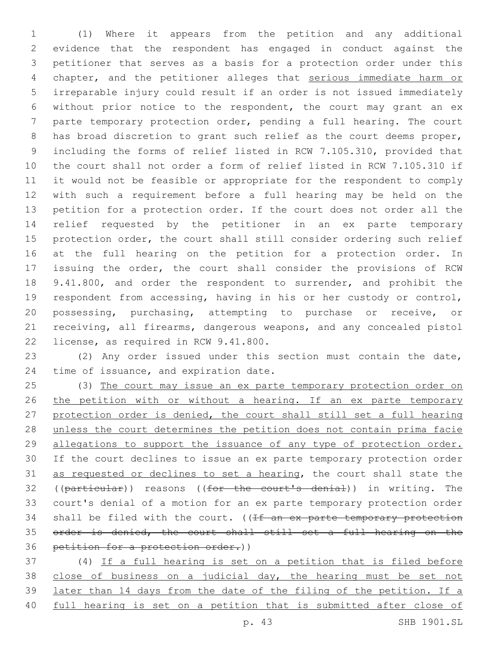(1) Where it appears from the petition and any additional evidence that the respondent has engaged in conduct against the petitioner that serves as a basis for a protection order under this 4 chapter, and the petitioner alleges that serious immediate harm or irreparable injury could result if an order is not issued immediately without prior notice to the respondent, the court may grant an ex parte temporary protection order, pending a full hearing. The court 8 has broad discretion to grant such relief as the court deems proper, including the forms of relief listed in RCW 7.105.310, provided that the court shall not order a form of relief listed in RCW 7.105.310 if it would not be feasible or appropriate for the respondent to comply with such a requirement before a full hearing may be held on the petition for a protection order. If the court does not order all the relief requested by the petitioner in an ex parte temporary protection order, the court shall still consider ordering such relief at the full hearing on the petition for a protection order. In issuing the order, the court shall consider the provisions of RCW 18 9.41.800, and order the respondent to surrender, and prohibit the respondent from accessing, having in his or her custody or control, possessing, purchasing, attempting to purchase or receive, or receiving, all firearms, dangerous weapons, and any concealed pistol 22 license, as required in RCW 9.41.800.

 (2) Any order issued under this section must contain the date, 24 time of issuance, and expiration date.

 (3) The court may issue an ex parte temporary protection order on 26 the petition with or without a hearing. If an ex parte temporary protection order is denied, the court shall still set a full hearing unless the court determines the petition does not contain prima facie allegations to support the issuance of any type of protection order. If the court declines to issue an ex parte temporary protection order as requested or declines to set a hearing, the court shall state the 32 ((particular)) reasons ((for the court's denial)) in writing. The court's denial of a motion for an ex parte temporary protection order 34 shall be filed with the court.  $($  (If an ex parte temporary protection order is denied, the court shall still set a full hearing on the 36 petition for a protection order.))

 (4) If a full hearing is set on a petition that is filed before close of business on a judicial day, the hearing must be set not later than 14 days from the date of the filing of the petition. If a full hearing is set on a petition that is submitted after close of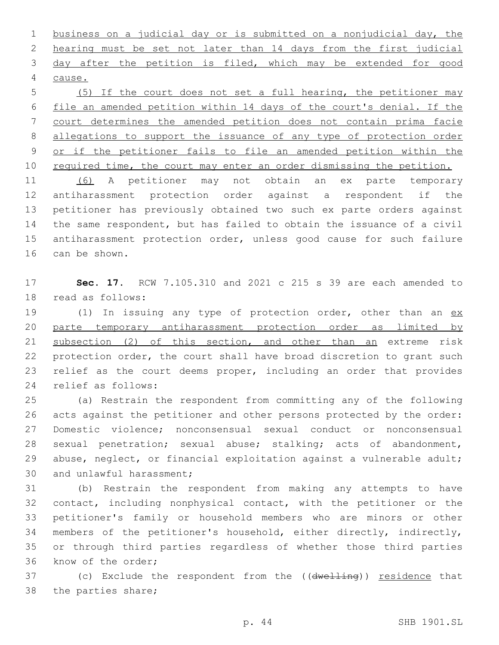business on a judicial day or is submitted on a nonjudicial day, the hearing must be set not later than 14 days from the first judicial day after the petition is filed, which may be extended for good 4 cause.

 (5) If the court does not set a full hearing, the petitioner may file an amended petition within 14 days of the court's denial. If the court determines the amended petition does not contain prima facie allegations to support the issuance of any type of protection order or if the petitioner fails to file an amended petition within the 10 required time, the court may enter an order dismissing the petition.

 (6) A petitioner may not obtain an ex parte temporary antiharassment protection order against a respondent if the petitioner has previously obtained two such ex parte orders against the same respondent, but has failed to obtain the issuance of a civil antiharassment protection order, unless good cause for such failure 16 can be shown.

 **Sec. 17.** RCW 7.105.310 and 2021 c 215 s 39 are each amended to 18 read as follows:

19 (1) In issuing any type of protection order, other than an ex parte temporary antiharassment protection order as limited by subsection (2) of this section, and other than an extreme risk protection order, the court shall have broad discretion to grant such relief as the court deems proper, including an order that provides 24 relief as follows:

 (a) Restrain the respondent from committing any of the following acts against the petitioner and other persons protected by the order: Domestic violence; nonconsensual sexual conduct or nonconsensual sexual penetration; sexual abuse; stalking; acts of abandonment, abuse, neglect, or financial exploitation against a vulnerable adult; 30 and unlawful harassment;

 (b) Restrain the respondent from making any attempts to have contact, including nonphysical contact, with the petitioner or the petitioner's family or household members who are minors or other members of the petitioner's household, either directly, indirectly, or through third parties regardless of whether those third parties 36 know of the order;

37 (c) Exclude the respondent from the ((dwelling)) residence that 38 the parties share;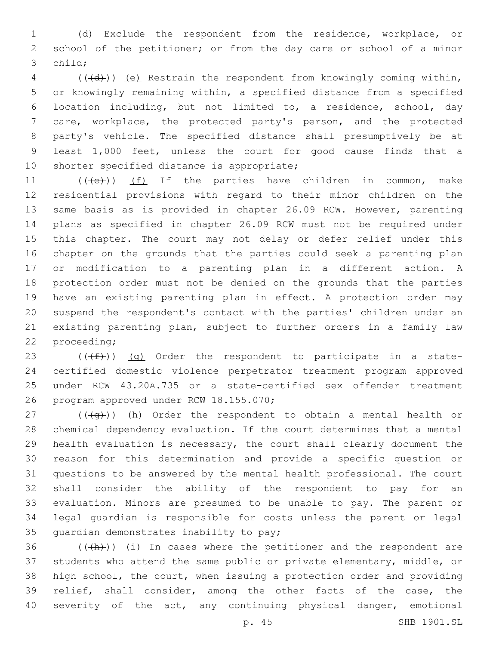(d) Exclude the respondent from the residence, workplace, or school of the petitioner; or from the day care or school of a minor 3 child:

4 (((4))) (e) Restrain the respondent from knowingly coming within, or knowingly remaining within, a specified distance from a specified location including, but not limited to, a residence, school, day care, workplace, the protected party's person, and the protected party's vehicle. The specified distance shall presumptively be at least 1,000 feet, unless the court for good cause finds that a 10 shorter specified distance is appropriate;

 $((\{e\})$  (f) If the parties have children in common, make residential provisions with regard to their minor children on the same basis as is provided in chapter 26.09 RCW. However, parenting plans as specified in chapter 26.09 RCW must not be required under this chapter. The court may not delay or defer relief under this chapter on the grounds that the parties could seek a parenting plan or modification to a parenting plan in a different action. A protection order must not be denied on the grounds that the parties have an existing parenting plan in effect. A protection order may suspend the respondent's contact with the parties' children under an existing parenting plan, subject to further orders in a family law 22 proceeding;

 $((\text{+f}))(q)$  Order the respondent to participate in a state- certified domestic violence perpetrator treatment program approved under RCW 43.20A.735 or a state-certified sex offender treatment 26 program approved under RCW 18.155.070;

27 ( $(\overline{+q})$ ) (h) Order the respondent to obtain a mental health or chemical dependency evaluation. If the court determines that a mental health evaluation is necessary, the court shall clearly document the reason for this determination and provide a specific question or questions to be answered by the mental health professional. The court shall consider the ability of the respondent to pay for an evaluation. Minors are presumed to be unable to pay. The parent or legal guardian is responsible for costs unless the parent or legal 35 quardian demonstrates inability to pay;

 (( $\frac{h}{h}$ )) (i) In cases where the petitioner and the respondent are students who attend the same public or private elementary, middle, or high school, the court, when issuing a protection order and providing relief, shall consider, among the other facts of the case, the severity of the act, any continuing physical danger, emotional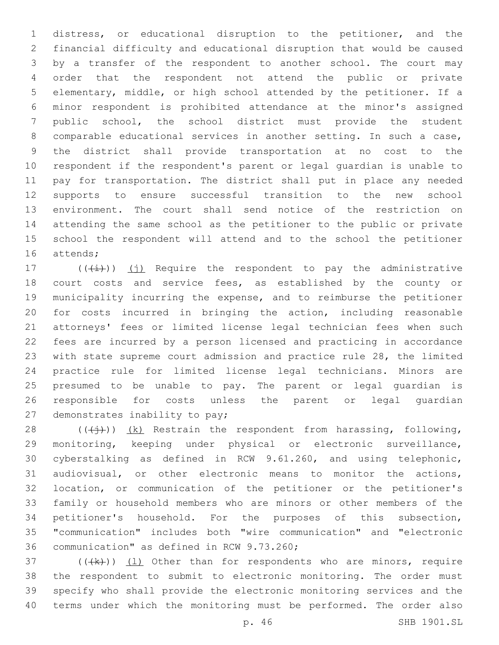distress, or educational disruption to the petitioner, and the financial difficulty and educational disruption that would be caused by a transfer of the respondent to another school. The court may order that the respondent not attend the public or private elementary, middle, or high school attended by the petitioner. If a minor respondent is prohibited attendance at the minor's assigned public school, the school district must provide the student comparable educational services in another setting. In such a case, the district shall provide transportation at no cost to the respondent if the respondent's parent or legal guardian is unable to pay for transportation. The district shall put in place any needed supports to ensure successful transition to the new school environment. The court shall send notice of the restriction on attending the same school as the petitioner to the public or private school the respondent will attend and to the school the petitioner 16 attends;

 $((+i+))$  (j) Require the respondent to pay the administrative court costs and service fees, as established by the county or municipality incurring the expense, and to reimburse the petitioner for costs incurred in bringing the action, including reasonable attorneys' fees or limited license legal technician fees when such fees are incurred by a person licensed and practicing in accordance with state supreme court admission and practice rule 28, the limited practice rule for limited license legal technicians. Minors are presumed to be unable to pay. The parent or legal guardian is responsible for costs unless the parent or legal guardian 27 demonstrates inability to pay;

 $((\n+*j*))$   $(k)$  Restrain the respondent from harassing, following, monitoring, keeping under physical or electronic surveillance, cyberstalking as defined in RCW 9.61.260, and using telephonic, audiovisual, or other electronic means to monitor the actions, location, or communication of the petitioner or the petitioner's family or household members who are minors or other members of the petitioner's household. For the purposes of this subsection, "communication" includes both "wire communication" and "electronic 36 communication" as defined in RCW 9.73.260;

 (( $(k)$ )) (1) Other than for respondents who are minors, require the respondent to submit to electronic monitoring. The order must specify who shall provide the electronic monitoring services and the terms under which the monitoring must be performed. The order also

p. 46 SHB 1901.SL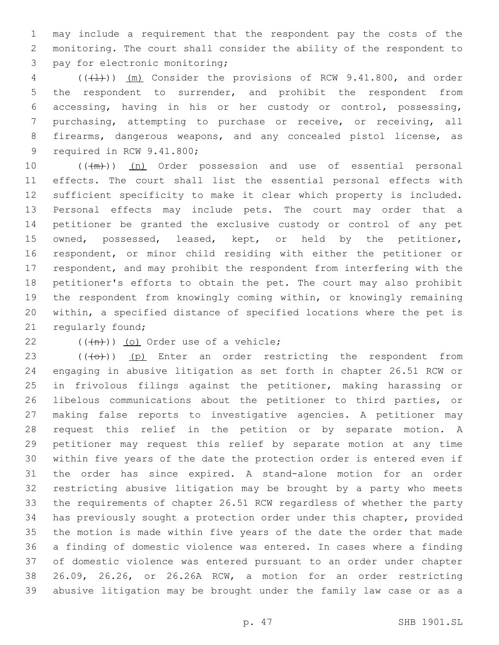may include a requirement that the respondent pay the costs of the monitoring. The court shall consider the ability of the respondent to 3 pay for electronic monitoring;

 ( $(\{\pm\})$ )  $(m)$  Consider the provisions of RCW 9.41.800, and order the respondent to surrender, and prohibit the respondent from accessing, having in his or her custody or control, possessing, purchasing, attempting to purchase or receive, or receiving, all firearms, dangerous weapons, and any concealed pistol license, as 9 required in RCW 9.41.800;

10 (( $(m+1)$ ) (n) Order possession and use of essential personal effects. The court shall list the essential personal effects with sufficient specificity to make it clear which property is included. Personal effects may include pets. The court may order that a petitioner be granted the exclusive custody or control of any pet owned, possessed, leased, kept, or held by the petitioner, respondent, or minor child residing with either the petitioner or respondent, and may prohibit the respondent from interfering with the petitioner's efforts to obtain the pet. The court may also prohibit the respondent from knowingly coming within, or knowingly remaining within, a specified distance of specified locations where the pet is 21 regularly found;

 $(4n)$ ) (o) Order use of a vehicle;

 $((+e+))$  (p) Enter an order restricting the respondent from engaging in abusive litigation as set forth in chapter 26.51 RCW or in frivolous filings against the petitioner, making harassing or libelous communications about the petitioner to third parties, or making false reports to investigative agencies. A petitioner may request this relief in the petition or by separate motion. A petitioner may request this relief by separate motion at any time within five years of the date the protection order is entered even if the order has since expired. A stand-alone motion for an order restricting abusive litigation may be brought by a party who meets the requirements of chapter 26.51 RCW regardless of whether the party has previously sought a protection order under this chapter, provided the motion is made within five years of the date the order that made a finding of domestic violence was entered. In cases where a finding of domestic violence was entered pursuant to an order under chapter 26.09, 26.26, or 26.26A RCW, a motion for an order restricting abusive litigation may be brought under the family law case or as a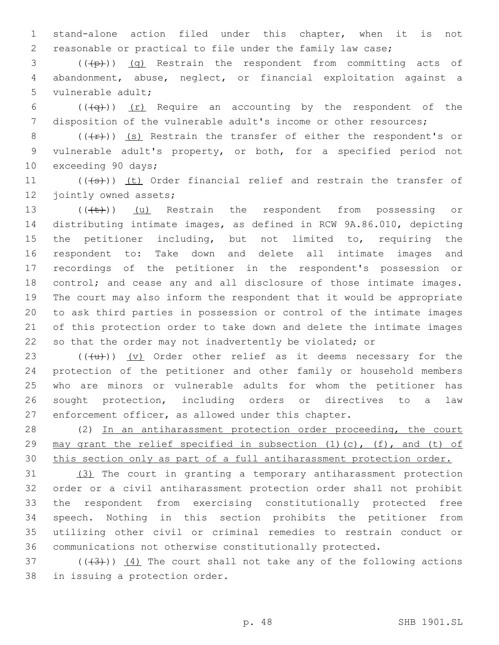stand-alone action filed under this chapter, when it is not reasonable or practical to file under the family law case;

 ( $(\overline{p})$ ) (q) Restrain the respondent from committing acts of abandonment, abuse, neglect, or financial exploitation against a 5 vulnerable adult;

6 ( $(\overline{q})$ ) (r) Require an accounting by the respondent of the disposition of the vulnerable adult's income or other resources;

8 ( $(\frac{f}{f})$ ) (s) Restrain the transfer of either the respondent's or vulnerable adult's property, or both, for a specified period not 10 exceeding 90 days;

11 (((+s)) (t) Order financial relief and restrain the transfer of 12 jointly owned assets;

13 (((+t)) (u) Restrain the respondent from possessing or distributing intimate images, as defined in RCW 9A.86.010, depicting the petitioner including, but not limited to, requiring the respondent to: Take down and delete all intimate images and recordings of the petitioner in the respondent's possession or 18 control; and cease any and all disclosure of those intimate images. The court may also inform the respondent that it would be appropriate to ask third parties in possession or control of the intimate images of this protection order to take down and delete the intimate images so that the order may not inadvertently be violated; or

 $((+u))$   $(v)$  Order other relief as it deems necessary for the protection of the petitioner and other family or household members who are minors or vulnerable adults for whom the petitioner has sought protection, including orders or directives to a law enforcement officer, as allowed under this chapter.

 (2) In an antiharassment protection order proceeding, the court 29 may grant the relief specified in subsection  $(1)$   $(c)$ ,  $(f)$ , and  $(t)$  of this section only as part of a full antiharassment protection order.

 (3) The court in granting a temporary antiharassment protection order or a civil antiharassment protection order shall not prohibit the respondent from exercising constitutionally protected free speech. Nothing in this section prohibits the petitioner from utilizing other civil or criminal remedies to restrain conduct or communications not otherwise constitutionally protected.

 $(1, 3)$  ( $(1, 3)$ ) (4) The court shall not take any of the following actions 38 in issuing a protection order.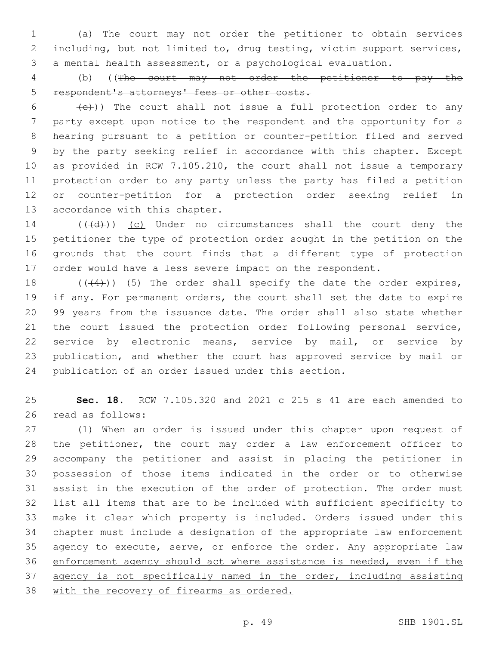(a) The court may not order the petitioner to obtain services including, but not limited to, drug testing, victim support services, a mental health assessment, or a psychological evaluation.

 (b) ((The court may not order the petitioner to pay the respondent's attorneys' fees or other costs.

 $(6 - \frac{1}{e})$ ) The court shall not issue a full protection order to any party except upon notice to the respondent and the opportunity for a hearing pursuant to a petition or counter-petition filed and served by the party seeking relief in accordance with this chapter. Except as provided in RCW 7.105.210, the court shall not issue a temporary protection order to any party unless the party has filed a petition or counter-petition for a protection order seeking relief in 13 accordance with this chapter.

14 (((d)) (c) Under no circumstances shall the court deny the petitioner the type of protection order sought in the petition on the grounds that the court finds that a different type of protection order would have a less severe impact on the respondent.

 $((+4))$   $(5)$  The order shall specify the date the order expires, if any. For permanent orders, the court shall set the date to expire 99 years from the issuance date. The order shall also state whether the court issued the protection order following personal service, service by electronic means, service by mail, or service by publication, and whether the court has approved service by mail or publication of an order issued under this section.

 **Sec. 18.** RCW 7.105.320 and 2021 c 215 s 41 are each amended to 26 read as follows:

 (1) When an order is issued under this chapter upon request of the petitioner, the court may order a law enforcement officer to accompany the petitioner and assist in placing the petitioner in possession of those items indicated in the order or to otherwise assist in the execution of the order of protection. The order must list all items that are to be included with sufficient specificity to make it clear which property is included. Orders issued under this chapter must include a designation of the appropriate law enforcement 35 agency to execute, serve, or enforce the order. Any appropriate law enforcement agency should act where assistance is needed, even if the 37 agency is not specifically named in the order, including assisting with the recovery of firearms as ordered.

p. 49 SHB 1901.SL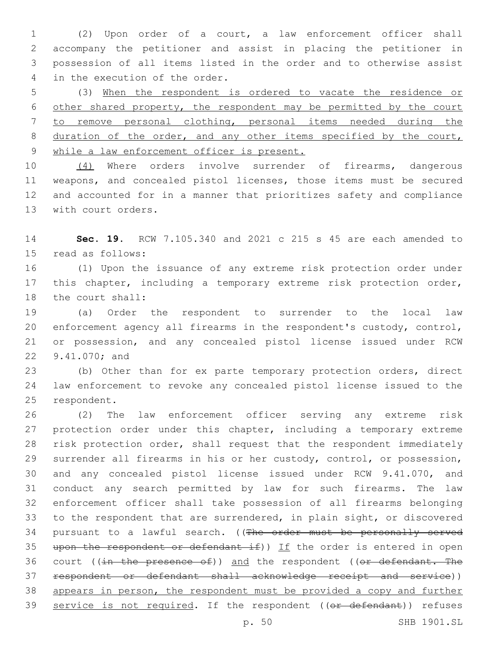(2) Upon order of a court, a law enforcement officer shall accompany the petitioner and assist in placing the petitioner in possession of all items listed in the order and to otherwise assist 4 in the execution of the order.

 (3) When the respondent is ordered to vacate the residence or other shared property, the respondent may be permitted by the court to remove personal clothing, personal items needed during the 8 duration of the order, and any other items specified by the court, while a law enforcement officer is present.

 (4) Where orders involve surrender of firearms, dangerous weapons, and concealed pistol licenses, those items must be secured and accounted for in a manner that prioritizes safety and compliance 13 with court orders.

 **Sec. 19.** RCW 7.105.340 and 2021 c 215 s 45 are each amended to 15 read as follows:

 (1) Upon the issuance of any extreme risk protection order under 17 this chapter, including a temporary extreme risk protection order, 18 the court shall:

 (a) Order the respondent to surrender to the local law enforcement agency all firearms in the respondent's custody, control, or possession, and any concealed pistol license issued under RCW 22 9.41.070; and

 (b) Other than for ex parte temporary protection orders, direct law enforcement to revoke any concealed pistol license issued to the 25 respondent.

 (2) The law enforcement officer serving any extreme risk 27 protection order under this chapter, including a temporary extreme risk protection order, shall request that the respondent immediately surrender all firearms in his or her custody, control, or possession, and any concealed pistol license issued under RCW 9.41.070, and conduct any search permitted by law for such firearms. The law enforcement officer shall take possession of all firearms belonging to the respondent that are surrendered, in plain sight, or discovered 34 pursuant to a lawful search. ((The order must be personally served 35 upon the respondent or defendant  $if)$ ) If the order is entered in open 36 court ((in the presence of)) and the respondent ((or defendant. The respondent or defendant shall acknowledge receipt and service)) 38 appears in person, the respondent must be provided a copy and further 39 service is not required. If the respondent ((or defendant)) refuses

p. 50 SHB 1901.SL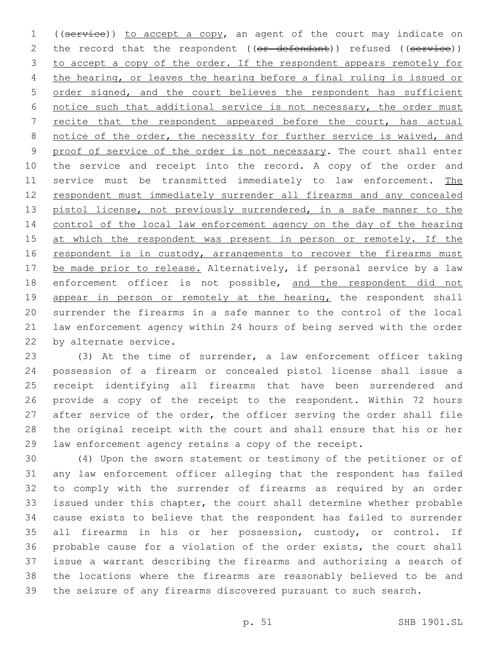1 ((service)) to accept a copy, an agent of the court may indicate on 2 the record that the respondent ((or defendant)) refused ((service)) to accept a copy of the order. If the respondent appears remotely for the hearing, or leaves the hearing before a final ruling is issued or order signed, and the court believes the respondent has sufficient notice such that additional service is not necessary, the order must recite that the respondent appeared before the court, has actual 8 notice of the order, the necessity for further service is waived, and 9 proof of service of the order is not necessary. The court shall enter 10 the service and receipt into the record. A copy of the order and service must be transmitted immediately to law enforcement. The respondent must immediately surrender all firearms and any concealed 13 pistol license, not previously surrendered, in a safe manner to the control of the local law enforcement agency on the day of the hearing 15 at which the respondent was present in person or remotely. If the 16 respondent is in custody, arrangements to recover the firearms must 17 be made prior to release. Alternatively, if personal service by a law 18 enforcement officer is not possible, and the respondent did not 19 appear in person or remotely at the hearing, the respondent shall surrender the firearms in a safe manner to the control of the local law enforcement agency within 24 hours of being served with the order 22 by alternate service.

 (3) At the time of surrender, a law enforcement officer taking possession of a firearm or concealed pistol license shall issue a receipt identifying all firearms that have been surrendered and provide a copy of the receipt to the respondent. Within 72 hours after service of the order, the officer serving the order shall file the original receipt with the court and shall ensure that his or her law enforcement agency retains a copy of the receipt.

 (4) Upon the sworn statement or testimony of the petitioner or of any law enforcement officer alleging that the respondent has failed to comply with the surrender of firearms as required by an order issued under this chapter, the court shall determine whether probable cause exists to believe that the respondent has failed to surrender all firearms in his or her possession, custody, or control. If probable cause for a violation of the order exists, the court shall issue a warrant describing the firearms and authorizing a search of the locations where the firearms are reasonably believed to be and the seizure of any firearms discovered pursuant to such search.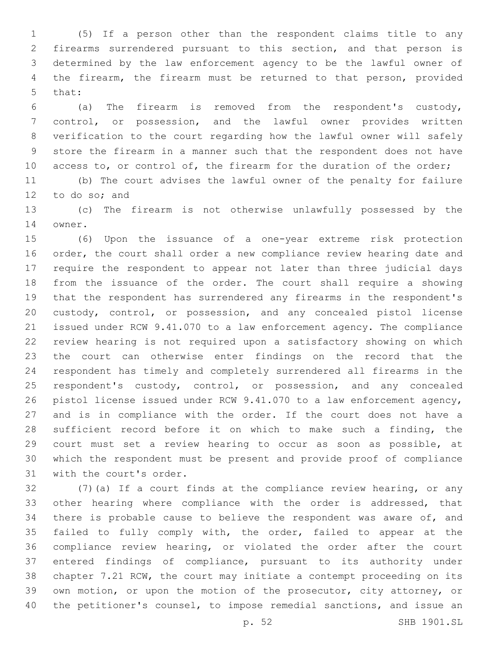(5) If a person other than the respondent claims title to any firearms surrendered pursuant to this section, and that person is determined by the law enforcement agency to be the lawful owner of the firearm, the firearm must be returned to that person, provided 5 that:

 (a) The firearm is removed from the respondent's custody, control, or possession, and the lawful owner provides written verification to the court regarding how the lawful owner will safely store the firearm in a manner such that the respondent does not have 10 access to, or control of, the firearm for the duration of the order;

 (b) The court advises the lawful owner of the penalty for failure 12 to do so; and

 (c) The firearm is not otherwise unlawfully possessed by the 14 owner.

 (6) Upon the issuance of a one-year extreme risk protection order, the court shall order a new compliance review hearing date and require the respondent to appear not later than three judicial days from the issuance of the order. The court shall require a showing that the respondent has surrendered any firearms in the respondent's custody, control, or possession, and any concealed pistol license issued under RCW 9.41.070 to a law enforcement agency. The compliance review hearing is not required upon a satisfactory showing on which the court can otherwise enter findings on the record that the respondent has timely and completely surrendered all firearms in the 25 respondent's custody, control, or possession, and any concealed pistol license issued under RCW 9.41.070 to a law enforcement agency, and is in compliance with the order. If the court does not have a sufficient record before it on which to make such a finding, the court must set a review hearing to occur as soon as possible, at which the respondent must be present and provide proof of compliance 31 with the court's order.

 (7)(a) If a court finds at the compliance review hearing, or any other hearing where compliance with the order is addressed, that there is probable cause to believe the respondent was aware of, and failed to fully comply with, the order, failed to appear at the compliance review hearing, or violated the order after the court entered findings of compliance, pursuant to its authority under chapter 7.21 RCW, the court may initiate a contempt proceeding on its own motion, or upon the motion of the prosecutor, city attorney, or the petitioner's counsel, to impose remedial sanctions, and issue an

p. 52 SHB 1901.SL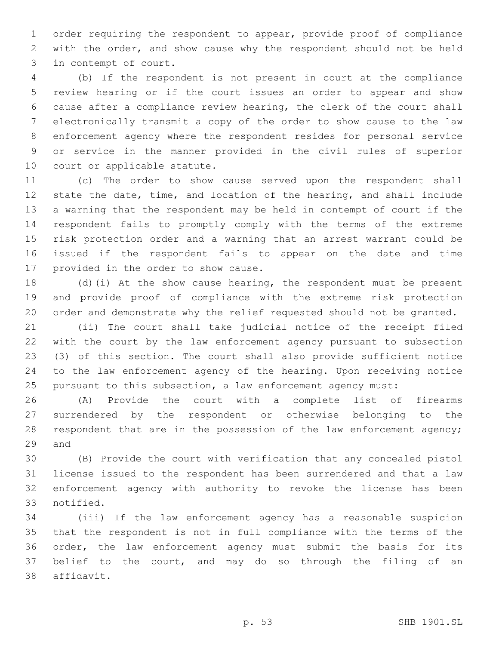order requiring the respondent to appear, provide proof of compliance with the order, and show cause why the respondent should not be held 3 in contempt of court.

 (b) If the respondent is not present in court at the compliance review hearing or if the court issues an order to appear and show cause after a compliance review hearing, the clerk of the court shall electronically transmit a copy of the order to show cause to the law enforcement agency where the respondent resides for personal service or service in the manner provided in the civil rules of superior 10 court or applicable statute.

 (c) The order to show cause served upon the respondent shall state the date, time, and location of the hearing, and shall include a warning that the respondent may be held in contempt of court if the respondent fails to promptly comply with the terms of the extreme risk protection order and a warning that an arrest warrant could be issued if the respondent fails to appear on the date and time 17 provided in the order to show cause.

 (d)(i) At the show cause hearing, the respondent must be present and provide proof of compliance with the extreme risk protection order and demonstrate why the relief requested should not be granted.

 (ii) The court shall take judicial notice of the receipt filed with the court by the law enforcement agency pursuant to subsection (3) of this section. The court shall also provide sufficient notice to the law enforcement agency of the hearing. Upon receiving notice pursuant to this subsection, a law enforcement agency must:

 (A) Provide the court with a complete list of firearms surrendered by the respondent or otherwise belonging to the 28 respondent that are in the possession of the law enforcement agency; 29 and

 (B) Provide the court with verification that any concealed pistol license issued to the respondent has been surrendered and that a law enforcement agency with authority to revoke the license has been 33 notified.

 (iii) If the law enforcement agency has a reasonable suspicion that the respondent is not in full compliance with the terms of the order, the law enforcement agency must submit the basis for its belief to the court, and may do so through the filing of an 38 affidavit.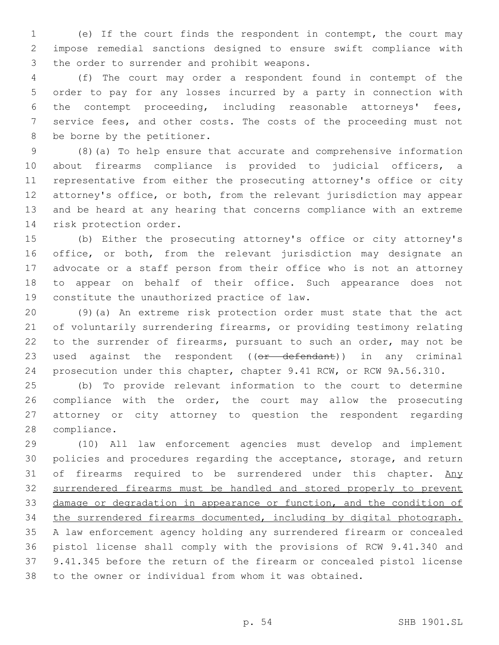(e) If the court finds the respondent in contempt, the court may impose remedial sanctions designed to ensure swift compliance with 3 the order to surrender and prohibit weapons.

 (f) The court may order a respondent found in contempt of the order to pay for any losses incurred by a party in connection with the contempt proceeding, including reasonable attorneys' fees, service fees, and other costs. The costs of the proceeding must not 8 be borne by the petitioner.

 (8)(a) To help ensure that accurate and comprehensive information about firearms compliance is provided to judicial officers, a representative from either the prosecuting attorney's office or city attorney's office, or both, from the relevant jurisdiction may appear and be heard at any hearing that concerns compliance with an extreme 14 risk protection order.

 (b) Either the prosecuting attorney's office or city attorney's 16 office, or both, from the relevant jurisdiction may designate an advocate or a staff person from their office who is not an attorney to appear on behalf of their office. Such appearance does not 19 constitute the unauthorized practice of law.

 (9)(a) An extreme risk protection order must state that the act of voluntarily surrendering firearms, or providing testimony relating to the surrender of firearms, pursuant to such an order, may not be 23 used against the respondent ((or defendant)) in any criminal prosecution under this chapter, chapter 9.41 RCW, or RCW 9A.56.310.

 (b) To provide relevant information to the court to determine compliance with the order, the court may allow the prosecuting attorney or city attorney to question the respondent regarding 28 compliance.

 (10) All law enforcement agencies must develop and implement policies and procedures regarding the acceptance, storage, and return 31 of firearms required to be surrendered under this chapter. Any surrendered firearms must be handled and stored properly to prevent damage or degradation in appearance or function, and the condition of the surrendered firearms documented, including by digital photograph. A law enforcement agency holding any surrendered firearm or concealed pistol license shall comply with the provisions of RCW 9.41.340 and 9.41.345 before the return of the firearm or concealed pistol license to the owner or individual from whom it was obtained.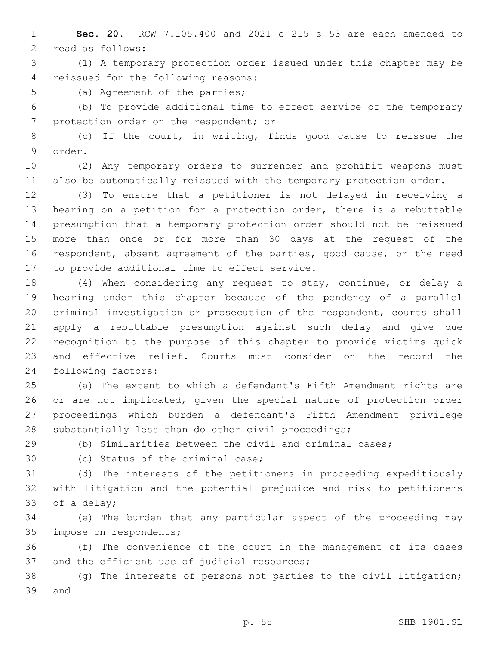**Sec. 20.** RCW 7.105.400 and 2021 c 215 s 53 are each amended to 2 read as follows:

 (1) A temporary protection order issued under this chapter may be 4 reissued for the following reasons:

5 (a) Agreement of the parties;

 (b) To provide additional time to effect service of the temporary 7 protection order on the respondent; or

 (c) If the court, in writing, finds good cause to reissue the 9 order.

 (2) Any temporary orders to surrender and prohibit weapons must also be automatically reissued with the temporary protection order.

 (3) To ensure that a petitioner is not delayed in receiving a hearing on a petition for a protection order, there is a rebuttable presumption that a temporary protection order should not be reissued more than once or for more than 30 days at the request of the respondent, absent agreement of the parties, good cause, or the need 17 to provide additional time to effect service.

 (4) When considering any request to stay, continue, or delay a hearing under this chapter because of the pendency of a parallel criminal investigation or prosecution of the respondent, courts shall apply a rebuttable presumption against such delay and give due recognition to the purpose of this chapter to provide victims quick and effective relief. Courts must consider on the record the 24 following factors:

 (a) The extent to which a defendant's Fifth Amendment rights are or are not implicated, given the special nature of protection order proceedings which burden a defendant's Fifth Amendment privilege substantially less than do other civil proceedings;

(b) Similarities between the civil and criminal cases;

30 (c) Status of the criminal case;

 (d) The interests of the petitioners in proceeding expeditiously with litigation and the potential prejudice and risk to petitioners 33 of a delay;

 (e) The burden that any particular aspect of the proceeding may 35 impose on respondents;

 (f) The convenience of the court in the management of its cases 37 and the efficient use of judicial resources;

 (g) The interests of persons not parties to the civil litigation; 39 and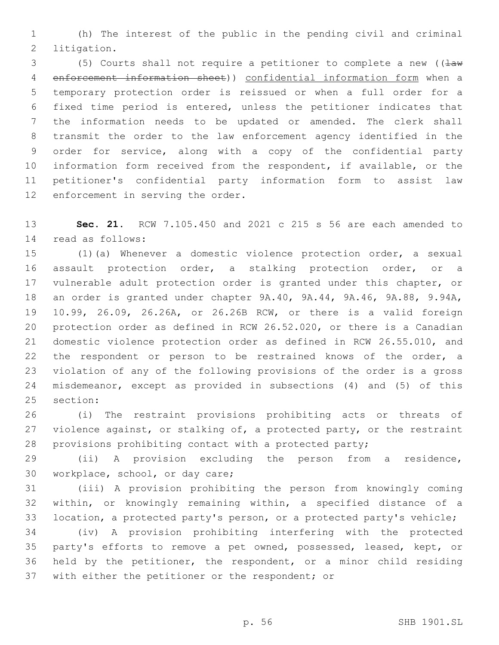(h) The interest of the public in the pending civil and criminal 2 litigation.

3 (5) Courts shall not require a petitioner to complete a new ( $\frac{1}{2}$  enforcement information sheet)) confidential information form when a temporary protection order is reissued or when a full order for a fixed time period is entered, unless the petitioner indicates that the information needs to be updated or amended. The clerk shall transmit the order to the law enforcement agency identified in the order for service, along with a copy of the confidential party information form received from the respondent, if available, or the petitioner's confidential party information form to assist law 12 enforcement in serving the order.

 **Sec. 21.** RCW 7.105.450 and 2021 c 215 s 56 are each amended to read as follows:14

 (1)(a) Whenever a domestic violence protection order, a sexual assault protection order, a stalking protection order, or a vulnerable adult protection order is granted under this chapter, or an order is granted under chapter 9A.40, 9A.44, 9A.46, 9A.88, 9.94A, 10.99, 26.09, 26.26A, or 26.26B RCW, or there is a valid foreign protection order as defined in RCW 26.52.020, or there is a Canadian domestic violence protection order as defined in RCW 26.55.010, and the respondent or person to be restrained knows of the order, a violation of any of the following provisions of the order is a gross misdemeanor, except as provided in subsections (4) and (5) of this 25 section:

 (i) The restraint provisions prohibiting acts or threats of 27 violence against, or stalking of, a protected party, or the restraint provisions prohibiting contact with a protected party;

 (ii) A provision excluding the person from a residence, 30 workplace, school, or day care;

 (iii) A provision prohibiting the person from knowingly coming within, or knowingly remaining within, a specified distance of a location, a protected party's person, or a protected party's vehicle;

 (iv) A provision prohibiting interfering with the protected party's efforts to remove a pet owned, possessed, leased, kept, or held by the petitioner, the respondent, or a minor child residing 37 with either the petitioner or the respondent; or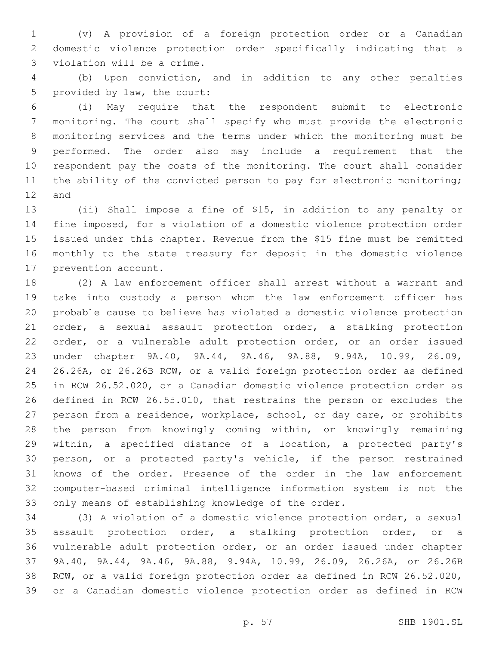(v) A provision of a foreign protection order or a Canadian domestic violence protection order specifically indicating that a 3 violation will be a crime.

 (b) Upon conviction, and in addition to any other penalties 5 provided by law, the court:

 (i) May require that the respondent submit to electronic monitoring. The court shall specify who must provide the electronic monitoring services and the terms under which the monitoring must be performed. The order also may include a requirement that the respondent pay the costs of the monitoring. The court shall consider 11 the ability of the convicted person to pay for electronic monitoring; 12 and

 (ii) Shall impose a fine of \$15, in addition to any penalty or fine imposed, for a violation of a domestic violence protection order issued under this chapter. Revenue from the \$15 fine must be remitted monthly to the state treasury for deposit in the domestic violence 17 prevention account.

 (2) A law enforcement officer shall arrest without a warrant and take into custody a person whom the law enforcement officer has probable cause to believe has violated a domestic violence protection order, a sexual assault protection order, a stalking protection order, or a vulnerable adult protection order, or an order issued under chapter 9A.40, 9A.44, 9A.46, 9A.88, 9.94A, 10.99, 26.09, 26.26A, or 26.26B RCW, or a valid foreign protection order as defined in RCW 26.52.020, or a Canadian domestic violence protection order as defined in RCW 26.55.010, that restrains the person or excludes the person from a residence, workplace, school, or day care, or prohibits the person from knowingly coming within, or knowingly remaining within, a specified distance of a location, a protected party's person, or a protected party's vehicle, if the person restrained knows of the order. Presence of the order in the law enforcement computer-based criminal intelligence information system is not the only means of establishing knowledge of the order.

 (3) A violation of a domestic violence protection order, a sexual assault protection order, a stalking protection order, or a vulnerable adult protection order, or an order issued under chapter 9A.40, 9A.44, 9A.46, 9A.88, 9.94A, 10.99, 26.09, 26.26A, or 26.26B RCW, or a valid foreign protection order as defined in RCW 26.52.020, or a Canadian domestic violence protection order as defined in RCW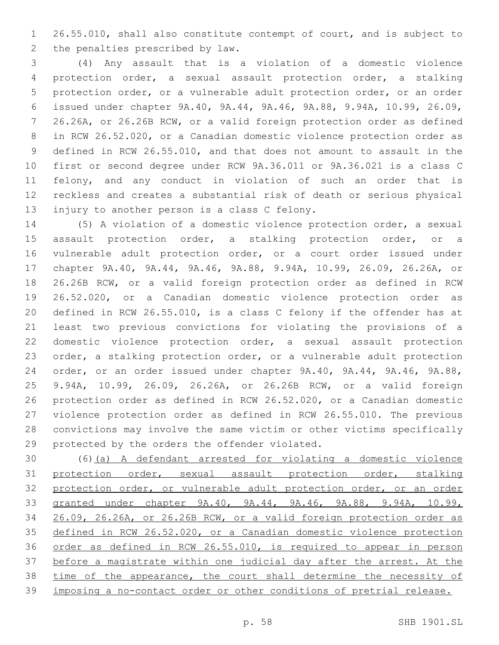26.55.010, shall also constitute contempt of court, and is subject to 2 the penalties prescribed by law.

 (4) Any assault that is a violation of a domestic violence protection order, a sexual assault protection order, a stalking protection order, or a vulnerable adult protection order, or an order issued under chapter 9A.40, 9A.44, 9A.46, 9A.88, 9.94A, 10.99, 26.09, 26.26A, or 26.26B RCW, or a valid foreign protection order as defined in RCW 26.52.020, or a Canadian domestic violence protection order as defined in RCW 26.55.010, and that does not amount to assault in the first or second degree under RCW 9A.36.011 or 9A.36.021 is a class C felony, and any conduct in violation of such an order that is reckless and creates a substantial risk of death or serious physical 13 injury to another person is a class C felony.

 (5) A violation of a domestic violence protection order, a sexual assault protection order, a stalking protection order, or a vulnerable adult protection order, or a court order issued under chapter 9A.40, 9A.44, 9A.46, 9A.88, 9.94A, 10.99, 26.09, 26.26A, or 26.26B RCW, or a valid foreign protection order as defined in RCW 26.52.020, or a Canadian domestic violence protection order as defined in RCW 26.55.010, is a class C felony if the offender has at least two previous convictions for violating the provisions of a domestic violence protection order, a sexual assault protection order, a stalking protection order, or a vulnerable adult protection order, or an order issued under chapter 9A.40, 9A.44, 9A.46, 9A.88, 9.94A, 10.99, 26.09, 26.26A, or 26.26B RCW, or a valid foreign protection order as defined in RCW 26.52.020, or a Canadian domestic violence protection order as defined in RCW 26.55.010. The previous convictions may involve the same victim or other victims specifically 29 protected by the orders the offender violated.

 (6)(a) A defendant arrested for violating a domestic violence protection order, sexual assault protection order, stalking protection order, or vulnerable adult protection order, or an order granted under chapter 9A.40, 9A.44, 9A.46, 9A.88, 9.94A, 10.99, 26.09, 26.26A, or 26.26B RCW, or a valid foreign protection order as defined in RCW 26.52.020, or a Canadian domestic violence protection order as defined in RCW 26.55.010, is required to appear in person before a magistrate within one judicial day after the arrest. At the time of the appearance, the court shall determine the necessity of imposing a no-contact order or other conditions of pretrial release.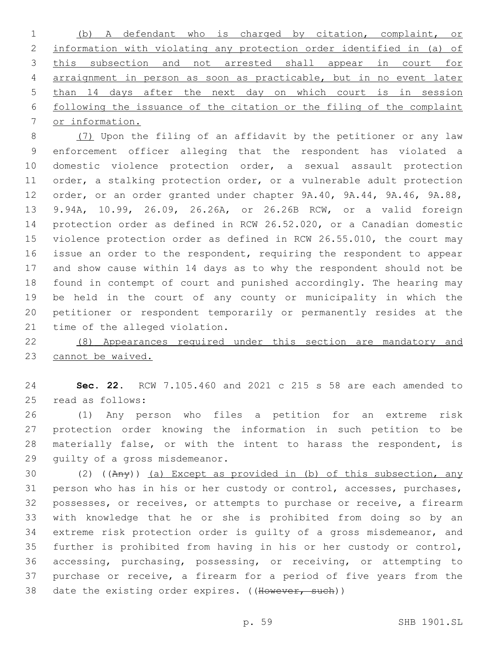(b) A defendant who is charged by citation, complaint, or information with violating any protection order identified in (a) of this subsection and not arrested shall appear in court for arraignment in person as soon as practicable, but in no event later than 14 days after the next day on which court is in session following the issuance of the citation or the filing of the complaint or information.

8 (7) Upon the filing of an affidavit by the petitioner or any law enforcement officer alleging that the respondent has violated a domestic violence protection order, a sexual assault protection order, a stalking protection order, or a vulnerable adult protection order, or an order granted under chapter 9A.40, 9A.44, 9A.46, 9A.88, 9.94A, 10.99, 26.09, 26.26A, or 26.26B RCW, or a valid foreign protection order as defined in RCW 26.52.020, or a Canadian domestic violence protection order as defined in RCW 26.55.010, the court may issue an order to the respondent, requiring the respondent to appear and show cause within 14 days as to why the respondent should not be found in contempt of court and punished accordingly. The hearing may be held in the court of any county or municipality in which the petitioner or respondent temporarily or permanently resides at the 21 time of the alleged violation.

 (8) Appearances required under this section are mandatory and 23 cannot be waived.

 **Sec. 22.** RCW 7.105.460 and 2021 c 215 s 58 are each amended to 25 read as follows:

 (1) Any person who files a petition for an extreme risk protection order knowing the information in such petition to be materially false, or with the intent to harass the respondent, is 29 quilty of a gross misdemeanor.

 (2) ((Any)) (a) Except as provided in (b) of this subsection, any person who has in his or her custody or control, accesses, purchases, possesses, or receives, or attempts to purchase or receive, a firearm with knowledge that he or she is prohibited from doing so by an extreme risk protection order is guilty of a gross misdemeanor, and further is prohibited from having in his or her custody or control, accessing, purchasing, possessing, or receiving, or attempting to purchase or receive, a firearm for a period of five years from the 38 date the existing order expires. ((However, such))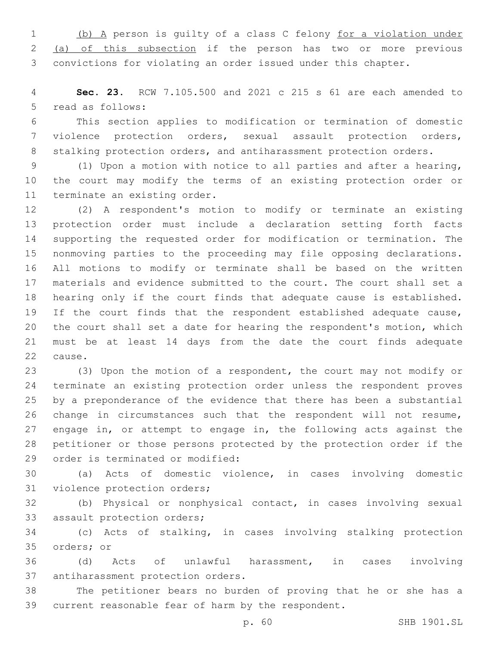(b) A person is guilty of a class C felony for a violation under (a) of this subsection if the person has two or more previous convictions for violating an order issued under this chapter.

 **Sec. 23.** RCW 7.105.500 and 2021 c 215 s 61 are each amended to 5 read as follows:

 This section applies to modification or termination of domestic violence protection orders, sexual assault protection orders, 8 stalking protection orders, and antiharassment protection orders.

 (1) Upon a motion with notice to all parties and after a hearing, the court may modify the terms of an existing protection order or 11 terminate an existing order.

 (2) A respondent's motion to modify or terminate an existing protection order must include a declaration setting forth facts supporting the requested order for modification or termination. The nonmoving parties to the proceeding may file opposing declarations. All motions to modify or terminate shall be based on the written materials and evidence submitted to the court. The court shall set a hearing only if the court finds that adequate cause is established. If the court finds that the respondent established adequate cause, the court shall set a date for hearing the respondent's motion, which must be at least 14 days from the date the court finds adequate 22 cause.

 (3) Upon the motion of a respondent, the court may not modify or terminate an existing protection order unless the respondent proves by a preponderance of the evidence that there has been a substantial change in circumstances such that the respondent will not resume, 27 engage in, or attempt to engage in, the following acts against the petitioner or those persons protected by the protection order if the 29 order is terminated or modified:

 (a) Acts of domestic violence, in cases involving domestic 31 violence protection orders;

 (b) Physical or nonphysical contact, in cases involving sexual 33 assault protection orders;

 (c) Acts of stalking, in cases involving stalking protection 35 orders; or

 (d) Acts of unlawful harassment, in cases involving 37 antiharassment protection orders.

 The petitioner bears no burden of proving that he or she has a current reasonable fear of harm by the respondent.

p. 60 SHB 1901.SL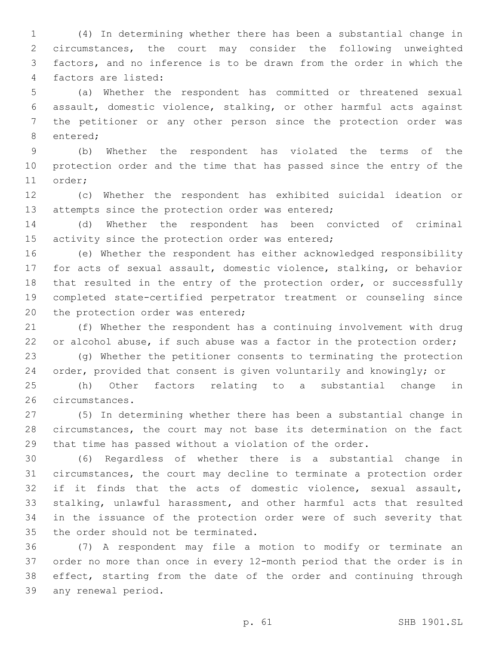(4) In determining whether there has been a substantial change in circumstances, the court may consider the following unweighted factors, and no inference is to be drawn from the order in which the factors are listed:4

 (a) Whether the respondent has committed or threatened sexual assault, domestic violence, stalking, or other harmful acts against the petitioner or any other person since the protection order was 8 entered;

 (b) Whether the respondent has violated the terms of the protection order and the time that has passed since the entry of the 11 order;

 (c) Whether the respondent has exhibited suicidal ideation or 13 attempts since the protection order was entered;

 (d) Whether the respondent has been convicted of criminal 15 activity since the protection order was entered;

 (e) Whether the respondent has either acknowledged responsibility for acts of sexual assault, domestic violence, stalking, or behavior 18 that resulted in the entry of the protection order, or successfully completed state-certified perpetrator treatment or counseling since 20 the protection order was entered;

 (f) Whether the respondent has a continuing involvement with drug 22 or alcohol abuse, if such abuse was a factor in the protection order;

 (g) Whether the petitioner consents to terminating the protection order, provided that consent is given voluntarily and knowingly; or

 (h) Other factors relating to a substantial change in 26 circumstances.

 (5) In determining whether there has been a substantial change in circumstances, the court may not base its determination on the fact that time has passed without a violation of the order.

 (6) Regardless of whether there is a substantial change in circumstances, the court may decline to terminate a protection order if it finds that the acts of domestic violence, sexual assault, stalking, unlawful harassment, and other harmful acts that resulted in the issuance of the protection order were of such severity that 35 the order should not be terminated.

 (7) A respondent may file a motion to modify or terminate an order no more than once in every 12-month period that the order is in 38 effect, starting from the date of the order and continuing through 39 any renewal period.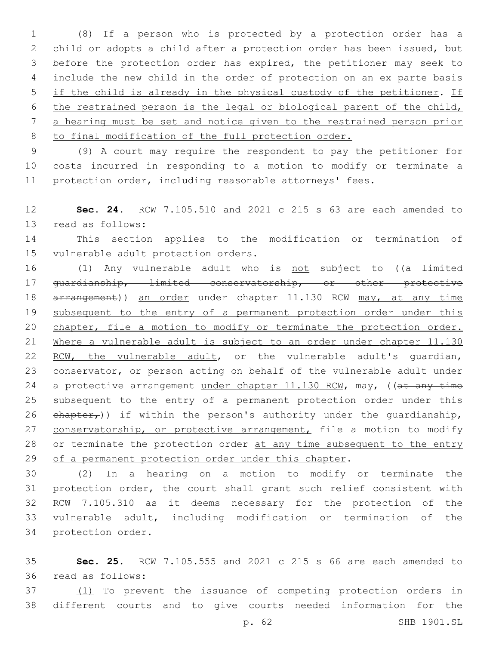(8) If a person who is protected by a protection order has a child or adopts a child after a protection order has been issued, but before the protection order has expired, the petitioner may seek to include the new child in the order of protection on an ex parte basis if the child is already in the physical custody of the petitioner. If the restrained person is the legal or biological parent of the child, a hearing must be set and notice given to the restrained person prior to final modification of the full protection order.

9 (9) A court may require the respondent to pay the petitioner for 10 costs incurred in responding to a motion to modify or terminate a 11 protection order, including reasonable attorneys' fees.

12 **Sec. 24.** RCW 7.105.510 and 2021 c 215 s 63 are each amended to 13 read as follows:

14 This section applies to the modification or termination of 15 vulnerable adult protection orders.

16 (1) Any vulnerable adult who is not subject to ((a limited 17 guardianship, limited conservatorship, or other protective 18 arrangement)) an order under chapter 11.130 RCW may, at any time 19 subsequent to the entry of a permanent protection order under this 20 chapter, file a motion to modify or terminate the protection order. 21 Where a vulnerable adult is subject to an order under chapter 11.130 22 RCW, the vulnerable adult, or the vulnerable adult's quardian, 23 conservator, or person acting on behalf of the vulnerable adult under 24 a protective arrangement under chapter 11.130 RCW, may, ((at any time 25 subsequent to the entry of a permanent protection order under this 26  $ehapter<sub>r</sub>)$ ) if within the person's authority under the quardianship, 27 conservatorship, or protective arrangement, file a motion to modify 28 or terminate the protection order at any time subsequent to the entry 29 of a permanent protection order under this chapter.

 (2) In a hearing on a motion to modify or terminate the protection order, the court shall grant such relief consistent with RCW 7.105.310 as it deems necessary for the protection of the vulnerable adult, including modification or termination of the 34 protection order.

35 **Sec. 25.** RCW 7.105.555 and 2021 c 215 s 66 are each amended to read as follows:36

37 (1) To prevent the issuance of competing protection orders in 38 different courts and to give courts needed information for the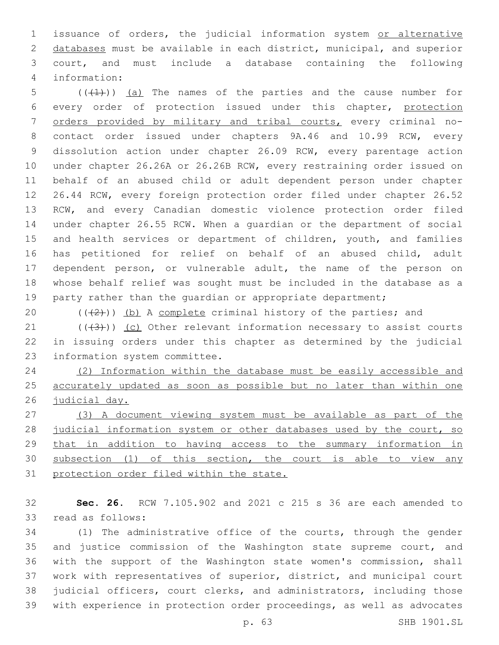issuance of orders, the judicial information system or alternative databases must be available in each district, municipal, and superior court, and must include a database containing the following information:4

 $((+1))$  (a) The names of the parties and the cause number for every order of protection issued under this chapter, protection orders provided by military and tribal courts, every criminal no- contact order issued under chapters 9A.46 and 10.99 RCW, every dissolution action under chapter 26.09 RCW, every parentage action under chapter 26.26A or 26.26B RCW, every restraining order issued on behalf of an abused child or adult dependent person under chapter 26.44 RCW, every foreign protection order filed under chapter 26.52 RCW, and every Canadian domestic violence protection order filed under chapter 26.55 RCW. When a guardian or the department of social 15 and health services or department of children, youth, and families has petitioned for relief on behalf of an abused child, adult dependent person, or vulnerable adult, the name of the person on whose behalf relief was sought must be included in the database as a 19 party rather than the quardian or appropriate department;

20  $((+2))$  (b) A complete criminal history of the parties; and

21  $((+3))$  (c) Other relevant information necessary to assist courts in issuing orders under this chapter as determined by the judicial 23 information system committee.

 (2) Information within the database must be easily accessible and accurately updated as soon as possible but no later than within one judicial day.

 (3) A document viewing system must be available as part of the 28 judicial information system or other databases used by the court, so that in addition to having access to the summary information in subsection (1) of this section, the court is able to view any protection order filed within the state.

 **Sec. 26.** RCW 7.105.902 and 2021 c 215 s 36 are each amended to 33 read as follows:

 (1) The administrative office of the courts, through the gender 35 and justice commission of the Washington state supreme court, and with the support of the Washington state women's commission, shall work with representatives of superior, district, and municipal court judicial officers, court clerks, and administrators, including those with experience in protection order proceedings, as well as advocates

p. 63 SHB 1901.SL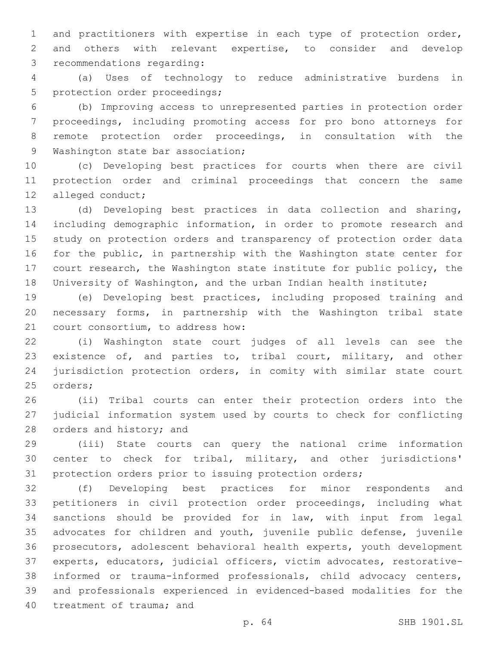and practitioners with expertise in each type of protection order, and others with relevant expertise, to consider and develop 3 recommendations regarding:

 (a) Uses of technology to reduce administrative burdens in 5 protection order proceedings;

 (b) Improving access to unrepresented parties in protection order proceedings, including promoting access for pro bono attorneys for remote protection order proceedings, in consultation with the 9 Washington state bar association;

 (c) Developing best practices for courts when there are civil protection order and criminal proceedings that concern the same 12 alleged conduct;

 (d) Developing best practices in data collection and sharing, including demographic information, in order to promote research and study on protection orders and transparency of protection order data for the public, in partnership with the Washington state center for court research, the Washington state institute for public policy, the University of Washington, and the urban Indian health institute;

 (e) Developing best practices, including proposed training and necessary forms, in partnership with the Washington tribal state 21 court consortium, to address how:

 (i) Washington state court judges of all levels can see the 23 existence of, and parties to, tribal court, military, and other jurisdiction protection orders, in comity with similar state court 25 orders;

 (ii) Tribal courts can enter their protection orders into the judicial information system used by courts to check for conflicting 28 orders and history; and

 (iii) State courts can query the national crime information center to check for tribal, military, and other jurisdictions' protection orders prior to issuing protection orders;

 (f) Developing best practices for minor respondents and petitioners in civil protection order proceedings, including what sanctions should be provided for in law, with input from legal advocates for children and youth, juvenile public defense, juvenile prosecutors, adolescent behavioral health experts, youth development experts, educators, judicial officers, victim advocates, restorative- informed or trauma-informed professionals, child advocacy centers, and professionals experienced in evidenced-based modalities for the 40 treatment of trauma; and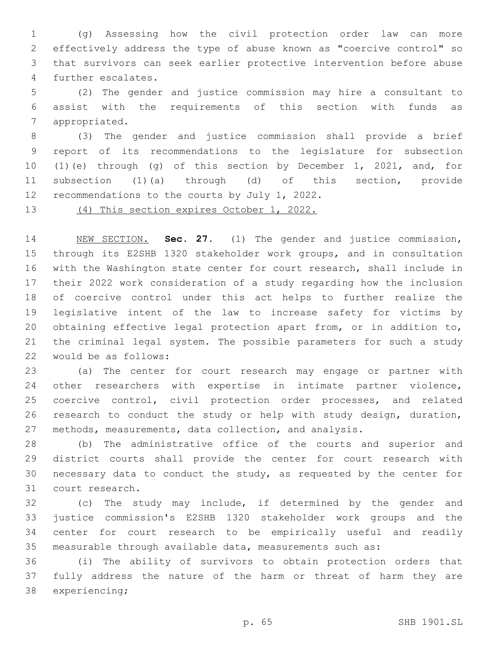(g) Assessing how the civil protection order law can more effectively address the type of abuse known as "coercive control" so that survivors can seek earlier protective intervention before abuse 4 further escalates.

 (2) The gender and justice commission may hire a consultant to assist with the requirements of this section with funds as 7 appropriated.

 (3) The gender and justice commission shall provide a brief report of its recommendations to the legislature for subsection (1)(e) through (g) of this section by December 1, 2021, and, for subsection (1)(a) through (d) of this section, provide 12 recommendations to the courts by July 1, 2022.

(4) This section expires October 1, 2022.

 NEW SECTION. **Sec. 27.** (1) The gender and justice commission, through its E2SHB 1320 stakeholder work groups, and in consultation with the Washington state center for court research, shall include in their 2022 work consideration of a study regarding how the inclusion of coercive control under this act helps to further realize the legislative intent of the law to increase safety for victims by obtaining effective legal protection apart from, or in addition to, the criminal legal system. The possible parameters for such a study would be as follows:

 (a) The center for court research may engage or partner with other researchers with expertise in intimate partner violence, coercive control, civil protection order processes, and related research to conduct the study or help with study design, duration, methods, measurements, data collection, and analysis.

 (b) The administrative office of the courts and superior and district courts shall provide the center for court research with necessary data to conduct the study, as requested by the center for 31 court research.

 (c) The study may include, if determined by the gender and justice commission's E2SHB 1320 stakeholder work groups and the center for court research to be empirically useful and readily measurable through available data, measurements such as:

 (i) The ability of survivors to obtain protection orders that fully address the nature of the harm or threat of harm they are 38 experiencing;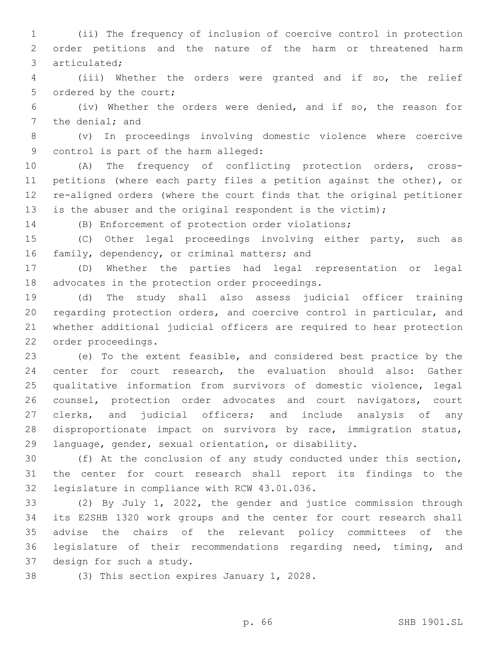(ii) The frequency of inclusion of coercive control in protection order petitions and the nature of the harm or threatened harm 3 articulated;

 (iii) Whether the orders were granted and if so, the relief 5 ordered by the court;

 (iv) Whether the orders were denied, and if so, the reason for 7 the denial; and

 (v) In proceedings involving domestic violence where coercive 9 control is part of the harm alleged:

 (A) The frequency of conflicting protection orders, cross- petitions (where each party files a petition against the other), or re-aligned orders (where the court finds that the original petitioner is the abuser and the original respondent is the victim);

(B) Enforcement of protection order violations;

 (C) Other legal proceedings involving either party, such as 16 family, dependency, or criminal matters; and

 (D) Whether the parties had legal representation or legal 18 advocates in the protection order proceedings.

 (d) The study shall also assess judicial officer training regarding protection orders, and coercive control in particular, and whether additional judicial officers are required to hear protection 22 order proceedings.

 (e) To the extent feasible, and considered best practice by the center for court research, the evaluation should also: Gather qualitative information from survivors of domestic violence, legal counsel, protection order advocates and court navigators, court 27 clerks, and judicial officers; and include analysis of any disproportionate impact on survivors by race, immigration status, language, gender, sexual orientation, or disability.

 (f) At the conclusion of any study conducted under this section, the center for court research shall report its findings to the 32 legislature in compliance with RCW 43.01.036.

 (2) By July 1, 2022, the gender and justice commission through its E2SHB 1320 work groups and the center for court research shall advise the chairs of the relevant policy committees of the legislature of their recommendations regarding need, timing, and 37 design for such a study.

38 (3) This section expires January 1, 2028.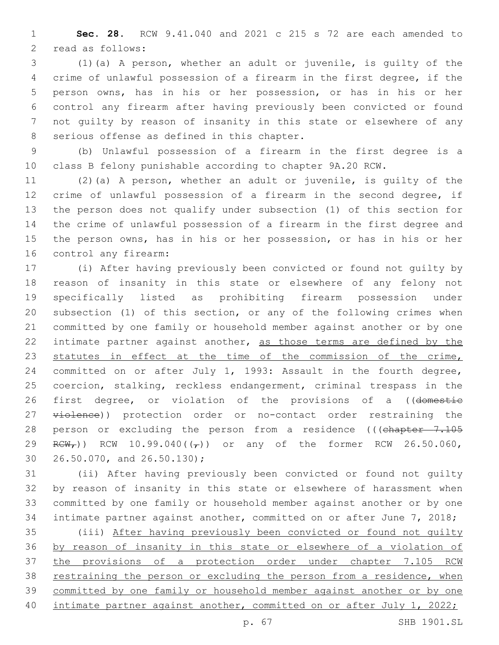**Sec. 28.** RCW 9.41.040 and 2021 c 215 s 72 are each amended to 2 read as follows:

 (1)(a) A person, whether an adult or juvenile, is guilty of the crime of unlawful possession of a firearm in the first degree, if the person owns, has in his or her possession, or has in his or her control any firearm after having previously been convicted or found not guilty by reason of insanity in this state or elsewhere of any 8 serious offense as defined in this chapter.

 (b) Unlawful possession of a firearm in the first degree is a class B felony punishable according to chapter 9A.20 RCW.

 (2)(a) A person, whether an adult or juvenile, is guilty of the crime of unlawful possession of a firearm in the second degree, if the person does not qualify under subsection (1) of this section for the crime of unlawful possession of a firearm in the first degree and the person owns, has in his or her possession, or has in his or her 16 control any firearm:

 (i) After having previously been convicted or found not guilty by reason of insanity in this state or elsewhere of any felony not specifically listed as prohibiting firearm possession under subsection (1) of this section, or any of the following crimes when committed by one family or household member against another or by one 22 intimate partner against another, as those terms are defined by the 23 statutes in effect at the time of the commission of the crime, committed on or after July 1, 1993: Assault in the fourth degree, coercion, stalking, reckless endangerment, criminal trespass in the 26 first degree, or violation of the provisions of a ((domestic 27 violence)) protection order or no-contact order restraining the 28 person or excluding the person from a residence (((chapter 7.105  $RCW_r$ )) RCW 10.99.040( $(\tau)$ ) or any of the former RCW 26.50.060,  $26.50.070$ , and  $26.50.130$ ;

 (ii) After having previously been convicted or found not guilty by reason of insanity in this state or elsewhere of harassment when committed by one family or household member against another or by one intimate partner against another, committed on or after June 7, 2018; (iii) After having previously been convicted or found not guilty by reason of insanity in this state or elsewhere of a violation of the provisions of a protection order under chapter 7.105 RCW

 restraining the person or excluding the person from a residence, when committed by one family or household member against another or by one 40 intimate partner against another, committed on or after July 1, 2022;

p. 67 SHB 1901.SL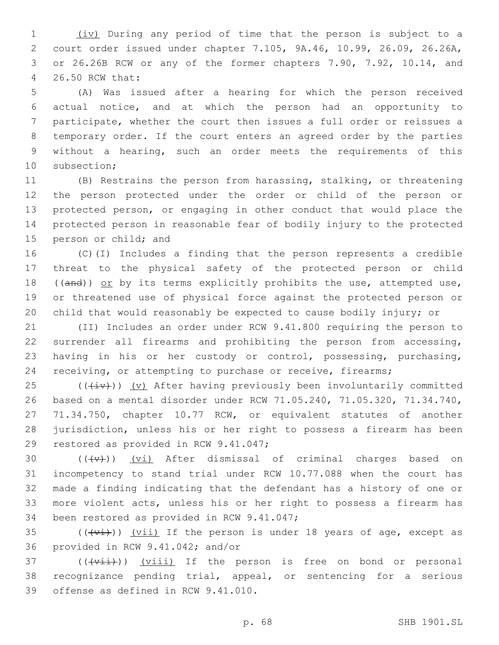(iv) During any period of time that the person is subject to a court order issued under chapter 7.105, 9A.46, 10.99, 26.09, 26.26A, or 26.26B RCW or any of the former chapters 7.90, 7.92, 10.14, and 26.50 RCW that:4

 (A) Was issued after a hearing for which the person received actual notice, and at which the person had an opportunity to participate, whether the court then issues a full order or reissues a temporary order. If the court enters an agreed order by the parties without a hearing, such an order meets the requirements of this 10 subsection;

 (B) Restrains the person from harassing, stalking, or threatening the person protected under the order or child of the person or protected person, or engaging in other conduct that would place the protected person in reasonable fear of bodily injury to the protected 15 person or child; and

 (C)(I) Includes a finding that the person represents a credible threat to the physical safety of the protected person or child 18 (( $\frac{and}{)}$ ) or by its terms explicitly prohibits the use, attempted use, or threatened use of physical force against the protected person or child that would reasonably be expected to cause bodily injury; or

 (II) Includes an order under RCW 9.41.800 requiring the person to surrender all firearms and prohibiting the person from accessing, having in his or her custody or control, possessing, purchasing, 24 receiving, or attempting to purchase or receive, firearms;

 $(1 + i \nu)$ ) (v) After having previously been involuntarily committed based on a mental disorder under RCW 71.05.240, 71.05.320, 71.34.740, 71.34.750, chapter 10.77 RCW, or equivalent statutes of another jurisdiction, unless his or her right to possess a firearm has been 29 restored as provided in RCW 9.41.047;

 $((+\nu)^2)$   $(vi)$  After dismissal of criminal charges based on incompetency to stand trial under RCW 10.77.088 when the court has made a finding indicating that the defendant has a history of one or more violent acts, unless his or her right to possess a firearm has 34 been restored as provided in RCW 9.41.047;

35  $((\overline{v_i}))(\overline{v_i})$  If the person is under 18 years of age, except as 36 provided in RCW 9.41.042; and/or

 ( $(\overrightarrow{viii})$ )  $(viii)$  If the person is free on bond or personal recognizance pending trial, appeal, or sentencing for a serious 39 offense as defined in RCW 9.41.010.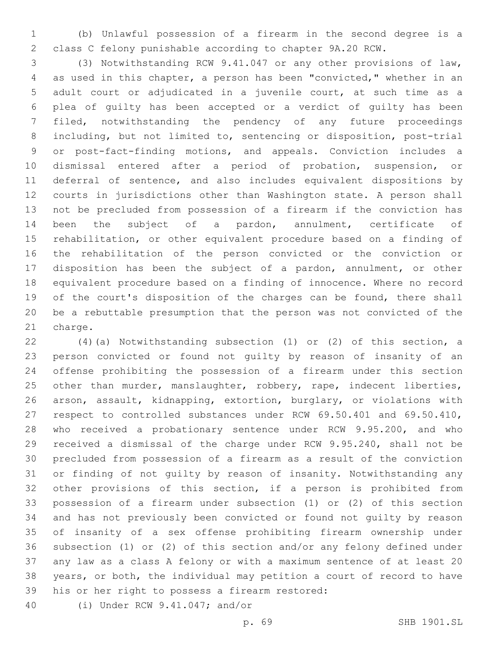(b) Unlawful possession of a firearm in the second degree is a class C felony punishable according to chapter 9A.20 RCW.

 (3) Notwithstanding RCW 9.41.047 or any other provisions of law, as used in this chapter, a person has been "convicted," whether in an adult court or adjudicated in a juvenile court, at such time as a plea of guilty has been accepted or a verdict of guilty has been filed, notwithstanding the pendency of any future proceedings including, but not limited to, sentencing or disposition, post-trial or post-fact-finding motions, and appeals. Conviction includes a dismissal entered after a period of probation, suspension, or deferral of sentence, and also includes equivalent dispositions by courts in jurisdictions other than Washington state. A person shall not be precluded from possession of a firearm if the conviction has been the subject of a pardon, annulment, certificate of rehabilitation, or other equivalent procedure based on a finding of the rehabilitation of the person convicted or the conviction or disposition has been the subject of a pardon, annulment, or other equivalent procedure based on a finding of innocence. Where no record 19 of the court's disposition of the charges can be found, there shall be a rebuttable presumption that the person was not convicted of the 21 charge.

 (4)(a) Notwithstanding subsection (1) or (2) of this section, a person convicted or found not guilty by reason of insanity of an offense prohibiting the possession of a firearm under this section 25 other than murder, manslaughter, robbery, rape, indecent liberties, arson, assault, kidnapping, extortion, burglary, or violations with respect to controlled substances under RCW 69.50.401 and 69.50.410, who received a probationary sentence under RCW 9.95.200, and who received a dismissal of the charge under RCW 9.95.240, shall not be precluded from possession of a firearm as a result of the conviction or finding of not guilty by reason of insanity. Notwithstanding any other provisions of this section, if a person is prohibited from possession of a firearm under subsection (1) or (2) of this section and has not previously been convicted or found not guilty by reason of insanity of a sex offense prohibiting firearm ownership under subsection (1) or (2) of this section and/or any felony defined under any law as a class A felony or with a maximum sentence of at least 20 years, or both, the individual may petition a court of record to have 39 his or her right to possess a firearm restored:

(i) Under RCW 9.41.047; and/or40

p. 69 SHB 1901.SL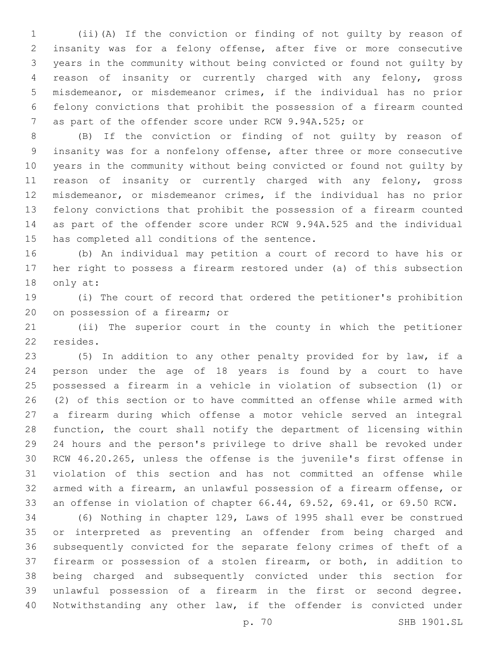(ii)(A) If the conviction or finding of not guilty by reason of insanity was for a felony offense, after five or more consecutive years in the community without being convicted or found not guilty by reason of insanity or currently charged with any felony, gross misdemeanor, or misdemeanor crimes, if the individual has no prior felony convictions that prohibit the possession of a firearm counted as part of the offender score under RCW 9.94A.525; or

 (B) If the conviction or finding of not guilty by reason of insanity was for a nonfelony offense, after three or more consecutive years in the community without being convicted or found not guilty by reason of insanity or currently charged with any felony, gross misdemeanor, or misdemeanor crimes, if the individual has no prior felony convictions that prohibit the possession of a firearm counted as part of the offender score under RCW 9.94A.525 and the individual 15 has completed all conditions of the sentence.

 (b) An individual may petition a court of record to have his or her right to possess a firearm restored under (a) of this subsection 18 only at:

 (i) The court of record that ordered the petitioner's prohibition 20 on possession of a firearm; or

 (ii) The superior court in the county in which the petitioner 22 resides.

 (5) In addition to any other penalty provided for by law, if a person under the age of 18 years is found by a court to have possessed a firearm in a vehicle in violation of subsection (1) or (2) of this section or to have committed an offense while armed with a firearm during which offense a motor vehicle served an integral function, the court shall notify the department of licensing within 24 hours and the person's privilege to drive shall be revoked under RCW 46.20.265, unless the offense is the juvenile's first offense in violation of this section and has not committed an offense while armed with a firearm, an unlawful possession of a firearm offense, or an offense in violation of chapter 66.44, 69.52, 69.41, or 69.50 RCW.

 (6) Nothing in chapter 129, Laws of 1995 shall ever be construed or interpreted as preventing an offender from being charged and subsequently convicted for the separate felony crimes of theft of a firearm or possession of a stolen firearm, or both, in addition to being charged and subsequently convicted under this section for unlawful possession of a firearm in the first or second degree. Notwithstanding any other law, if the offender is convicted under

p. 70 SHB 1901.SL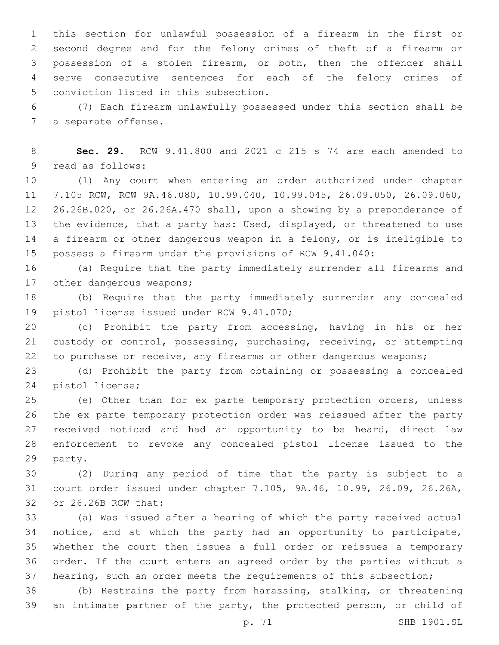this section for unlawful possession of a firearm in the first or second degree and for the felony crimes of theft of a firearm or possession of a stolen firearm, or both, then the offender shall serve consecutive sentences for each of the felony crimes of 5 conviction listed in this subsection.

 (7) Each firearm unlawfully possessed under this section shall be 7 a separate offense.

 **Sec. 29.** RCW 9.41.800 and 2021 c 215 s 74 are each amended to 9 read as follows:

 (1) Any court when entering an order authorized under chapter 7.105 RCW, RCW 9A.46.080, 10.99.040, 10.99.045, 26.09.050, 26.09.060, 26.26B.020, or 26.26A.470 shall, upon a showing by a preponderance of the evidence, that a party has: Used, displayed, or threatened to use a firearm or other dangerous weapon in a felony, or is ineligible to possess a firearm under the provisions of RCW 9.41.040:

 (a) Require that the party immediately surrender all firearms and 17 other dangerous weapons;

 (b) Require that the party immediately surrender any concealed 19 pistol license issued under RCW 9.41.070;

 (c) Prohibit the party from accessing, having in his or her custody or control, possessing, purchasing, receiving, or attempting to purchase or receive, any firearms or other dangerous weapons;

 (d) Prohibit the party from obtaining or possessing a concealed 24 pistol license;

 (e) Other than for ex parte temporary protection orders, unless the ex parte temporary protection order was reissued after the party 27 received noticed and had an opportunity to be heard, direct law enforcement to revoke any concealed pistol license issued to the 29 party.

 (2) During any period of time that the party is subject to a court order issued under chapter 7.105, 9A.46, 10.99, 26.09, 26.26A, 32 or 26.26B RCW that:

 (a) Was issued after a hearing of which the party received actual notice, and at which the party had an opportunity to participate, whether the court then issues a full order or reissues a temporary order. If the court enters an agreed order by the parties without a 37 hearing, such an order meets the requirements of this subsection;

 (b) Restrains the party from harassing, stalking, or threatening an intimate partner of the party, the protected person, or child of

p. 71 SHB 1901.SL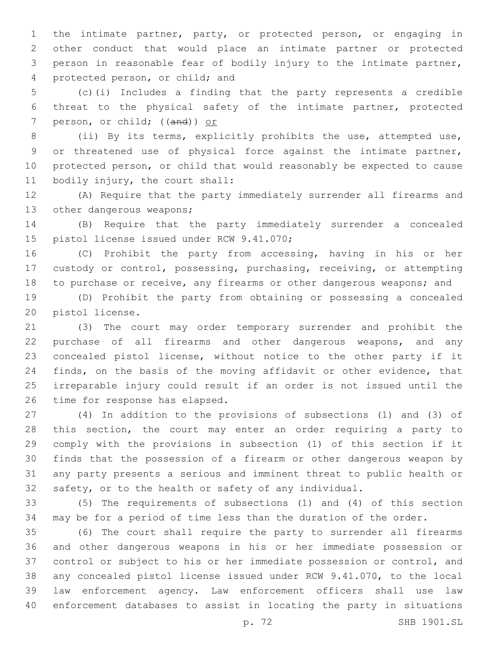the intimate partner, party, or protected person, or engaging in other conduct that would place an intimate partner or protected person in reasonable fear of bodily injury to the intimate partner, 4 protected person, or child; and

 (c)(i) Includes a finding that the party represents a credible threat to the physical safety of the intimate partner, protected 7 person, or child; ((and)) or

 (ii) By its terms, explicitly prohibits the use, attempted use, or threatened use of physical force against the intimate partner, protected person, or child that would reasonably be expected to cause 11 bodily injury, the court shall:

 (A) Require that the party immediately surrender all firearms and 13 other dangerous weapons;

 (B) Require that the party immediately surrender a concealed 15 pistol license issued under RCW 9.41.070;

 (C) Prohibit the party from accessing, having in his or her custody or control, possessing, purchasing, receiving, or attempting to purchase or receive, any firearms or other dangerous weapons; and

 (D) Prohibit the party from obtaining or possessing a concealed 20 pistol license.

 (3) The court may order temporary surrender and prohibit the purchase of all firearms and other dangerous weapons, and any concealed pistol license, without notice to the other party if it finds, on the basis of the moving affidavit or other evidence, that irreparable injury could result if an order is not issued until the 26 time for response has elapsed.

 (4) In addition to the provisions of subsections (1) and (3) of this section, the court may enter an order requiring a party to comply with the provisions in subsection (1) of this section if it finds that the possession of a firearm or other dangerous weapon by any party presents a serious and imminent threat to public health or safety, or to the health or safety of any individual.

 (5) The requirements of subsections (1) and (4) of this section may be for a period of time less than the duration of the order.

 (6) The court shall require the party to surrender all firearms and other dangerous weapons in his or her immediate possession or control or subject to his or her immediate possession or control, and any concealed pistol license issued under RCW 9.41.070, to the local law enforcement agency. Law enforcement officers shall use law enforcement databases to assist in locating the party in situations

p. 72 SHB 1901.SL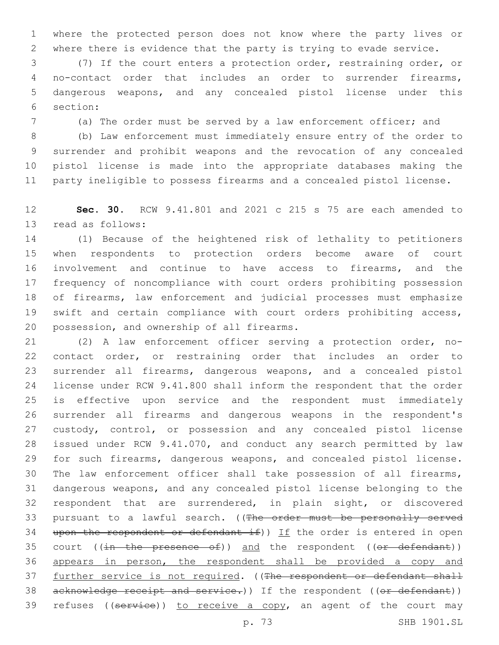where the protected person does not know where the party lives or where there is evidence that the party is trying to evade service.

 (7) If the court enters a protection order, restraining order, or no-contact order that includes an order to surrender firearms, dangerous weapons, and any concealed pistol license under this section:6

(a) The order must be served by a law enforcement officer; and

 (b) Law enforcement must immediately ensure entry of the order to surrender and prohibit weapons and the revocation of any concealed pistol license is made into the appropriate databases making the party ineligible to possess firearms and a concealed pistol license.

 **Sec. 30.** RCW 9.41.801 and 2021 c 215 s 75 are each amended to 13 read as follows:

 (1) Because of the heightened risk of lethality to petitioners when respondents to protection orders become aware of court involvement and continue to have access to firearms, and the frequency of noncompliance with court orders prohibiting possession of firearms, law enforcement and judicial processes must emphasize swift and certain compliance with court orders prohibiting access, 20 possession, and ownership of all firearms.

 (2) A law enforcement officer serving a protection order, no- contact order, or restraining order that includes an order to surrender all firearms, dangerous weapons, and a concealed pistol license under RCW 9.41.800 shall inform the respondent that the order is effective upon service and the respondent must immediately surrender all firearms and dangerous weapons in the respondent's custody, control, or possession and any concealed pistol license issued under RCW 9.41.070, and conduct any search permitted by law for such firearms, dangerous weapons, and concealed pistol license. The law enforcement officer shall take possession of all firearms, dangerous weapons, and any concealed pistol license belonging to the respondent that are surrendered, in plain sight, or discovered 33 pursuant to a lawful search. ((The order must be personally served 34 upon the respondent or defendant if)) If the order is entered in open 35 court  $((\text{in the presence of}))$  and the respondent  $((\text{or}-\text{defendant}))$  appears in person, the respondent shall be provided a copy and 37 further service is not required. ((The respondent or defendant shall 38 acknowledge receipt and service.)) If the respondent ((or defendant)) 39 refuses ((service)) to receive a copy, an agent of the court may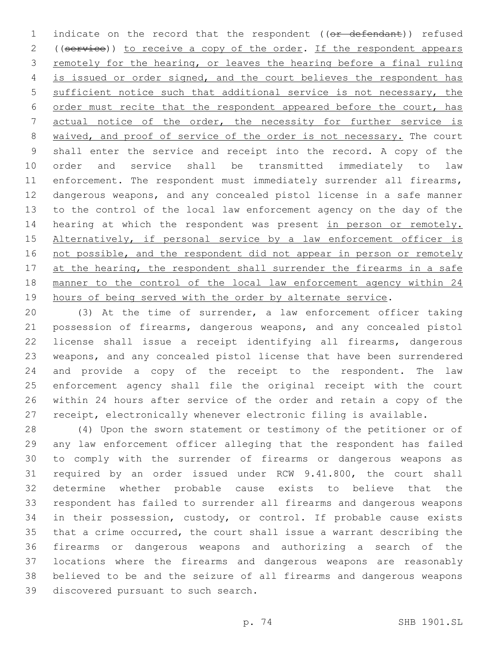1 indicate on the record that the respondent ((or defendant)) refused 2 ((service)) to receive a copy of the order. If the respondent appears remotely for the hearing, or leaves the hearing before a final ruling is issued or order signed, and the court believes the respondent has 5 sufficient notice such that additional service is not necessary, the order must recite that the respondent appeared before the court, has actual notice of the order, the necessity for further service is waived, and proof of service of the order is not necessary. The court shall enter the service and receipt into the record. A copy of the order and service shall be transmitted immediately to law 11 enforcement. The respondent must immediately surrender all firearms, dangerous weapons, and any concealed pistol license in a safe manner to the control of the local law enforcement agency on the day of the 14 hearing at which the respondent was present in person or remotely. 15 Alternatively, if personal service by a law enforcement officer is 16 not possible, and the respondent did not appear in person or remotely 17 at the hearing, the respondent shall surrender the firearms in a safe manner to the control of the local law enforcement agency within 24 19 hours of being served with the order by alternate service.

 (3) At the time of surrender, a law enforcement officer taking possession of firearms, dangerous weapons, and any concealed pistol license shall issue a receipt identifying all firearms, dangerous weapons, and any concealed pistol license that have been surrendered and provide a copy of the receipt to the respondent. The law enforcement agency shall file the original receipt with the court within 24 hours after service of the order and retain a copy of the receipt, electronically whenever electronic filing is available.

 (4) Upon the sworn statement or testimony of the petitioner or of any law enforcement officer alleging that the respondent has failed to comply with the surrender of firearms or dangerous weapons as required by an order issued under RCW 9.41.800, the court shall determine whether probable cause exists to believe that the respondent has failed to surrender all firearms and dangerous weapons 34 in their possession, custody, or control. If probable cause exists that a crime occurred, the court shall issue a warrant describing the firearms or dangerous weapons and authorizing a search of the locations where the firearms and dangerous weapons are reasonably believed to be and the seizure of all firearms and dangerous weapons 39 discovered pursuant to such search.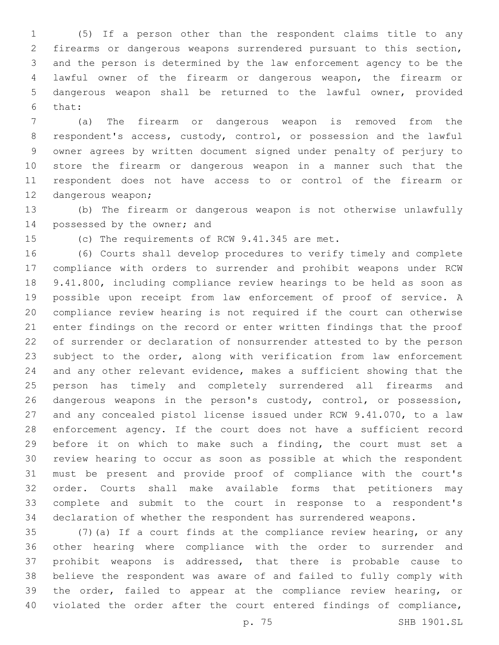(5) If a person other than the respondent claims title to any firearms or dangerous weapons surrendered pursuant to this section, and the person is determined by the law enforcement agency to be the lawful owner of the firearm or dangerous weapon, the firearm or dangerous weapon shall be returned to the lawful owner, provided 6 that:

 (a) The firearm or dangerous weapon is removed from the respondent's access, custody, control, or possession and the lawful owner agrees by written document signed under penalty of perjury to store the firearm or dangerous weapon in a manner such that the respondent does not have access to or control of the firearm or 12 dangerous weapon;

 (b) The firearm or dangerous weapon is not otherwise unlawfully 14 possessed by the owner; and

15 (c) The requirements of RCW 9.41.345 are met.

 (6) Courts shall develop procedures to verify timely and complete compliance with orders to surrender and prohibit weapons under RCW 9.41.800, including compliance review hearings to be held as soon as possible upon receipt from law enforcement of proof of service. A compliance review hearing is not required if the court can otherwise enter findings on the record or enter written findings that the proof of surrender or declaration of nonsurrender attested to by the person subject to the order, along with verification from law enforcement and any other relevant evidence, makes a sufficient showing that the person has timely and completely surrendered all firearms and 26 dangerous weapons in the person's custody, control, or possession, and any concealed pistol license issued under RCW 9.41.070, to a law enforcement agency. If the court does not have a sufficient record before it on which to make such a finding, the court must set a review hearing to occur as soon as possible at which the respondent must be present and provide proof of compliance with the court's order. Courts shall make available forms that petitioners may complete and submit to the court in response to a respondent's declaration of whether the respondent has surrendered weapons.

 (7)(a) If a court finds at the compliance review hearing, or any other hearing where compliance with the order to surrender and prohibit weapons is addressed, that there is probable cause to believe the respondent was aware of and failed to fully comply with the order, failed to appear at the compliance review hearing, or 40 violated the order after the court entered findings of compliance,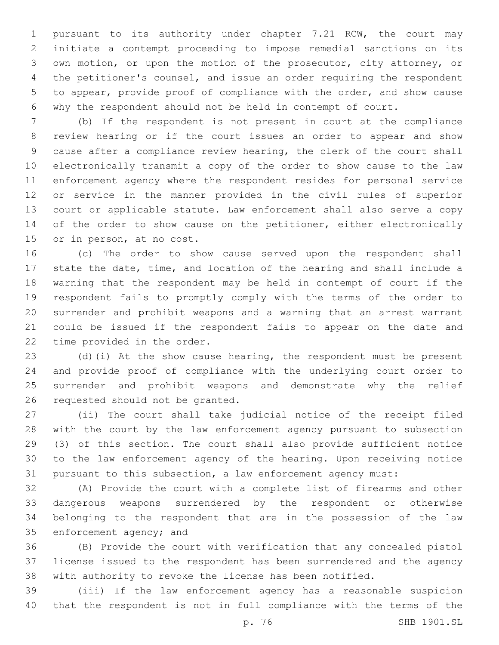pursuant to its authority under chapter 7.21 RCW, the court may initiate a contempt proceeding to impose remedial sanctions on its own motion, or upon the motion of the prosecutor, city attorney, or the petitioner's counsel, and issue an order requiring the respondent to appear, provide proof of compliance with the order, and show cause why the respondent should not be held in contempt of court.

 (b) If the respondent is not present in court at the compliance review hearing or if the court issues an order to appear and show cause after a compliance review hearing, the clerk of the court shall electronically transmit a copy of the order to show cause to the law enforcement agency where the respondent resides for personal service or service in the manner provided in the civil rules of superior court or applicable statute. Law enforcement shall also serve a copy 14 of the order to show cause on the petitioner, either electronically 15 or in person, at no cost.

 (c) The order to show cause served upon the respondent shall state the date, time, and location of the hearing and shall include a warning that the respondent may be held in contempt of court if the respondent fails to promptly comply with the terms of the order to surrender and prohibit weapons and a warning that an arrest warrant could be issued if the respondent fails to appear on the date and 22 time provided in the order.

 (d)(i) At the show cause hearing, the respondent must be present and provide proof of compliance with the underlying court order to surrender and prohibit weapons and demonstrate why the relief 26 requested should not be granted.

 (ii) The court shall take judicial notice of the receipt filed with the court by the law enforcement agency pursuant to subsection (3) of this section. The court shall also provide sufficient notice to the law enforcement agency of the hearing. Upon receiving notice pursuant to this subsection, a law enforcement agency must:

 (A) Provide the court with a complete list of firearms and other dangerous weapons surrendered by the respondent or otherwise belonging to the respondent that are in the possession of the law 35 enforcement agency; and

 (B) Provide the court with verification that any concealed pistol license issued to the respondent has been surrendered and the agency with authority to revoke the license has been notified.

 (iii) If the law enforcement agency has a reasonable suspicion that the respondent is not in full compliance with the terms of the

p. 76 SHB 1901.SL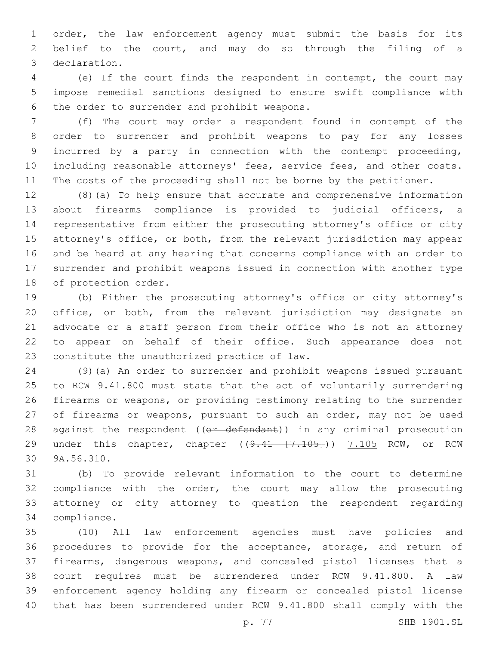order, the law enforcement agency must submit the basis for its belief to the court, and may do so through the filing of a declaration.3

 (e) If the court finds the respondent in contempt, the court may impose remedial sanctions designed to ensure swift compliance with 6 the order to surrender and prohibit weapons.

 (f) The court may order a respondent found in contempt of the order to surrender and prohibit weapons to pay for any losses incurred by a party in connection with the contempt proceeding, including reasonable attorneys' fees, service fees, and other costs. 11 The costs of the proceeding shall not be borne by the petitioner.

 (8)(a) To help ensure that accurate and comprehensive information about firearms compliance is provided to judicial officers, a representative from either the prosecuting attorney's office or city 15 attorney's office, or both, from the relevant jurisdiction may appear and be heard at any hearing that concerns compliance with an order to surrender and prohibit weapons issued in connection with another type 18 of protection order.

 (b) Either the prosecuting attorney's office or city attorney's office, or both, from the relevant jurisdiction may designate an advocate or a staff person from their office who is not an attorney to appear on behalf of their office. Such appearance does not 23 constitute the unauthorized practice of law.

 (9)(a) An order to surrender and prohibit weapons issued pursuant to RCW 9.41.800 must state that the act of voluntarily surrendering firearms or weapons, or providing testimony relating to the surrender 27 of firearms or weapons, pursuant to such an order, may not be used 28 against the respondent ((or defendant)) in any criminal prosecution 29 under this chapter, chapter ((9.41 [7.105])) 7.105 RCW, or RCW 30 9A.56.310.

 (b) To provide relevant information to the court to determine compliance with the order, the court may allow the prosecuting attorney or city attorney to question the respondent regarding 34 compliance.

 (10) All law enforcement agencies must have policies and 36 procedures to provide for the acceptance, storage, and return of firearms, dangerous weapons, and concealed pistol licenses that a court requires must be surrendered under RCW 9.41.800. A law enforcement agency holding any firearm or concealed pistol license that has been surrendered under RCW 9.41.800 shall comply with the

p. 77 SHB 1901.SL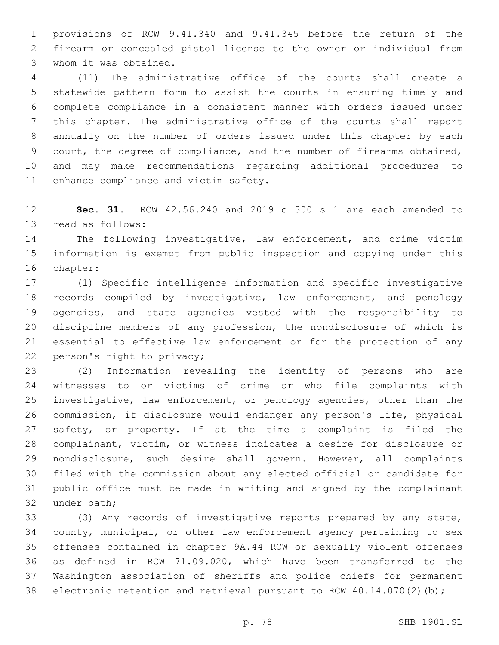provisions of RCW 9.41.340 and 9.41.345 before the return of the firearm or concealed pistol license to the owner or individual from 3 whom it was obtained.

 (11) The administrative office of the courts shall create a statewide pattern form to assist the courts in ensuring timely and complete compliance in a consistent manner with orders issued under this chapter. The administrative office of the courts shall report annually on the number of orders issued under this chapter by each court, the degree of compliance, and the number of firearms obtained, and may make recommendations regarding additional procedures to 11 enhance compliance and victim safety.

 **Sec. 31.** RCW 42.56.240 and 2019 c 300 s 1 are each amended to 13 read as follows:

 The following investigative, law enforcement, and crime victim information is exempt from public inspection and copying under this 16 chapter:

 (1) Specific intelligence information and specific investigative records compiled by investigative, law enforcement, and penology agencies, and state agencies vested with the responsibility to discipline members of any profession, the nondisclosure of which is essential to effective law enforcement or for the protection of any 22 person's right to privacy;

 (2) Information revealing the identity of persons who are witnesses to or victims of crime or who file complaints with investigative, law enforcement, or penology agencies, other than the commission, if disclosure would endanger any person's life, physical safety, or property. If at the time a complaint is filed the complainant, victim, or witness indicates a desire for disclosure or nondisclosure, such desire shall govern. However, all complaints filed with the commission about any elected official or candidate for public office must be made in writing and signed by the complainant 32 under oath:

 (3) Any records of investigative reports prepared by any state, county, municipal, or other law enforcement agency pertaining to sex offenses contained in chapter 9A.44 RCW or sexually violent offenses as defined in RCW 71.09.020, which have been transferred to the Washington association of sheriffs and police chiefs for permanent 38 electronic retention and retrieval pursuant to RCW 40.14.070(2)(b);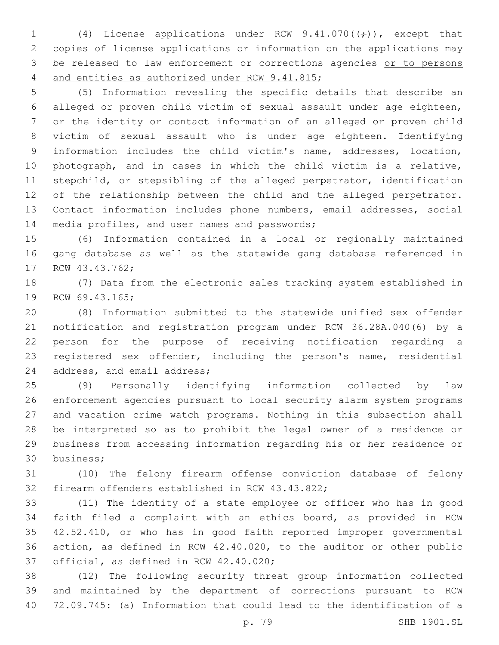1 (4) License applications under RCW  $9.41.070(\text{(*)})$ , except that copies of license applications or information on the applications may 3 be released to law enforcement or corrections agencies or to persons 4 and entities as authorized under RCW 9.41.815;

 (5) Information revealing the specific details that describe an alleged or proven child victim of sexual assault under age eighteen, or the identity or contact information of an alleged or proven child victim of sexual assault who is under age eighteen. Identifying information includes the child victim's name, addresses, location, photograph, and in cases in which the child victim is a relative, stepchild, or stepsibling of the alleged perpetrator, identification of the relationship between the child and the alleged perpetrator. Contact information includes phone numbers, email addresses, social 14 media profiles, and user names and passwords;

 (6) Information contained in a local or regionally maintained gang database as well as the statewide gang database referenced in 17 RCW 43.43.762;

 (7) Data from the electronic sales tracking system established in 19 RCW 69.43.165;

 (8) Information submitted to the statewide unified sex offender notification and registration program under RCW 36.28A.040(6) by a person for the purpose of receiving notification regarding a registered sex offender, including the person's name, residential 24 address, and email address;

 (9) Personally identifying information collected by law enforcement agencies pursuant to local security alarm system programs and vacation crime watch programs. Nothing in this subsection shall be interpreted so as to prohibit the legal owner of a residence or business from accessing information regarding his or her residence or business;30

 (10) The felony firearm offense conviction database of felony 32 firearm offenders established in RCW 43.43.822;

 (11) The identity of a state employee or officer who has in good faith filed a complaint with an ethics board, as provided in RCW 42.52.410, or who has in good faith reported improper governmental action, as defined in RCW 42.40.020, to the auditor or other public 37 official, as defined in RCW 42.40.020;

 (12) The following security threat group information collected and maintained by the department of corrections pursuant to RCW 72.09.745: (a) Information that could lead to the identification of a

p. 79 SHB 1901.SL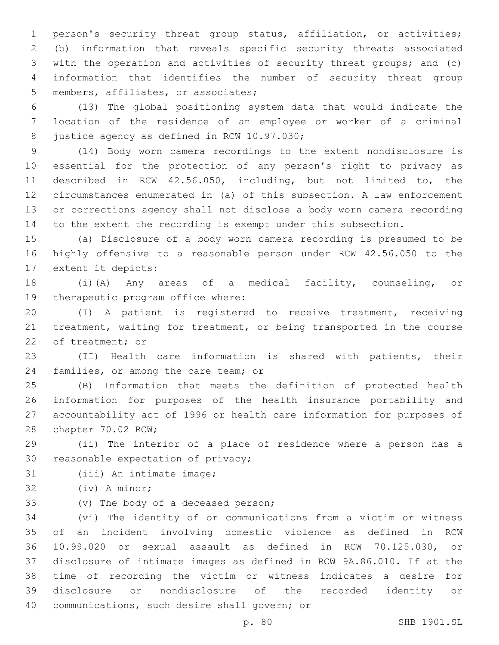person's security threat group status, affiliation, or activities; (b) information that reveals specific security threats associated with the operation and activities of security threat groups; and (c) information that identifies the number of security threat group 5 members, affiliates, or associates;

 (13) The global positioning system data that would indicate the location of the residence of an employee or worker of a criminal 8 justice agency as defined in RCW 10.97.030;

 (14) Body worn camera recordings to the extent nondisclosure is essential for the protection of any person's right to privacy as described in RCW 42.56.050, including, but not limited to, the circumstances enumerated in (a) of this subsection. A law enforcement or corrections agency shall not disclose a body worn camera recording to the extent the recording is exempt under this subsection.

 (a) Disclosure of a body worn camera recording is presumed to be highly offensive to a reasonable person under RCW 42.56.050 to the 17 extent it depicts:

 (i)(A) Any areas of a medical facility, counseling, or 19 therapeutic program office where:

 (I) A patient is registered to receive treatment, receiving treatment, waiting for treatment, or being transported in the course 22 of treatment; or

 (II) Health care information is shared with patients, their 24 families, or among the care team; or

 (B) Information that meets the definition of protected health information for purposes of the health insurance portability and accountability act of 1996 or health care information for purposes of 28 chapter 70.02 RCW;

 (ii) The interior of a place of residence where a person has a 30 reasonable expectation of privacy;

31 (iii) An intimate image;

32 (iv) A minor;

33 (v) The body of a deceased person;

 (vi) The identity of or communications from a victim or witness of an incident involving domestic violence as defined in RCW 10.99.020 or sexual assault as defined in RCW 70.125.030, or disclosure of intimate images as defined in RCW 9A.86.010. If at the time of recording the victim or witness indicates a desire for disclosure or nondisclosure of the recorded identity or 40 communications, such desire shall govern; or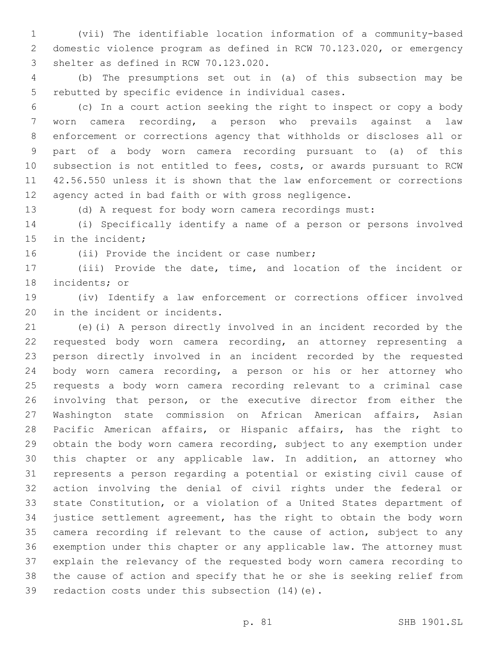(vii) The identifiable location information of a community-based domestic violence program as defined in RCW 70.123.020, or emergency 3 shelter as defined in RCW 70.123.020.

 (b) The presumptions set out in (a) of this subsection may be 5 rebutted by specific evidence in individual cases.

 (c) In a court action seeking the right to inspect or copy a body worn camera recording, a person who prevails against a law enforcement or corrections agency that withholds or discloses all or part of a body worn camera recording pursuant to (a) of this subsection is not entitled to fees, costs, or awards pursuant to RCW 42.56.550 unless it is shown that the law enforcement or corrections agency acted in bad faith or with gross negligence.

(d) A request for body worn camera recordings must:

 (i) Specifically identify a name of a person or persons involved 15 in the incident;

16 (ii) Provide the incident or case number;

 (iii) Provide the date, time, and location of the incident or 18 incidents; or

 (iv) Identify a law enforcement or corrections officer involved 20 in the incident or incidents.

 (e)(i) A person directly involved in an incident recorded by the requested body worn camera recording, an attorney representing a person directly involved in an incident recorded by the requested body worn camera recording, a person or his or her attorney who requests a body worn camera recording relevant to a criminal case involving that person, or the executive director from either the Washington state commission on African American affairs, Asian Pacific American affairs, or Hispanic affairs, has the right to obtain the body worn camera recording, subject to any exemption under this chapter or any applicable law. In addition, an attorney who represents a person regarding a potential or existing civil cause of action involving the denial of civil rights under the federal or state Constitution, or a violation of a United States department of justice settlement agreement, has the right to obtain the body worn camera recording if relevant to the cause of action, subject to any exemption under this chapter or any applicable law. The attorney must explain the relevancy of the requested body worn camera recording to the cause of action and specify that he or she is seeking relief from 39 redaction costs under this subsection (14) (e).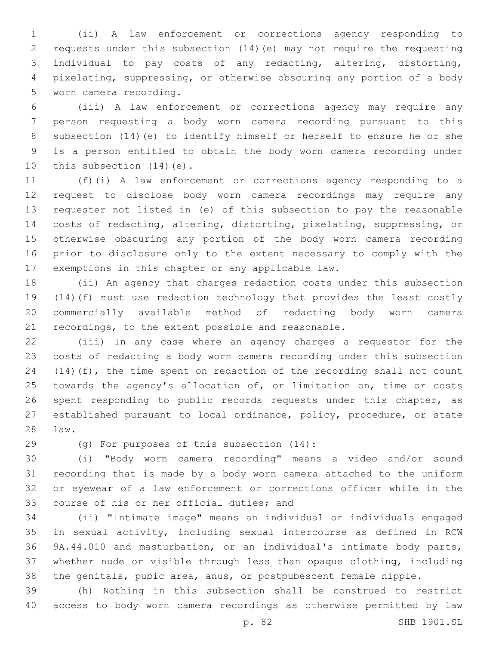(ii) A law enforcement or corrections agency responding to requests under this subsection (14)(e) may not require the requesting individual to pay costs of any redacting, altering, distorting, pixelating, suppressing, or otherwise obscuring any portion of a body 5 worn camera recording.

 (iii) A law enforcement or corrections agency may require any person requesting a body worn camera recording pursuant to this subsection (14)(e) to identify himself or herself to ensure he or she is a person entitled to obtain the body worn camera recording under 10 this subsection  $(14)(e)$ .

 (f)(i) A law enforcement or corrections agency responding to a request to disclose body worn camera recordings may require any requester not listed in (e) of this subsection to pay the reasonable costs of redacting, altering, distorting, pixelating, suppressing, or otherwise obscuring any portion of the body worn camera recording prior to disclosure only to the extent necessary to comply with the 17 exemptions in this chapter or any applicable law.

 (ii) An agency that charges redaction costs under this subsection (14)(f) must use redaction technology that provides the least costly commercially available method of redacting body worn camera recordings, to the extent possible and reasonable.

 (iii) In any case where an agency charges a requestor for the costs of redacting a body worn camera recording under this subsection (14)(f), the time spent on redaction of the recording shall not count 25 towards the agency's allocation of, or limitation on, time or costs spent responding to public records requests under this chapter, as established pursuant to local ordinance, policy, procedure, or state law.28

(g) For purposes of this subsection (14):29

 (i) "Body worn camera recording" means a video and/or sound recording that is made by a body worn camera attached to the uniform or eyewear of a law enforcement or corrections officer while in the 33 course of his or her official duties; and

 (ii) "Intimate image" means an individual or individuals engaged in sexual activity, including sexual intercourse as defined in RCW 9A.44.010 and masturbation, or an individual's intimate body parts, whether nude or visible through less than opaque clothing, including the genitals, pubic area, anus, or postpubescent female nipple.

 (h) Nothing in this subsection shall be construed to restrict access to body worn camera recordings as otherwise permitted by law

p. 82 SHB 1901.SL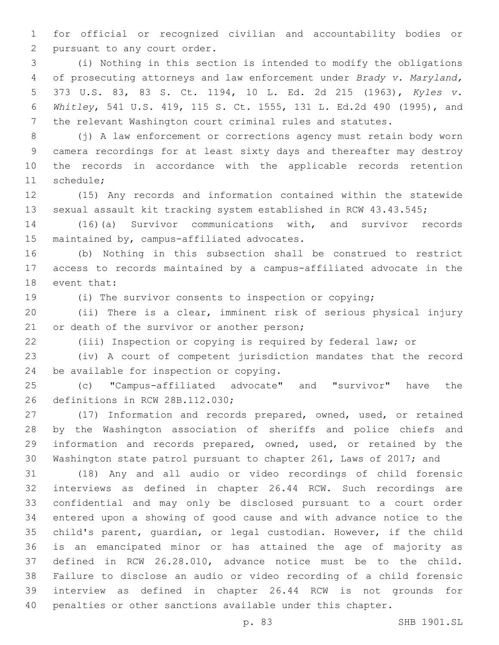for official or recognized civilian and accountability bodies or 2 pursuant to any court order.

 (i) Nothing in this section is intended to modify the obligations of prosecuting attorneys and law enforcement under *Brady v. Maryland,*  373 U.S. 83, 83 S. Ct. 1194, 10 L. Ed. 2d 215 (1963), *Kyles v. Whitley*, 541 U.S. 419, 115 S. Ct. 1555, 131 L. Ed.2d 490 (1995), and the relevant Washington court criminal rules and statutes.

 (j) A law enforcement or corrections agency must retain body worn camera recordings for at least sixty days and thereafter may destroy the records in accordance with the applicable records retention 11 schedule;

 (15) Any records and information contained within the statewide sexual assault kit tracking system established in RCW 43.43.545;

 (16)(a) Survivor communications with, and survivor records 15 maintained by, campus-affiliated advocates.

 (b) Nothing in this subsection shall be construed to restrict access to records maintained by a campus-affiliated advocate in the 18 event that:

(i) The survivor consents to inspection or copying;

 (ii) There is a clear, imminent risk of serious physical injury 21 or death of the survivor or another person;

(iii) Inspection or copying is required by federal law; or

 (iv) A court of competent jurisdiction mandates that the record 24 be available for inspection or copying.

 (c) "Campus-affiliated advocate" and "survivor" have the 26 definitions in RCW 28B.112.030;

 (17) Information and records prepared, owned, used, or retained by the Washington association of sheriffs and police chiefs and information and records prepared, owned, used, or retained by the Washington state patrol pursuant to chapter 261, Laws of 2017; and

 (18) Any and all audio or video recordings of child forensic interviews as defined in chapter 26.44 RCW. Such recordings are confidential and may only be disclosed pursuant to a court order entered upon a showing of good cause and with advance notice to the child's parent, guardian, or legal custodian. However, if the child is an emancipated minor or has attained the age of majority as defined in RCW 26.28.010, advance notice must be to the child. Failure to disclose an audio or video recording of a child forensic interview as defined in chapter 26.44 RCW is not grounds for penalties or other sanctions available under this chapter.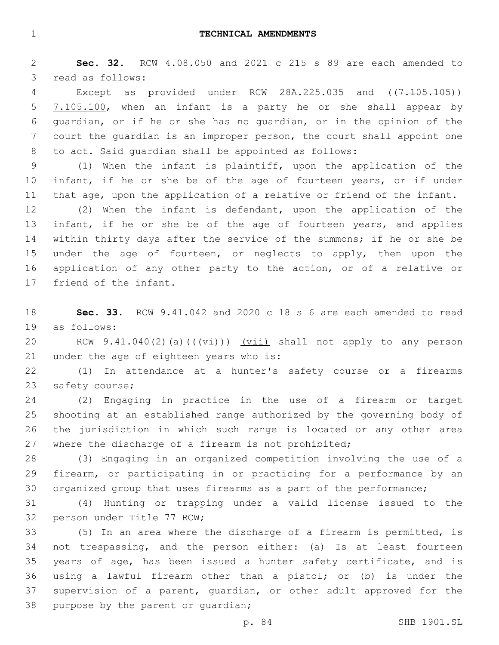**Sec. 32.** RCW 4.08.050 and 2021 c 215 s 89 are each amended to 3 read as follows:

4 Except as provided under RCW 28A.225.035 and ( $(7.105.105)$ ) 7.105.100, when an infant is a party he or she shall appear by guardian, or if he or she has no guardian, or in the opinion of the court the guardian is an improper person, the court shall appoint one to act. Said guardian shall be appointed as follows:

 (1) When the infant is plaintiff, upon the application of the 10 infant, if he or she be of the age of fourteen years, or if under that age, upon the application of a relative or friend of the infant.

 (2) When the infant is defendant, upon the application of the 13 infant, if he or she be of the age of fourteen years, and applies within thirty days after the service of the summons; if he or she be 15 under the age of fourteen, or neglects to apply, then upon the application of any other party to the action, or of a relative or 17 friend of the infant.

 **Sec. 33.** RCW 9.41.042 and 2020 c 18 s 6 are each amended to read 19 as follows:

20 RCW 9.41.040(2)(a)( $(\overleftrightarrow{v_i})$ ) (vii) shall not apply to any person 21 under the age of eighteen years who is:

 (1) In attendance at a hunter's safety course or a firearms 23 safety course;

 (2) Engaging in practice in the use of a firearm or target shooting at an established range authorized by the governing body of the jurisdiction in which such range is located or any other area where the discharge of a firearm is not prohibited;

 (3) Engaging in an organized competition involving the use of a firearm, or participating in or practicing for a performance by an organized group that uses firearms as a part of the performance;

 (4) Hunting or trapping under a valid license issued to the 32 person under Title 77 RCW;

 (5) In an area where the discharge of a firearm is permitted, is not trespassing, and the person either: (a) Is at least fourteen years of age, has been issued a hunter safety certificate, and is using a lawful firearm other than a pistol; or (b) is under the supervision of a parent, guardian, or other adult approved for the 38 purpose by the parent or quardian;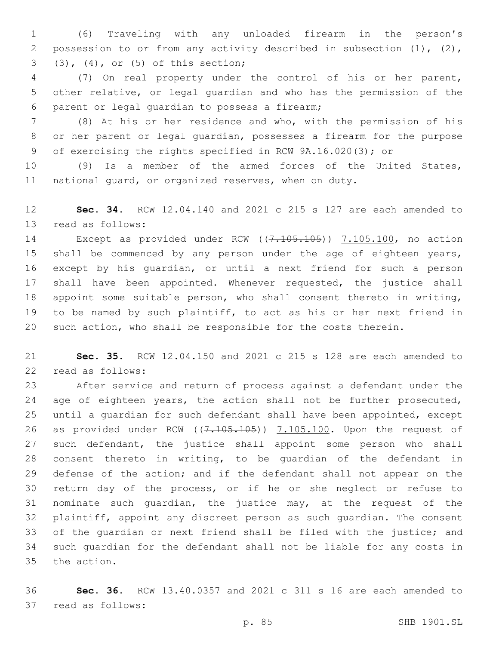(6) Traveling with any unloaded firearm in the person's possession to or from any activity described in subsection (1), (2), (3), (4), or (5) of this section;3

 (7) On real property under the control of his or her parent, other relative, or legal guardian and who has the permission of the 6 parent or legal guardian to possess a firearm;

 (8) At his or her residence and who, with the permission of his or her parent or legal guardian, possesses a firearm for the purpose of exercising the rights specified in RCW 9A.16.020(3); or

 (9) Is a member of the armed forces of the United States, national guard, or organized reserves, when on duty.

 **Sec. 34.** RCW 12.04.140 and 2021 c 215 s 127 are each amended to 13 read as follows:

14 Except as provided under RCW ((7.105.105)) 7.105.100, no action shall be commenced by any person under the age of eighteen years, except by his guardian, or until a next friend for such a person shall have been appointed. Whenever requested, the justice shall appoint some suitable person, who shall consent thereto in writing, to be named by such plaintiff, to act as his or her next friend in such action, who shall be responsible for the costs therein.

 **Sec. 35.** RCW 12.04.150 and 2021 c 215 s 128 are each amended to 22 read as follows:

 After service and return of process against a defendant under the 24 age of eighteen years, the action shall not be further prosecuted, until a guardian for such defendant shall have been appointed, except 26 as provided under RCW  $((7.105.105))$   $(7.105.100)$ . Upon the request of such defendant, the justice shall appoint some person who shall consent thereto in writing, to be guardian of the defendant in defense of the action; and if the defendant shall not appear on the return day of the process, or if he or she neglect or refuse to nominate such guardian, the justice may, at the request of the plaintiff, appoint any discreet person as such guardian. The consent of the guardian or next friend shall be filed with the justice; and such guardian for the defendant shall not be liable for any costs in 35 the action.

 **Sec. 36.** RCW 13.40.0357 and 2021 c 311 s 16 are each amended to 37 read as follows: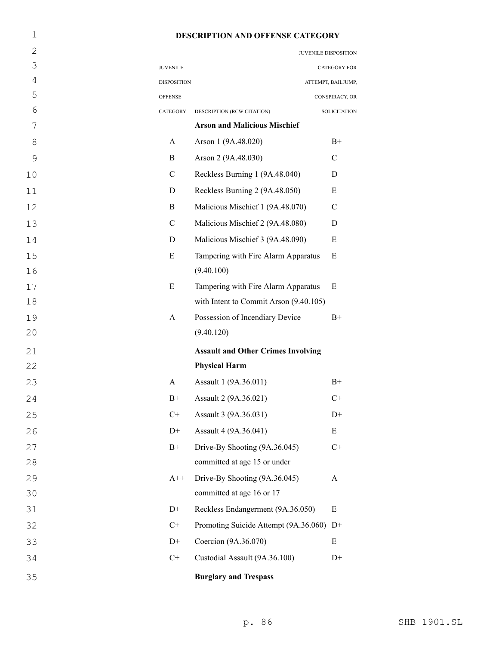# 1 **DESCRIPTION AND OFFENSE CATEGORY**

| $\mathbf{2}$   |                    | JUVENILE DISPOSITION                      |                     |
|----------------|--------------------|-------------------------------------------|---------------------|
| 3              | <b>JUVENILE</b>    |                                           | CATEGORY FOR        |
| $\overline{4}$ | <b>DISPOSITION</b> |                                           | ATTEMPT, BAILJUMP,  |
| 5              | <b>OFFENSE</b>     |                                           | CONSPIRACY, OR      |
| 6              | CATEGORY           | DESCRIPTION (RCW CITATION)                | <b>SOLICITATION</b> |
| 7              |                    | <b>Arson and Malicious Mischief</b>       |                     |
| 8              | A                  | Arson 1 (9A.48.020)                       | $B+$                |
| $\mathcal{G}$  | B                  | Arson 2 (9A.48.030)                       | $\mathcal{C}$       |
| 10             | $\mathcal{C}$      | Reckless Burning 1 (9A.48.040)            | D                   |
| 11             | D                  | Reckless Burning 2 (9A.48.050)            | Ε                   |
| 12             | B                  | Malicious Mischief 1 (9A.48.070)          | $\mathcal{C}$       |
| 13             | $\mathcal{C}$      | Malicious Mischief 2 (9A.48.080)          | D                   |
| 14             | D                  | Malicious Mischief 3 (9A.48.090)          | Ε                   |
| 15             | E                  | Tampering with Fire Alarm Apparatus       | E                   |
| 16             |                    | (9.40.100)                                |                     |
| 17             | E                  | Tampering with Fire Alarm Apparatus       | E                   |
| 18             |                    | with Intent to Commit Arson (9.40.105)    |                     |
| 19             | A                  | Possession of Incendiary Device           | $B+$                |
| 20             |                    | (9.40.120)                                |                     |
| 21             |                    | <b>Assault and Other Crimes Involving</b> |                     |
| 22             |                    | <b>Physical Harm</b>                      |                     |
| 23             | A                  | Assault 1 (9A.36.011)                     | $B+$                |
| 24             | $B+$               | Assault 2 (9A.36.021)                     | $C+$                |
| 25             | $C+$               | Assault 3 (9A.36.031)                     | $D+$                |
| 26             | $D+$               | Assault 4 (9A.36.041)                     | E                   |
| 27             | $B+$               | Drive-By Shooting (9A.36.045)             | $C+$                |
| 28             |                    | committed at age 15 or under              |                     |
| 29             | $A++$              | Drive-By Shooting (9A.36.045)             | A                   |
| 30             |                    | committed at age 16 or 17                 |                     |
| 31             | $D+$               | Reckless Endangerment (9A.36.050)         | E                   |
| 32             | $C+$               | Promoting Suicide Attempt (9A.36.060)     | $D+$                |
| 33             | $D+$               | Coercion (9A.36.070)                      | E                   |
| 34             | $C+$               | Custodial Assault (9A.36.100)             | $D+$                |
| 35             |                    | <b>Burglary and Trespass</b>              |                     |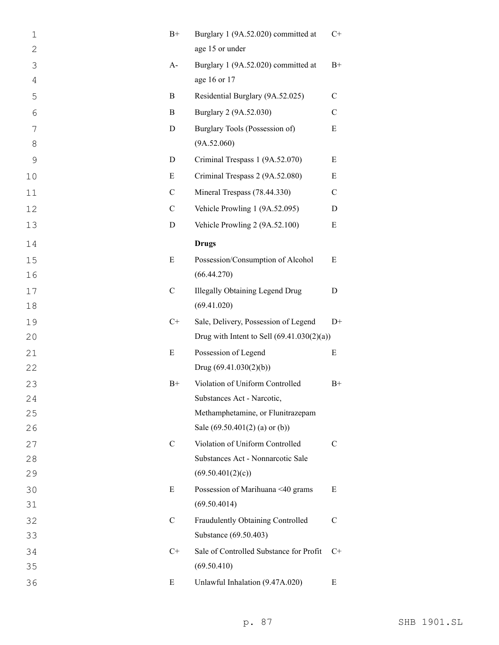| $\mathbf 1$   | $B+$          | Burglary 1 (9A.52.020) committed at          | $C+$          |
|---------------|---------------|----------------------------------------------|---------------|
| $\mathbf{2}$  |               | age 15 or under                              |               |
| 3             | $A-$          | Burglary 1 (9A.52.020) committed at          | $B+$          |
| 4             |               | age 16 or 17                                 |               |
| 5             | B             | Residential Burglary (9A.52.025)             | $\mathbf C$   |
| 6             | B             | Burglary 2 (9A.52.030)                       | $\mathbf C$   |
| 7             | $\mathbf D$   | Burglary Tools (Possession of)               | E             |
| 8             |               | (9A.52.060)                                  |               |
| $\mathcal{G}$ | D             | Criminal Trespass 1 (9A.52.070)              | E             |
| 10            | E             | Criminal Trespass 2 (9A.52.080)              | Ε             |
| 11            | $\mathbf C$   | Mineral Trespass (78.44.330)                 | $\mathcal{C}$ |
| 12            | $\mathbf C$   | Vehicle Prowling 1 (9A.52.095)               | D             |
| 13            | D             | Vehicle Prowling 2 (9A.52.100)               | Ε             |
| 14            |               | <b>Drugs</b>                                 |               |
| 15            | E             | Possession/Consumption of Alcohol            | E             |
| 16            |               | (66.44.270)                                  |               |
| 17            | $\mathcal{C}$ | <b>Illegally Obtaining Legend Drug</b>       | D             |
| 18            |               | (69.41.020)                                  |               |
| 19            | $C+$          | Sale, Delivery, Possession of Legend         | $D+$          |
| 20            |               | Drug with Intent to Sell $(69.41.030(2)(a))$ |               |
| 21            | E             | Possession of Legend                         | E             |
| 22            |               | Drug $(69.41.030(2)(b))$                     |               |
| 23            | $B+$          | Violation of Uniform Controlled              | $B+$          |
| 24            |               | Substances Act - Narcotic,                   |               |
| 25            |               | Methamphetamine, or Flunitrazepam            |               |
| 26            |               | Sale $(69.50.401(2)$ (a) or (b))             |               |
| 27            | $\mathcal{C}$ | Violation of Uniform Controlled              | C             |
| 28            |               | Substances Act - Nonnarcotic Sale            |               |
| 29            |               | (69.50.401(2)(c))                            |               |
| 30            | E             | Possession of Marihuana <40 grams            | E             |
| 31            |               | (69.50.4014)                                 |               |
| 32            | $\mathcal{C}$ | Fraudulently Obtaining Controlled            | $\mathcal{C}$ |
| 33            |               | Substance (69.50.403)                        |               |
| 34            | $C+$          | Sale of Controlled Substance for Profit      | $C+$          |
| 35            |               | (69.50.410)                                  |               |
| 36            | E             | Unlawful Inhalation (9.47A.020)              | Ε             |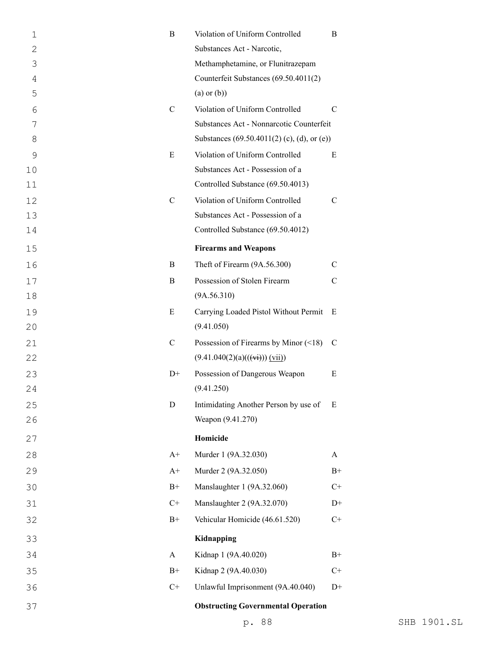| $\mathbf 1$  | B             | Violation of Uniform Controlled                 | В           |
|--------------|---------------|-------------------------------------------------|-------------|
| $\mathbf{2}$ |               | Substances Act - Narcotic,                      |             |
| 3            |               | Methamphetamine, or Flunitrazepam               |             |
| 4            |               | Counterfeit Substances (69.50.4011(2)           |             |
| 5            |               | $(a)$ or $(b)$ )                                |             |
| 6            | $\mathcal{C}$ | Violation of Uniform Controlled                 | $\mathbf C$ |
| 7            |               | Substances Act - Nonnarcotic Counterfeit        |             |
| 8            |               | Substances (69.50.4011(2) (c), (d), or (e))     |             |
| 9            | E             | Violation of Uniform Controlled                 | E           |
| 10           |               | Substances Act - Possession of a                |             |
| 11           |               | Controlled Substance (69.50.4013)               |             |
| 12           | $\mathbf C$   | Violation of Uniform Controlled                 | $\mathbf C$ |
| 13           |               | Substances Act - Possession of a                |             |
| 14           |               | Controlled Substance (69.50.4012)               |             |
| 15           |               | <b>Firearms and Weapons</b>                     |             |
| 16           | B             | Theft of Firearm (9A.56.300)                    | C           |
| 17           | B             | Possession of Stolen Firearm                    | $\mathbf C$ |
| 18           |               | (9A.56.310)                                     |             |
| 19           | E             | Carrying Loaded Pistol Without Permit           | E           |
| 20           |               | (9.41.050)                                      |             |
| 21           | $\mathcal{C}$ | Possession of Firearms by Minor $(\leq 18)$     | C           |
| 22           |               | $(9.41.040(2)(a)((\overrightarrow{vi})) (vii))$ |             |
| 23           | $D+$          | Possession of Dangerous Weapon                  | E           |
| 24           |               | (9.41.250)                                      |             |
| 25           | D             | Intimidating Another Person by use of           | E           |
| 26           |               | Weapon (9.41.270)                               |             |
| 27           |               | Homicide                                        |             |
| 28           | $A+$          | Murder 1 (9A.32.030)                            | A           |
| 29           | $A+$          | Murder 2 (9A.32.050)                            | $B+$        |
| 30           | $B+$          | Manslaughter 1 (9A.32.060)                      | $C+$        |
| 31           | $C+$          | Manslaughter 2 (9A.32.070)                      | $D+$        |
| 32           | $B+$          | Vehicular Homicide (46.61.520)                  | $C+$        |
| 33           |               | Kidnapping                                      |             |
| 34           | A             | Kidnap 1 (9A.40.020)                            | $B+$        |
| 35           | $B+$          | Kidnap 2 (9A.40.030)                            | $C+$        |
| 36           | $C+$          | Unlawful Imprisonment (9A.40.040)               | $D+$        |
| 37           |               | <b>Obstructing Governmental Operation</b>       |             |
|              |               |                                                 |             |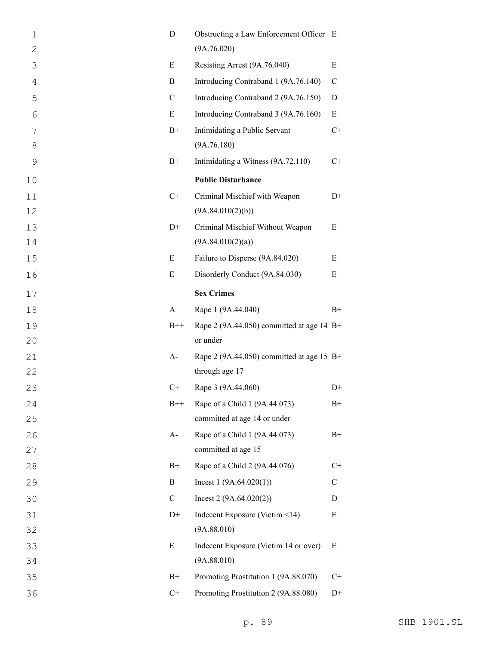| 1              | D             | Obstructing a Law Enforcement Officer E     |               |
|----------------|---------------|---------------------------------------------|---------------|
| $\mathbf{2}$   |               | (9A.76.020)                                 |               |
| 3              | E             | Resisting Arrest (9A.76.040)                | E             |
| $\overline{4}$ | B             | Introducing Contraband 1 (9A.76.140)        | $\mathcal{C}$ |
| 5              | $\mathcal{C}$ | Introducing Contraband 2 (9A.76.150)        | D             |
| 6              | E             | Introducing Contraband 3 (9A.76.160)        | E             |
| 7              | $B+$          | Intimidating a Public Servant               | $C+$          |
| 8              |               | (9A.76.180)                                 |               |
| $\mathcal{G}$  | $B+$          | Intimidating a Witness (9A.72.110)          | $C+$          |
| 10             |               | <b>Public Disturbance</b>                   |               |
| 11             | $C+$          | Criminal Mischief with Weapon               | $D+$          |
| 12             |               | (9A.84.010(2)(b))                           |               |
| 13             | $D+$          | Criminal Mischief Without Weapon            | E             |
| 14             |               | (9A.84.010(2)(a))                           |               |
| 15             | E             | Failure to Disperse (9A.84.020)             | E             |
| 16             | E             | Disorderly Conduct (9A.84.030)              | Ε             |
| 17             |               | <b>Sex Crimes</b>                           |               |
| 18             | A             | Rape 1 (9A.44.040)                          | $B+$          |
| 19             | $B++$         | Rape 2 (9A.44.050) committed at age 14 $B+$ |               |
| 20             |               | or under                                    |               |
| 21             | $A-$          | Rape 2 (9A.44.050) committed at age 15 $B+$ |               |
| 22             |               | through age 17                              |               |
| 23             | $C+$          | Rape 3 (9A.44.060)                          | $D+$          |
| 24             | $B++$         | Rape of a Child 1 (9A.44.073)               | $B+$          |
| 25             |               | committed at age 14 or under                |               |
| 26             | $A-$          | Rape of a Child 1 (9A.44.073)               | $B+$          |
| 27             |               | committed at age 15                         |               |
| 28             | $B+$          | Rape of a Child 2 (9A.44.076)               | $C+$          |
| 29             | B             | Incest $1(9A.64.020(1))$                    | $\mathbf C$   |
| 30             | $\mathsf{C}$  | Incest $2(9A.64.020(2))$                    | D             |
| 31             | $D+$          | Indecent Exposure (Victim <14)              | E             |
| 32             |               | (9A.88.010)                                 |               |
| 33             | E             | Indecent Exposure (Victim 14 or over)       | E             |
| 34             |               | (9A.88.010)                                 |               |
| 35             | $B+$          | Promoting Prostitution 1 (9A.88.070)        | $C+$          |
| 36             | $C+$          | Promoting Prostitution 2 (9A.88.080)        | $D+$          |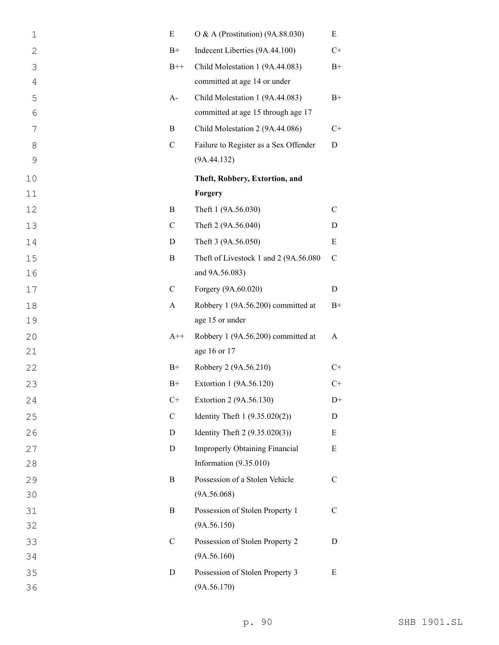| $\mathbf 1$   | E             | O & A (Prostitution) (9A.88.030)      | Ε             |
|---------------|---------------|---------------------------------------|---------------|
| $\mathbf{2}$  | $B+$          | Indecent Liberties (9A.44.100)        | $C+$          |
| 3             | $B++$         | Child Molestation 1 (9A.44.083)       | $B+$          |
| 4             |               | committed at age 14 or under          |               |
| 5             | $A-$          | Child Molestation 1 (9A.44.083)       | $B+$          |
| 6             |               | committed at age 15 through age 17    |               |
| 7             | B             | Child Molestation 2 (9A.44.086)       | $C+$          |
| 8             | $\mathbf C$   | Failure to Register as a Sex Offender | D             |
| $\mathcal{G}$ |               | (9A.44.132)                           |               |
| 10            |               | Theft, Robbery, Extortion, and        |               |
| 11            |               | Forgery                               |               |
| 12            | B             | Theft 1 (9A.56.030)                   | $\mathcal{C}$ |
| 13            | $\mathbf C$   | Theft 2 (9A.56.040)                   | D             |
| 14            | D             | Theft 3 (9A.56.050)                   | ${\bf E}$     |
| 15            | B             | Theft of Livestock 1 and 2 (9A.56.080 | $\mathcal{C}$ |
| 16            |               | and 9A.56.083)                        |               |
| 17            | $\mathbf C$   | Forgery (9A.60.020)                   | D             |
| 18            | A             | Robbery 1 (9A.56.200) committed at    | $B+$          |
| 19            |               | age 15 or under                       |               |
| 20            | $A++$         | Robbery 1 (9A.56.200) committed at    | A             |
| 21            |               | age 16 or 17                          |               |
| 22            | $B+$          | Robbery 2 (9A.56.210)                 | $C+$          |
| 23            | $B+$          | Extortion 1 (9A.56.120)               | $C+$          |
| 24            | $C+$          | Extortion 2 (9A.56.130)               | $D+$          |
| 25            | $\mathbf C$   | Identity Theft 1 (9.35.020(2))        | D             |
| 26            | D             | Identity Theft 2 (9.35.020(3))        | Ε             |
| 27            | D             | <b>Improperly Obtaining Financial</b> | E             |
| 28            |               | Information $(9.35.010)$              |               |
| 29            | B             | Possession of a Stolen Vehicle        | C             |
| 30            |               | (9A.56.068)                           |               |
| 31            | B             | Possession of Stolen Property 1       | $\mathcal{C}$ |
| 32            |               | (9A.56.150)                           |               |
| 33            | $\mathcal{C}$ | Possession of Stolen Property 2       | D             |
| 34            |               | (9A.56.160)                           |               |
| 35            | D             | Possession of Stolen Property 3       | E             |
| 36            |               | (9A.56.170)                           |               |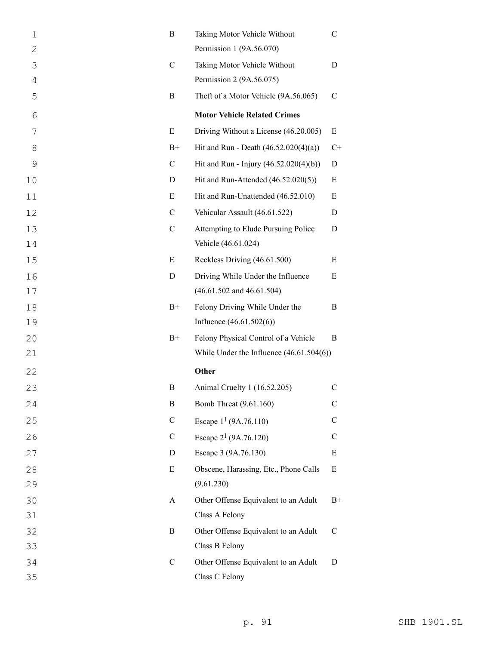| $\mathbf 1$  | B             | Taking Motor Vehicle Without               | C              |
|--------------|---------------|--------------------------------------------|----------------|
| $\mathbf{2}$ |               | Permission 1 (9A.56.070)                   |                |
| 3            | $\mathcal{C}$ | Taking Motor Vehicle Without               | D              |
| 4            |               | Permission 2 (9A.56.075)                   |                |
| 5            | B             | Theft of a Motor Vehicle (9A.56.065)       | $\mathcal{C}$  |
| 6            |               | <b>Motor Vehicle Related Crimes</b>        |                |
| 7            | E             | Driving Without a License (46.20.005)      | Ε              |
| 8            | $B+$          | Hit and Run - Death $(46.52.020(4)(a))$    | $\mathrm{C}^+$ |
| 9            | $\mathcal{C}$ | Hit and Run - Injury (46.52.020(4)(b))     | D              |
| 10           | D             | Hit and Run-Attended (46.52.020(5))        | E              |
| 11           | E             | Hit and Run-Unattended (46.52.010)         | E              |
| 12           | $\mathcal{C}$ | Vehicular Assault (46.61.522)              | D              |
| 13           | $\mathcal{C}$ | Attempting to Elude Pursuing Police        | D              |
| 14           |               | Vehicle (46.61.024)                        |                |
| 15           | E             | Reckless Driving (46.61.500)               | Ε              |
| 16           | D             | Driving While Under the Influence          | E              |
| 17           |               | $(46.61.502$ and $46.61.504)$              |                |
| 18           | $B+$          | Felony Driving While Under the             | B              |
| 19           |               | Influence $(46.61.502(6))$                 |                |
| 20           | $B+$          | Felony Physical Control of a Vehicle       | B              |
| 21           |               | While Under the Influence $(46.61.504(6))$ |                |
| 22           |               | Other                                      |                |
| 23           | B             | Animal Cruelty 1 (16.52.205)               | $\mathcal{C}$  |
| 24           | $\bf{B}$      | Bomb Threat (9.61.160)                     | $\mathsf{C}$   |
| 25           | $\mathsf{C}$  | Escape $1^1$ (9A.76.110)                   | C              |
| 26           | $\mathbf C$   | Escape $2^1$ (9A.76.120)                   | $\mathsf{C}$   |
| 27           | D             | Escape 3 (9A.76.130)                       | E              |
| 28           | E             | Obscene, Harassing, Etc., Phone Calls      | E              |
| 29           |               | (9.61.230)                                 |                |
| 30           | A             | Other Offense Equivalent to an Adult       | $B+$           |
| 31           |               | Class A Felony                             |                |
| 32           | B             | Other Offense Equivalent to an Adult       | $\mathsf{C}$   |
| 33           |               | Class B Felony                             |                |
| 34           | $\mathcal{C}$ | Other Offense Equivalent to an Adult       | D              |
| 35           |               | Class C Felony                             |                |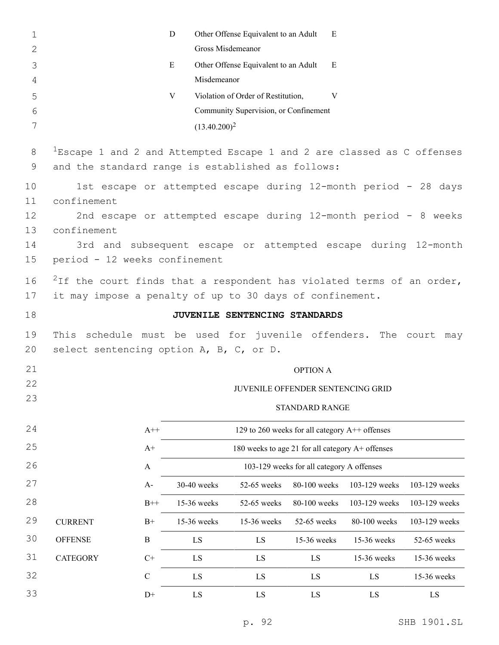| $\mathbf 1$         |                                                                                                                                               |                | D                | Other Offense Equivalent to an Adult                            | E                                                |               |               |  |
|---------------------|-----------------------------------------------------------------------------------------------------------------------------------------------|----------------|------------------|-----------------------------------------------------------------|--------------------------------------------------|---------------|---------------|--|
| $\mathbf{2}$        |                                                                                                                                               |                |                  | Gross Misdemeanor                                               |                                                  |               |               |  |
| 3<br>$\overline{4}$ |                                                                                                                                               |                | E<br>Misdemeanor | Other Offense Equivalent to an Adult                            | E                                                |               |               |  |
| 5                   |                                                                                                                                               |                | V                | Violation of Order of Restitution,                              | V                                                |               |               |  |
| 6                   |                                                                                                                                               |                |                  | Community Supervision, or Confinement                           |                                                  |               |               |  |
| 7                   |                                                                                                                                               |                | $(13.40.200)^2$  |                                                                 |                                                  |               |               |  |
| 8<br>9              | $1$ Escape 1 and 2 and Attempted Escape 1 and 2 are classed as C offenses<br>and the standard range is established as follows:                |                |                  |                                                                 |                                                  |               |               |  |
| 10                  |                                                                                                                                               |                |                  | 1st escape or attempted escape during 12-month period - 28 days |                                                  |               |               |  |
| 11                  | confinement                                                                                                                                   |                |                  |                                                                 |                                                  |               |               |  |
| 12                  |                                                                                                                                               |                |                  | 2nd escape or attempted escape during 12-month period - 8 weeks |                                                  |               |               |  |
| 13                  | confinement                                                                                                                                   |                |                  |                                                                 |                                                  |               |               |  |
| 14                  |                                                                                                                                               |                |                  | 3rd and subsequent escape or attempted escape during 12-month   |                                                  |               |               |  |
| 15                  | period - 12 weeks confinement                                                                                                                 |                |                  |                                                                 |                                                  |               |               |  |
| 16<br>17            | <sup>2</sup> If the court finds that a respondent has violated terms of an order,<br>it may impose a penalty of up to 30 days of confinement. |                |                  |                                                                 |                                                  |               |               |  |
|                     |                                                                                                                                               |                |                  |                                                                 |                                                  |               |               |  |
| 18                  |                                                                                                                                               |                |                  | JUVENILE SENTENCING STANDARDS                                   |                                                  |               |               |  |
| 19<br>20            | This schedule must be used for juvenile offenders. The court may<br>select sentencing option A, B, C, or D.                                   |                |                  |                                                                 |                                                  |               |               |  |
|                     |                                                                                                                                               |                |                  |                                                                 |                                                  |               |               |  |
| 21<br>22            |                                                                                                                                               |                |                  |                                                                 | <b>OPTION A</b>                                  |               |               |  |
| 23                  |                                                                                                                                               |                |                  |                                                                 | JUVENILE OFFENDER SENTENCING GRID                |               |               |  |
|                     |                                                                                                                                               |                |                  |                                                                 | STANDARD RANGE                                   |               |               |  |
| 24                  |                                                                                                                                               | $A++$          |                  |                                                                 | 129 to 260 weeks for all category A++ offenses   |               |               |  |
| 25                  |                                                                                                                                               | $\mathrm{A}^+$ |                  |                                                                 | 180 weeks to age 21 for all category A+ offenses |               |               |  |
| 26                  |                                                                                                                                               | $\mathbf{A}$   |                  |                                                                 | 103-129 weeks for all category A offenses        |               |               |  |
| 27                  |                                                                                                                                               | $A-$           | 30-40 weeks      | 52-65 weeks                                                     | 80-100 weeks                                     | 103-129 weeks | 103-129 weeks |  |
| 28                  |                                                                                                                                               | $B++$          | 15-36 weeks      | 52-65 weeks                                                     | 80-100 weeks                                     | 103-129 weeks | 103-129 weeks |  |
| 29                  | <b>CURRENT</b>                                                                                                                                | $B+$           | 15-36 weeks      | 15-36 weeks                                                     | 52-65 weeks                                      | 80-100 weeks  | 103-129 weeks |  |
| 30                  | <b>OFFENSE</b>                                                                                                                                | $\bf{B}$       | LS               | LS                                                              | 15-36 weeks                                      | 15-36 weeks   | 52-65 weeks   |  |
| 31                  | <b>CATEGORY</b>                                                                                                                               | $C+$           | LS               | LS                                                              | LS                                               | 15-36 weeks   | 15-36 weeks   |  |
| 32                  |                                                                                                                                               | $\mathcal{C}$  | LS               | LS                                                              | LS                                               | LS            | 15-36 weeks   |  |
| 33                  |                                                                                                                                               | $D+$           | LS               | LS                                                              | LS                                               | LS            | LS            |  |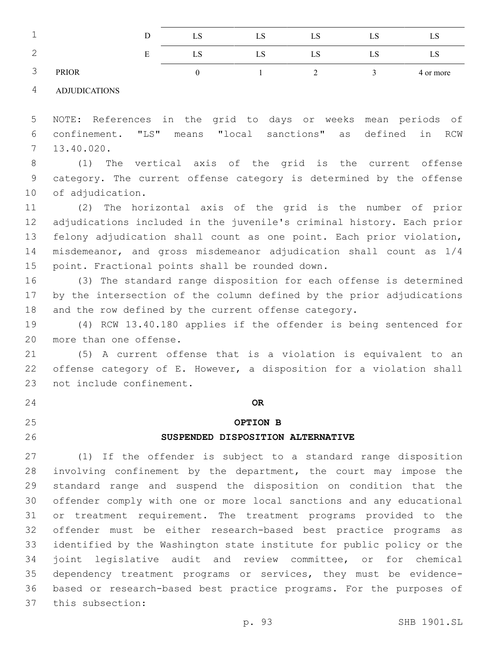| ٠<br><b>__</b>        |              |   | ചാ | ∟∪ | LS. | பல  | LD.       |
|-----------------------|--------------|---|----|----|-----|-----|-----------|
| $\overline{ }$<br>∸   |              | ப | ⊥∪ | ∟∪ | LS  | LD. | LS.       |
| $\sim$<br>$\check{ }$ | <b>PRIOR</b> |   |    |    |     |     | 4 or more |

ADJUDICATIONS

 NOTE: References in the grid to days or weeks mean periods of confinement. "LS" means "local sanctions" as defined in RCW 13.40.020.7

 (1) The vertical axis of the grid is the current offense category. The current offense category is determined by the offense 10 of adjudication.

 (2) The horizontal axis of the grid is the number of prior adjudications included in the juvenile's criminal history. Each prior felony adjudication shall count as one point. Each prior violation, misdemeanor, and gross misdemeanor adjudication shall count as 1/4 15 point. Fractional points shall be rounded down.

 (3) The standard range disposition for each offense is determined by the intersection of the column defined by the prior adjudications 18 and the row defined by the current offense category.

 (4) RCW 13.40.180 applies if the offender is being sentenced for 20 more than one offense.

 (5) A current offense that is a violation is equivalent to an offense category of E. However, a disposition for a violation shall 23 not include confinement.

**OR**

# **OPTION B**

### **SUSPENDED DISPOSITION ALTERNATIVE**

 (1) If the offender is subject to a standard range disposition 28 involving confinement by the department, the court may impose the standard range and suspend the disposition on condition that the offender comply with one or more local sanctions and any educational or treatment requirement. The treatment programs provided to the offender must be either research-based best practice programs as identified by the Washington state institute for public policy or the joint legislative audit and review committee, or for chemical dependency treatment programs or services, they must be evidence- based or research-based best practice programs. For the purposes of this subsection:37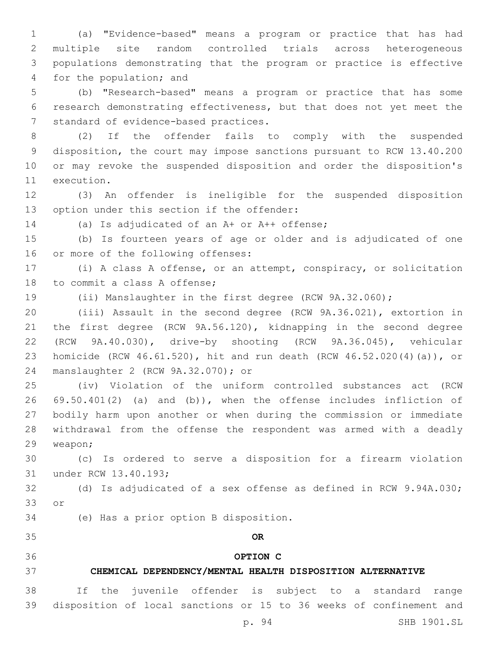(a) "Evidence-based" means a program or practice that has had multiple site random controlled trials across heterogeneous populations demonstrating that the program or practice is effective 4 for the population; and

 (b) "Research-based" means a program or practice that has some research demonstrating effectiveness, but that does not yet meet the 7 standard of evidence-based practices.

 (2) If the offender fails to comply with the suspended disposition, the court may impose sanctions pursuant to RCW 13.40.200 or may revoke the suspended disposition and order the disposition's 11 execution.

 (3) An offender is ineligible for the suspended disposition 13 option under this section if the offender:

14 (a) Is adjudicated of an A+ or A++ offense;

 (b) Is fourteen years of age or older and is adjudicated of one 16 or more of the following offenses:

 (i) A class A offense, or an attempt, conspiracy, or solicitation 18 to commit a class A offense;

(ii) Manslaughter in the first degree (RCW 9A.32.060);

 (iii) Assault in the second degree (RCW 9A.36.021), extortion in the first degree (RCW 9A.56.120), kidnapping in the second degree (RCW 9A.40.030), drive-by shooting (RCW 9A.36.045), vehicular homicide (RCW 46.61.520), hit and run death (RCW 46.52.020(4)(a)), or manslaughter 2 (RCW 9A.32.070); or24

 (iv) Violation of the uniform controlled substances act (RCW 69.50.401(2) (a) and (b)), when the offense includes infliction of bodily harm upon another or when during the commission or immediate withdrawal from the offense the respondent was armed with a deadly 29 weapon;

 (c) Is ordered to serve a disposition for a firearm violation 31 under RCW 13.40.193;

 (d) Is adjudicated of a sex offense as defined in RCW 9.94A.030; 33 or

34 (e) Has a prior option B disposition.

**OR**

# **OPTION C**

### **CHEMICAL DEPENDENCY/MENTAL HEALTH DISPOSITION ALTERNATIVE**

 If the juvenile offender is subject to a standard range disposition of local sanctions or 15 to 36 weeks of confinement and

p. 94 SHB 1901.SL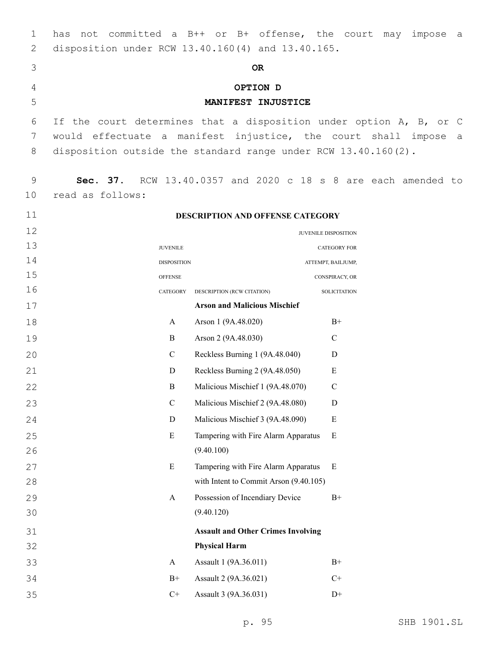| 1        | has                                                                | not committed a B++ or B+ offense, the court may                  | impose<br>a a                                        |
|----------|--------------------------------------------------------------------|-------------------------------------------------------------------|------------------------------------------------------|
| 2        | disposition under RCW 13.40.160(4) and 13.40.165.                  |                                                                   |                                                      |
| 3        |                                                                    | <b>OR</b>                                                         |                                                      |
| 4        |                                                                    | OPTION D                                                          |                                                      |
| 5        |                                                                    | MANIFEST INJUSTICE                                                |                                                      |
| 6        | If the court determines that a disposition under option A, B, or C |                                                                   |                                                      |
| 7        | would effectuate a manifest injustice, the court shall impose      |                                                                   | a                                                    |
| 8        | disposition outside the standard range under RCW $13.40.160(2)$ .  |                                                                   |                                                      |
| 9        | Sec. 37.                                                           |                                                                   | RCW 13.40.0357 and 2020 c 18 s 8 are each amended to |
| 10       | read as follows:                                                   |                                                                   |                                                      |
| 11       |                                                                    | DESCRIPTION AND OFFENSE CATEGORY                                  |                                                      |
| 12       |                                                                    |                                                                   | JUVENILE DISPOSITION                                 |
| 13       | <b>JUVENILE</b>                                                    |                                                                   | <b>CATEGORY FOR</b>                                  |
| 14       | <b>DISPOSITION</b>                                                 |                                                                   | ATTEMPT, BAILJUMP,                                   |
| 15       | <b>OFFENSE</b>                                                     |                                                                   | CONSPIRACY, OR                                       |
| 16       | CATEGORY                                                           | DESCRIPTION (RCW CITATION)                                        | <b>SOLICITATION</b>                                  |
| 17       |                                                                    | <b>Arson and Malicious Mischief</b>                               |                                                      |
| 18       | A                                                                  | Arson 1 (9A.48.020)                                               | $B+$                                                 |
| 19       | $\mathbf B$                                                        | Arson 2 (9A.48.030)                                               | $\mathcal{C}$                                        |
| 20       | $\mathcal{C}$                                                      | Reckless Burning 1 (9A.48.040)                                    | D                                                    |
| 21       | D                                                                  | Reckless Burning 2 (9A.48.050)                                    | E                                                    |
| 22       | $\mathbf B$                                                        | Malicious Mischief 1 (9A.48.070)                                  | $\mathcal{C}$                                        |
| 23       | $\mathbf C$                                                        | Malicious Mischief 2 (9A.48.080)                                  | $\mathbf D$                                          |
| 24       | D                                                                  | Malicious Mischief 3 (9A.48.090)                                  | ${\bf E}$                                            |
| 25       | E                                                                  | Tampering with Fire Alarm Apparatus                               | Ε                                                    |
| 26       |                                                                    | (9.40.100)                                                        |                                                      |
| 27       | ${\bf E}$                                                          | Tampering with Fire Alarm Apparatus                               | Ε                                                    |
| 28       |                                                                    | with Intent to Commit Arson (9.40.105)                            |                                                      |
| 29       | A                                                                  | Possession of Incendiary Device                                   | $B+$                                                 |
| 30       |                                                                    | (9.40.120)                                                        |                                                      |
| 31<br>32 |                                                                    | <b>Assault and Other Crimes Involving</b><br><b>Physical Harm</b> |                                                      |
| 33       | A                                                                  | Assault 1 (9A.36.011)                                             | $B+$                                                 |
| 34       | $B+$                                                               | Assault 2 (9A.36.021)                                             | $C+$                                                 |
| 35       | $C+$                                                               | Assault 3 (9A.36.031)                                             | $D+$                                                 |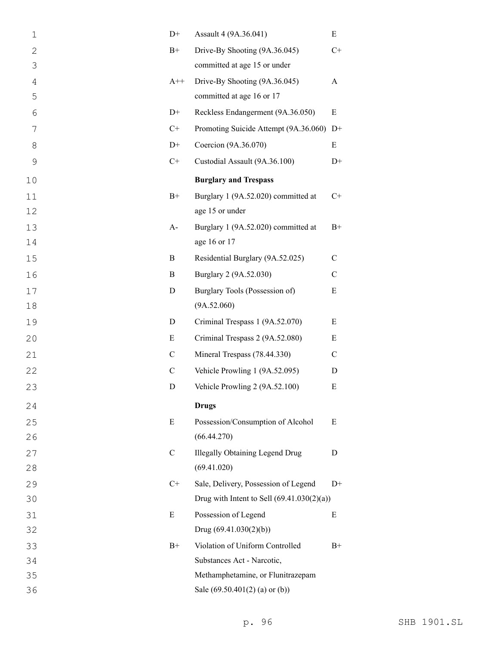| $\mathbf 1$  | $D+$          | Assault 4 (9A.36.041)                        | E            |
|--------------|---------------|----------------------------------------------|--------------|
| $\mathbf{2}$ | $B+$          | Drive-By Shooting (9A.36.045)                | $C+$         |
| 3            |               | committed at age 15 or under                 |              |
| 4            | $A^{++}$      | Drive-By Shooting (9A.36.045)                | A            |
| 5            |               | committed at age 16 or 17                    |              |
| 6            | $D+$          | Reckless Endangerment (9A.36.050)            | E            |
| 7            | $C+$          | Promoting Suicide Attempt (9A.36.060) D+     |              |
| 8            | $D+$          | Coercion (9A.36.070)                         | E            |
| $\mathsf 9$  | $C+$          | Custodial Assault (9A.36.100)                | $D+$         |
| 10           |               | <b>Burglary and Trespass</b>                 |              |
| 11           | $B+$          | Burglary 1 (9A.52.020) committed at          | $C+$         |
| 12           |               | age 15 or under                              |              |
| 13           | $A-$          | Burglary 1 (9A.52.020) committed at          | $B+$         |
| 14           |               | age 16 or 17                                 |              |
| 15           | B             | Residential Burglary (9A.52.025)             | $\mathbf C$  |
| 16           | B             | Burglary 2 (9A.52.030)                       | $\mathsf{C}$ |
| 17           | D             | Burglary Tools (Possession of)               | $\mathbf E$  |
| 18           |               | (9A.52.060)                                  |              |
| 19           | D             | Criminal Trespass 1 (9A.52.070)              | E            |
| 20           | E             | Criminal Trespass 2 (9A.52.080)              | Ε            |
| 21           | $\mathsf{C}$  | Mineral Trespass (78.44.330)                 | C            |
| 22           | $\mathsf{C}$  | Vehicle Prowling 1 (9A.52.095)               | D            |
| 23           | D             | Vehicle Prowling 2 (9A.52.100)               | E            |
| 24           |               | <b>Drugs</b>                                 |              |
| 25           | E             | Possession/Consumption of Alcohol            | Ε            |
| 26           |               | (66.44.270)                                  |              |
| 27           | $\mathcal{C}$ | <b>Illegally Obtaining Legend Drug</b>       | D            |
| 28           |               | (69.41.020)                                  |              |
| 29           | $C+$          | Sale, Delivery, Possession of Legend         | $D+$         |
| 30           |               | Drug with Intent to Sell $(69.41.030(2)(a))$ |              |
| 31           | E             | Possession of Legend                         | Ε            |
| 32           |               | Drug $(69.41.030(2)(b))$                     |              |
| 33           | $B+$          | Violation of Uniform Controlled              | $B+$         |
| 34           |               | Substances Act - Narcotic,                   |              |
| 35           |               | Methamphetamine, or Flunitrazepam            |              |
| 36           |               | Sale $(69.50.401(2)$ (a) or (b))             |              |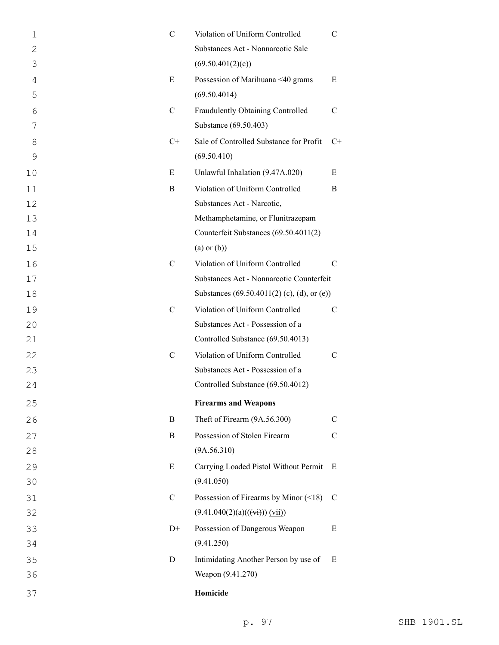| $\mathcal{C}$ | Violation of Uniform Controlled<br>Substances Act - Nonnarcotic Sale | $\mathbf C$                                                                                                                          |
|---------------|----------------------------------------------------------------------|--------------------------------------------------------------------------------------------------------------------------------------|
| E             | Possession of Marihuana <40 grams<br>(69.50.4014)                    | E                                                                                                                                    |
| $\mathcal{C}$ | Fraudulently Obtaining Controlled<br>Substance (69.50.403)           | $\mathcal{C}$                                                                                                                        |
| $C+$          | Sale of Controlled Substance for Profit                              | $C+$                                                                                                                                 |
|               |                                                                      | E                                                                                                                                    |
|               |                                                                      | B                                                                                                                                    |
|               |                                                                      |                                                                                                                                      |
|               | Methamphetamine, or Flunitrazepam                                    |                                                                                                                                      |
|               | Counterfeit Substances (69.50.4011(2)                                |                                                                                                                                      |
|               | $(a)$ or $(b)$ )                                                     |                                                                                                                                      |
| $\mathcal{C}$ | Violation of Uniform Controlled                                      | C                                                                                                                                    |
|               | Substances Act - Nonnarcotic Counterfeit                             |                                                                                                                                      |
|               | Substances $(69.50.4011(2)$ (c), (d), or (e))                        |                                                                                                                                      |
| $\mathcal{C}$ | Violation of Uniform Controlled                                      | $\mathcal{C}$                                                                                                                        |
|               | Substances Act - Possession of a                                     |                                                                                                                                      |
|               | Controlled Substance (69.50.4013)                                    |                                                                                                                                      |
| $\mathcal{C}$ | Violation of Uniform Controlled                                      | C                                                                                                                                    |
|               | Substances Act - Possession of a                                     |                                                                                                                                      |
|               | Controlled Substance (69.50.4012)                                    |                                                                                                                                      |
|               | <b>Firearms and Weapons</b>                                          |                                                                                                                                      |
| B             | Theft of Firearm (9A.56.300)                                         | $\mathcal{C}$                                                                                                                        |
| B             | Possession of Stolen Firearm                                         | C                                                                                                                                    |
|               | (9A.56.310)                                                          |                                                                                                                                      |
| E             | Carrying Loaded Pistol Without Permit                                | E                                                                                                                                    |
|               | (9.41.050)                                                           |                                                                                                                                      |
| $\mathbf C$   | Possession of Firearms by Minor (<18)                                | C                                                                                                                                    |
|               | $(9.41.040(2)(a)((\overrightarrow{vi})) (vii))$                      |                                                                                                                                      |
| $D+$          | Possession of Dangerous Weapon                                       | E                                                                                                                                    |
|               | (9.41.250)                                                           |                                                                                                                                      |
| D             | Intimidating Another Person by use of                                | E                                                                                                                                    |
|               | Weapon (9.41.270)                                                    |                                                                                                                                      |
|               | Homicide                                                             |                                                                                                                                      |
|               | E<br>B                                                               | (69.50.401(2)(c))<br>(69.50.410)<br>Unlawful Inhalation (9.47A.020)<br>Violation of Uniform Controlled<br>Substances Act - Narcotic, |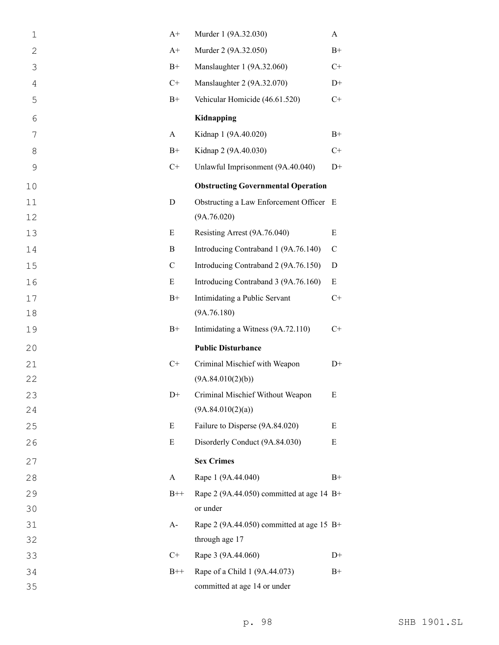| $\mathbf 1$    | $A+$          | Murder 1 (9A.32.030)                        | A           |
|----------------|---------------|---------------------------------------------|-------------|
| 2              | $A+$          | Murder 2 (9A.32.050)                        | $B+$        |
| 3              | $B+$          | Manslaughter 1 (9A.32.060)                  | $C+$        |
| $\overline{4}$ | $C+$          | Manslaughter 2 (9A.32.070)                  | $D+$        |
| 5              | $B+$          | Vehicular Homicide (46.61.520)              | $C+$        |
| 6              |               | Kidnapping                                  |             |
| 7              | A             | Kidnap 1 (9A.40.020)                        | $B+$        |
| 8              | $B+$          | Kidnap 2 (9A.40.030)                        | $C+$        |
| $\mathsf 9$    | $C+$          | Unlawful Imprisonment (9A.40.040)           | $D+$        |
| 10             |               | <b>Obstructing Governmental Operation</b>   |             |
| 11             | $\mathbf D$   | Obstructing a Law Enforcement Officer E     |             |
| 12             |               | (9A.76.020)                                 |             |
| 13             | Ε             | Resisting Arrest (9A.76.040)                | E           |
| 14             | B             | Introducing Contraband 1 (9A.76.140)        | $\mathbf C$ |
| 15             | $\mathcal{C}$ | Introducing Contraband 2 (9A.76.150)        | D           |
| 16             | E             | Introducing Contraband 3 (9A.76.160)        | $\mathbf E$ |
| 17             | $B+$          | Intimidating a Public Servant               | $C+$        |
| 18             |               | (9A.76.180)                                 |             |
| 19             | $B+$          | Intimidating a Witness (9A.72.110)          | $C+$        |
| 20             |               | <b>Public Disturbance</b>                   |             |
| 21             | $C+$          | Criminal Mischief with Weapon               | $D+$        |
| 22             |               | (9A.84.010(2)(b))                           |             |
|                |               |                                             |             |
| 23             | D+            | Criminal Mischief Without Weapon            | E           |
| 24             |               | (9A.84.010(2)(a))                           |             |
| 25             | E             | Failure to Disperse (9A.84.020)             | E           |
| 26             | E             | Disorderly Conduct (9A.84.030)              | E           |
| 27             |               | <b>Sex Crimes</b>                           |             |
| 28             | A             | Rape 1 (9A.44.040)                          | $B+$        |
| 29             | $B++$         | Rape 2 (9A.44.050) committed at age 14 $B+$ |             |
| 30             |               | or under                                    |             |
| 31             | $A-$          | Rape 2 (9A.44.050) committed at age 15 $B+$ |             |
| 32             |               | through age 17                              |             |
| 33             | $C+$          | Rape 3 (9A.44.060)                          | $D+$        |
| 34             | $B++$         | Rape of a Child 1 (9A.44.073)               | $B+$        |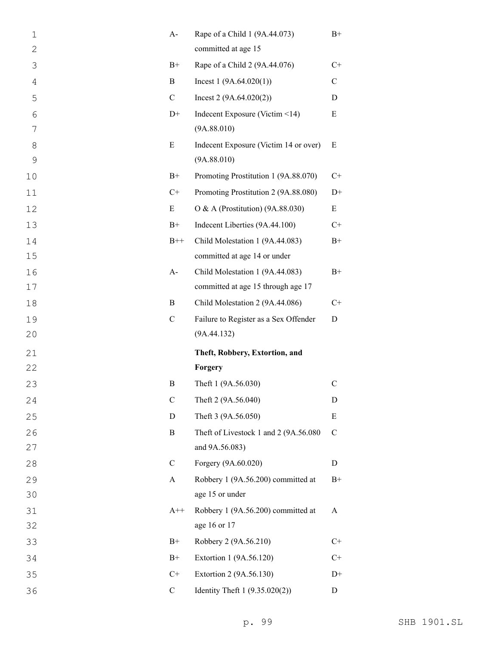| $\mathbf 1$  | $A-$         | Rape of a Child 1 (9A.44.073)         | $B+$          |
|--------------|--------------|---------------------------------------|---------------|
| $\mathbf{2}$ |              | committed at age 15                   |               |
| 3            | $B+$         | Rape of a Child 2 (9A.44.076)         | $C+$          |
| 4            | B            | Incest $1(9A.64.020(1))$              | $\mathcal{C}$ |
| 5            | $\mathbf C$  | Incest $2(9A.64.020(2))$              | D             |
| 6            | $D+$         | Indecent Exposure (Victim <14)        | E             |
| 7            |              | (9A.88.010)                           |               |
| 8            | E            | Indecent Exposure (Victim 14 or over) | Ε             |
| 9            |              | (9A.88.010)                           |               |
| 10           | $B+$         | Promoting Prostitution 1 (9A.88.070)  | $C+$          |
| 11           | $C+$         | Promoting Prostitution 2 (9A.88.080)  | $D+$          |
| 12           | E            | O & A (Prostitution) (9A.88.030)      | E             |
| 13           | $B+$         | Indecent Liberties (9A.44.100)        | $C+$          |
| 14           | $B++$        | Child Molestation 1 (9A.44.083)       | $B+$          |
| 15           |              | committed at age 14 or under          |               |
| 16           | $A-$         | Child Molestation 1 (9A.44.083)       | $B+$          |
| 17           |              | committed at age 15 through age 17    |               |
| 18           | B            | Child Molestation 2 (9A.44.086)       | $C+$          |
| 19           | $\mathbf C$  | Failure to Register as a Sex Offender | D             |
| 20           |              | (9A.44.132)                           |               |
| 21           |              | Theft, Robbery, Extortion, and        |               |
| 22           |              | Forgery                               |               |
| 23           |              |                                       |               |
|              | B            | Theft 1 (9A.56.030)                   | $\mathsf{C}$  |
| 24           | $\mathbf C$  | Theft 2 (9A.56.040)                   | D             |
| 25           | D            | Theft 3 (9A.56.050)                   | E             |
| 26           | $\bf{B}$     | Theft of Livestock 1 and 2 (9A.56.080 | $\mathbf C$   |
| 27           |              | and 9A.56.083)                        |               |
| 28           | $\mathsf{C}$ | Forgery (9A.60.020)                   | D             |
| 29           | A            | Robbery 1 (9A.56.200) committed at    | $B+$          |
| 30           |              | age 15 or under                       |               |
| 31           | $A++$        | Robbery 1 (9A.56.200) committed at    | A             |
| 32           |              | age 16 or 17                          |               |
| 33           | $B+$         | Robbery 2 (9A.56.210)                 | $C+$          |
| 34           | $B+$         | Extortion 1 (9A.56.120)               | $C+$          |
| 35           | $C+$         | Extortion 2 (9A.56.130)               | $D+$          |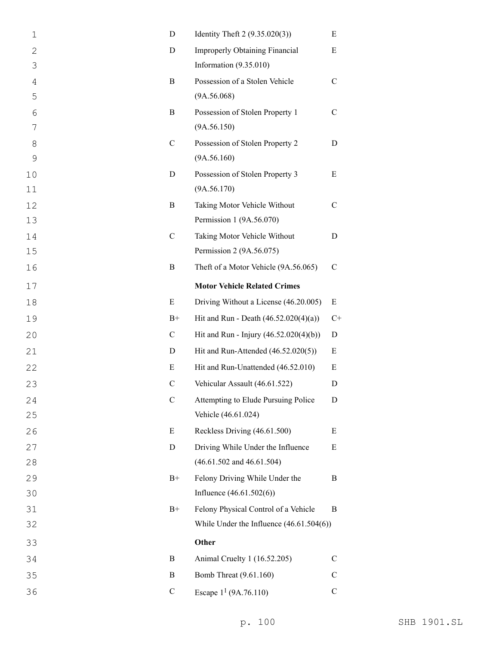| $\mathbf 1$    | D             | Identity Theft 2 (9.35.020(3))             | E             |
|----------------|---------------|--------------------------------------------|---------------|
| $\mathbf{2}$   | D             | Improperly Obtaining Financial             | E             |
| 3              |               | Information (9.35.010)                     |               |
| $\overline{4}$ | B             | Possession of a Stolen Vehicle             | $\mathcal{C}$ |
| 5              |               | (9A.56.068)                                |               |
| 6              | B             | Possession of Stolen Property 1            | $\mathsf{C}$  |
| 7              |               | (9A.56.150)                                |               |
| 8              | $\mathcal{C}$ | Possession of Stolen Property 2            | D             |
| 9              |               | (9A.56.160)                                |               |
| 10             | D             | Possession of Stolen Property 3            | E             |
| 11             |               | (9A.56.170)                                |               |
| 12             | B             | Taking Motor Vehicle Without               | $\mathsf{C}$  |
| 13             |               | Permission 1 (9A.56.070)                   |               |
| 14             | $\mathcal{C}$ | Taking Motor Vehicle Without               | D             |
| 15             |               | Permission 2 (9A.56.075)                   |               |
| 16             | B             | Theft of a Motor Vehicle (9A.56.065)       | $\mathcal{C}$ |
| 17             |               | <b>Motor Vehicle Related Crimes</b>        |               |
| 18             | E             | Driving Without a License (46.20.005)      | Ε             |
| 19             | $B+$          | Hit and Run - Death $(46.52.020(4)(a))$    | $C+$          |
| 20             | $\mathbf C$   | Hit and Run - Injury (46.52.020(4)(b))     | D             |
| 21             | D             | Hit and Run-Attended (46.52.020(5))        | Ε             |
| 22             | E             | Hit and Run-Unattended (46.52.010)         | Ε             |
| 23             | $\mathcal{C}$ | Vehicular Assault (46.61.522)              | D             |
| 24             | $\mathbf C$   | Attempting to Elude Pursuing Police        | D             |
| 25             |               | Vehicle (46.61.024)                        |               |
| 26             | E             | Reckless Driving (46.61.500)               | E             |
| 27             | D             | Driving While Under the Influence          | E             |
| 28             |               | $(46.61.502$ and $46.61.504)$              |               |
| 29             | $B+$          | Felony Driving While Under the             | B             |
| 30             |               | Influence $(46.61.502(6))$                 |               |
| 31             | $B+$          | Felony Physical Control of a Vehicle       | B             |
| 32             |               | While Under the Influence $(46.61.504(6))$ |               |
| 33             |               | Other                                      |               |
| 34             | B             | Animal Cruelty 1 (16.52.205)               | C             |
| 35             | B             | Bomb Threat (9.61.160)                     | $\mathcal{C}$ |
| 36             | $\mathbf C$   | Escape $1^1$ (9A.76.110)                   | $\mathbf C$   |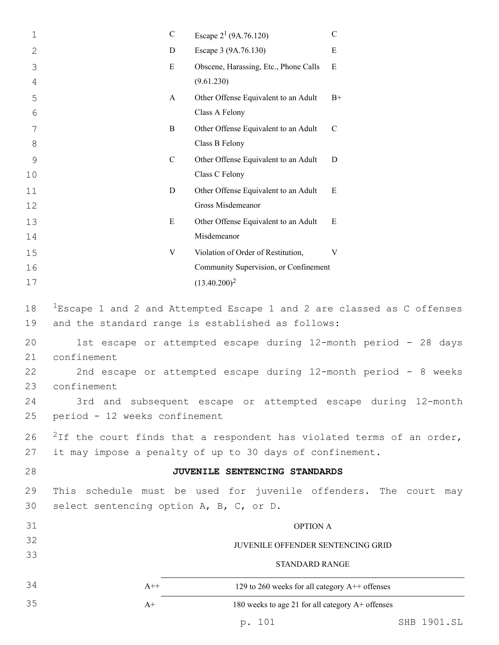| 1                                                        | $\mathbf C$                                                 | Escape $2^1$ (9A.76.120)                                                                                      |                                                                                                                                                                                                                                                                                                                                                                       |  |  |
|----------------------------------------------------------|-------------------------------------------------------------|---------------------------------------------------------------------------------------------------------------|-----------------------------------------------------------------------------------------------------------------------------------------------------------------------------------------------------------------------------------------------------------------------------------------------------------------------------------------------------------------------|--|--|
| $\mathbf{2}$                                             | D                                                           | Escape 3 (9A.76.130)                                                                                          | E                                                                                                                                                                                                                                                                                                                                                                     |  |  |
| 3                                                        | E                                                           | Obscene, Harassing, Etc., Phone Calls                                                                         | E                                                                                                                                                                                                                                                                                                                                                                     |  |  |
| 4                                                        |                                                             | (9.61.230)                                                                                                    |                                                                                                                                                                                                                                                                                                                                                                       |  |  |
| 5                                                        | A                                                           | Other Offense Equivalent to an Adult                                                                          | $B+$                                                                                                                                                                                                                                                                                                                                                                  |  |  |
| 6                                                        |                                                             | Class A Felony                                                                                                |                                                                                                                                                                                                                                                                                                                                                                       |  |  |
| 7                                                        | B                                                           | Other Offense Equivalent to an Adult                                                                          | $\mathcal{C}$                                                                                                                                                                                                                                                                                                                                                         |  |  |
| 8                                                        |                                                             | Class B Felony                                                                                                |                                                                                                                                                                                                                                                                                                                                                                       |  |  |
| $\mathcal{G}$                                            | $\mathcal{C}$                                               | Other Offense Equivalent to an Adult                                                                          | D                                                                                                                                                                                                                                                                                                                                                                     |  |  |
| 10                                                       |                                                             | Class C Felony                                                                                                |                                                                                                                                                                                                                                                                                                                                                                       |  |  |
| 11                                                       | D                                                           | Other Offense Equivalent to an Adult                                                                          | E                                                                                                                                                                                                                                                                                                                                                                     |  |  |
| 12                                                       |                                                             | Gross Misdemeanor                                                                                             |                                                                                                                                                                                                                                                                                                                                                                       |  |  |
| 13<br>14                                                 | ${\bf E}$                                                   | Other Offense Equivalent to an Adult<br>Misdemeanor                                                           | E                                                                                                                                                                                                                                                                                                                                                                     |  |  |
| 15                                                       | V                                                           | Violation of Order of Restitution,                                                                            | V                                                                                                                                                                                                                                                                                                                                                                     |  |  |
| 16                                                       |                                                             | Community Supervision, or Confinement                                                                         |                                                                                                                                                                                                                                                                                                                                                                       |  |  |
| 17                                                       |                                                             | $(13.40.200)^2$                                                                                               |                                                                                                                                                                                                                                                                                                                                                                       |  |  |
| 18<br>19<br>20<br>21<br>22<br>23<br>24<br>25<br>26<br>27 | confinement<br>confinement<br>period - 12 weeks confinement | and the standard range is established as follows:<br>it may impose a penalty of up to 30 days of confinement. | $1$ Escape 1 and 2 and Attempted Escape 1 and 2 are classed as C offenses<br>1st escape or attempted escape during 12-month period - 28 days<br>2nd escape or attempted escape during 12-month period - 8 weeks<br>3rd and subsequent escape or attempted escape during 12-month<br><sup>2</sup> If the court finds that a respondent has violated terms of an order, |  |  |
| 28                                                       |                                                             | JUVENILE SENTENCING STANDARDS                                                                                 |                                                                                                                                                                                                                                                                                                                                                                       |  |  |
| 29                                                       |                                                             |                                                                                                               | This schedule must be used for juvenile offenders. The court may                                                                                                                                                                                                                                                                                                      |  |  |
| 30                                                       | select sentencing option A, B, C, or D.                     |                                                                                                               |                                                                                                                                                                                                                                                                                                                                                                       |  |  |
| 31                                                       |                                                             | <b>OPTION A</b>                                                                                               |                                                                                                                                                                                                                                                                                                                                                                       |  |  |
| 32                                                       |                                                             | JUVENILE OFFENDER SENTENCING GRID                                                                             |                                                                                                                                                                                                                                                                                                                                                                       |  |  |
| 33                                                       |                                                             | <b>STANDARD RANGE</b>                                                                                         |                                                                                                                                                                                                                                                                                                                                                                       |  |  |
| 34                                                       | $A++$                                                       | 129 to 260 weeks for all category A++ offenses                                                                |                                                                                                                                                                                                                                                                                                                                                                       |  |  |
| 35                                                       | $A+$                                                        | 180 weeks to age 21 for all category A+ offenses                                                              |                                                                                                                                                                                                                                                                                                                                                                       |  |  |
|                                                          |                                                             |                                                                                                               |                                                                                                                                                                                                                                                                                                                                                                       |  |  |

p. 101 SHB 1901.SL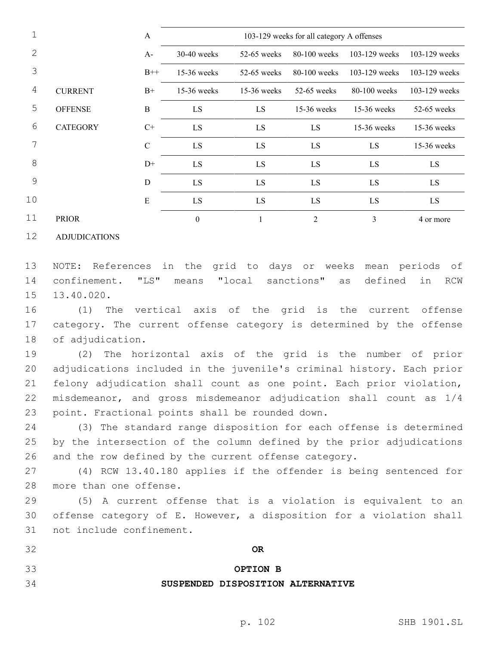|    |                 | A             | 103-129 weeks for all category A offenses |               |                |                 |                 |
|----|-----------------|---------------|-------------------------------------------|---------------|----------------|-----------------|-----------------|
| 2  |                 | $A-$          | $30-40$ weeks                             | $52-65$ weeks | $80-100$ weeks | $103-129$ weeks | $103-129$ weeks |
| 3  |                 | $B++$         | $15-36$ weeks                             | $52-65$ weeks | $80-100$ weeks | $103-129$ weeks | 103-129 weeks   |
| 4  | <b>CURRENT</b>  | $B+$          | 15-36 weeks                               | $15-36$ weeks | 52-65 weeks    | $80-100$ weeks  | 103-129 weeks   |
| 5  | <b>OFFENSE</b>  | $\bf{B}$      | LS                                        | LS            | 15-36 weeks    | $15-36$ weeks   | 52-65 weeks     |
| 6  | <b>CATEGORY</b> | $C+$          | LS                                        | LS            | LS             | $15-36$ weeks   | 15-36 weeks     |
|    |                 | $\mathcal{C}$ | LS                                        | LS            | LS             | LS              | 15-36 weeks     |
| 8  |                 | $D+$          | LS                                        | LS            | LS             | LS.             | LS              |
| 9  |                 | $\mathbf D$   | LS                                        | LS            | LS             | LS              | LS              |
| 10 |                 | E             | LS                                        | LS            | LS.            | LS.             | LS              |
| 11 | <b>PRIOR</b>    |               | $\theta$                                  |               | $\overline{c}$ | 3               | 4 or more       |

ADJUDICATIONS

 NOTE: References in the grid to days or weeks mean periods of confinement. "LS" means "local sanctions" as defined in RCW 15 13.40.020.

 (1) The vertical axis of the grid is the current offense category. The current offense category is determined by the offense 18 of adjudication.

 (2) The horizontal axis of the grid is the number of prior adjudications included in the juvenile's criminal history. Each prior felony adjudication shall count as one point. Each prior violation, misdemeanor, and gross misdemeanor adjudication shall count as 1/4 23 point. Fractional points shall be rounded down.

 (3) The standard range disposition for each offense is determined by the intersection of the column defined by the prior adjudications and the row defined by the current offense category.

 (4) RCW 13.40.180 applies if the offender is being sentenced for 28 more than one offense.

 (5) A current offense that is a violation is equivalent to an offense category of E. However, a disposition for a violation shall 31 not include confinement.

## **OPTION B**

### **SUSPENDED DISPOSITION ALTERNATIVE**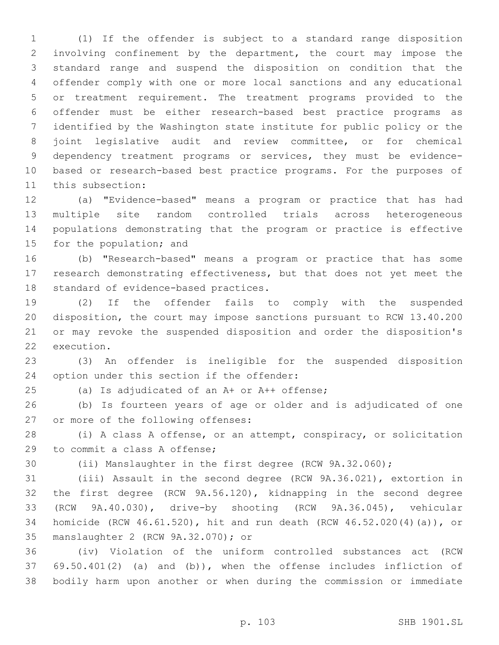(1) If the offender is subject to a standard range disposition involving confinement by the department, the court may impose the standard range and suspend the disposition on condition that the offender comply with one or more local sanctions and any educational or treatment requirement. The treatment programs provided to the offender must be either research-based best practice programs as identified by the Washington state institute for public policy or the joint legislative audit and review committee, or for chemical dependency treatment programs or services, they must be evidence- based or research-based best practice programs. For the purposes of 11 this subsection:

 (a) "Evidence-based" means a program or practice that has had multiple site random controlled trials across heterogeneous populations demonstrating that the program or practice is effective 15 for the population; and

 (b) "Research-based" means a program or practice that has some research demonstrating effectiveness, but that does not yet meet the 18 standard of evidence-based practices.

 (2) If the offender fails to comply with the suspended disposition, the court may impose sanctions pursuant to RCW 13.40.200 or may revoke the suspended disposition and order the disposition's 22 execution.

 (3) An offender is ineligible for the suspended disposition 24 option under this section if the offender:

(a) Is adjudicated of an A+ or A++ offense;

 (b) Is fourteen years of age or older and is adjudicated of one 27 or more of the following offenses:

 (i) A class A offense, or an attempt, conspiracy, or solicitation 29 to commit a class A offense:

(ii) Manslaughter in the first degree (RCW 9A.32.060);

 (iii) Assault in the second degree (RCW 9A.36.021), extortion in the first degree (RCW 9A.56.120), kidnapping in the second degree (RCW 9A.40.030), drive-by shooting (RCW 9A.36.045), vehicular homicide (RCW 46.61.520), hit and run death (RCW 46.52.020(4)(a)), or 35 manslaughter 2 (RCW 9A.32.070); or

 (iv) Violation of the uniform controlled substances act (RCW 69.50.401(2) (a) and (b)), when the offense includes infliction of bodily harm upon another or when during the commission or immediate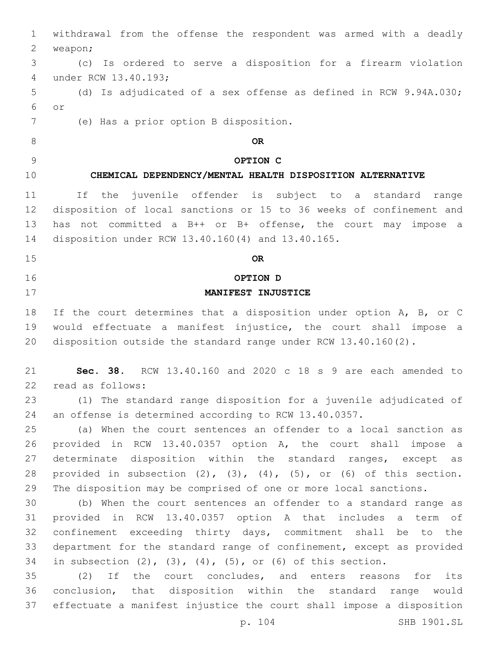| $\mathbf 1$ | withdrawal from the offense the respondent was armed with a deadly               |
|-------------|----------------------------------------------------------------------------------|
| 2           | weapon;                                                                          |
| 3           | (c) Is ordered to serve a disposition for a firearm violation                    |
| 4           | under RCW 13.40.193;                                                             |
| 5           | (d) Is adjudicated of a sex offense as defined in RCW 9.94A.030;                 |
| 6           | $\circ$ r                                                                        |
| 7           | (e) Has a prior option B disposition.                                            |
| 8           | <b>OR</b>                                                                        |
| 9           | OPTION C                                                                         |
| 10          | CHEMICAL DEPENDENCY/MENTAL HEALTH DISPOSITION ALTERNATIVE                        |
| 11          | juvenile offender is subject to a standard<br>If the<br>range                    |
| 12          | disposition of local sanctions or 15 to 36 weeks of confinement and              |
| 13          | has not committed a B++ or B+ offense, the court may impose a                    |
| 14          | disposition under RCW 13.40.160(4) and 13.40.165.                                |
| 15          | <b>OR</b>                                                                        |
| 16          | OPTION D                                                                         |
| 17          | MANIFEST INJUSTICE                                                               |
| 18          | If the court determines that a disposition under option A, B, or C               |
| 19          | would effectuate a manifest injustice, the court shall impose a                  |
| 20          | disposition outside the standard range under RCW $13.40.160(2)$ .                |
| 21          | Sec. 38. RCW $13.40.160$ and $2020$ c 18 s 9 are each amended to                 |
| 22          | read as follows:                                                                 |
| 23          | (1) The standard range disposition for a juvenile adjudicated of                 |
| 24          | an offense is determined according to RCW 13.40.0357.                            |
| 25          | (a) When the court sentences an offender to a local sanction as                  |
| 26          | provided in RCW 13.40.0357 option A, the court shall impose a                    |
| 27          | determinate disposition within the standard ranges, except as                    |
| 28          | provided in subsection $(2)$ , $(3)$ , $(4)$ , $(5)$ , or $(6)$ of this section. |
| 29          | The disposition may be comprised of one or more local sanctions.                 |
| 30          | (b) When the court sentences an offender to a standard range as                  |
| 31          | provided in RCW 13.40.0357 option A that includes a term of                      |
| 32          | confinement exceeding thirty days, commitment shall be to the                    |
| 33          | department for the standard range of confinement, except as provided             |
| 34          | in subsection $(2)$ , $(3)$ , $(4)$ , $(5)$ , or $(6)$ of this section.          |
| 35          | If the court concludes, and enters reasons<br>(2)<br>for<br>its                  |
| 36          | conclusion, that disposition within the standard range<br>would                  |
| 37          | effectuate a manifest injustice the court shall impose a disposition             |
|             | p. 104<br>SHB 1901.SL                                                            |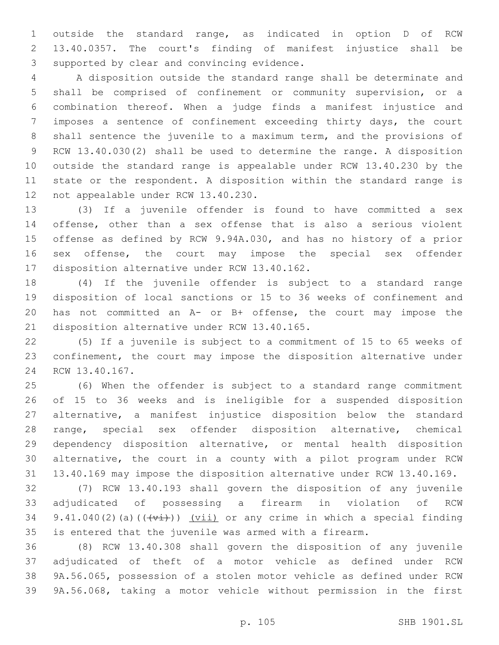outside the standard range, as indicated in option D of RCW 13.40.0357. The court's finding of manifest injustice shall be 3 supported by clear and convincing evidence.

 A disposition outside the standard range shall be determinate and shall be comprised of confinement or community supervision, or a combination thereof. When a judge finds a manifest injustice and imposes a sentence of confinement exceeding thirty days, the court shall sentence the juvenile to a maximum term, and the provisions of RCW 13.40.030(2) shall be used to determine the range. A disposition outside the standard range is appealable under RCW 13.40.230 by the state or the respondent. A disposition within the standard range is 12 not appealable under RCW 13.40.230.

 (3) If a juvenile offender is found to have committed a sex offense, other than a sex offense that is also a serious violent offense as defined by RCW 9.94A.030, and has no history of a prior sex offense, the court may impose the special sex offender 17 disposition alternative under RCW 13.40.162.

 (4) If the juvenile offender is subject to a standard range disposition of local sanctions or 15 to 36 weeks of confinement and has not committed an A- or B+ offense, the court may impose the 21 disposition alternative under RCW 13.40.165.

 (5) If a juvenile is subject to a commitment of 15 to 65 weeks of confinement, the court may impose the disposition alternative under 24 RCW 13.40.167.

 (6) When the offender is subject to a standard range commitment of 15 to 36 weeks and is ineligible for a suspended disposition alternative, a manifest injustice disposition below the standard range, special sex offender disposition alternative, chemical dependency disposition alternative, or mental health disposition alternative, the court in a county with a pilot program under RCW 13.40.169 may impose the disposition alternative under RCW 13.40.169.

 (7) RCW 13.40.193 shall govern the disposition of any juvenile adjudicated of possessing a firearm in violation of RCW 34 9.41.040(2)(a)( $(\overleftrightarrow{t})$ ) (vii) or any crime in which a special finding is entered that the juvenile was armed with a firearm.

 (8) RCW 13.40.308 shall govern the disposition of any juvenile adjudicated of theft of a motor vehicle as defined under RCW 9A.56.065, possession of a stolen motor vehicle as defined under RCW 9A.56.068, taking a motor vehicle without permission in the first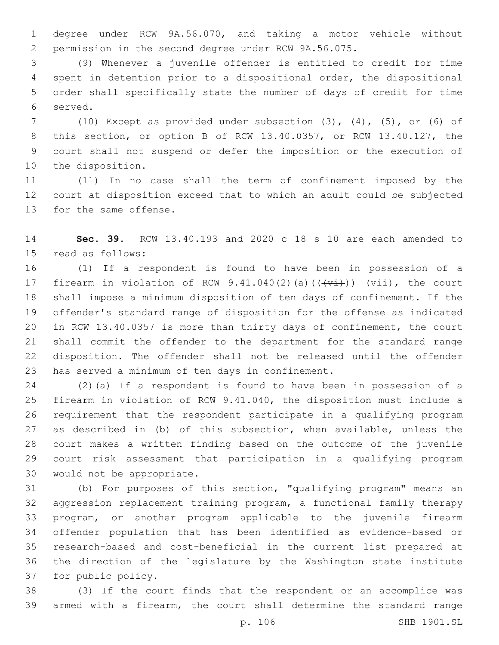degree under RCW 9A.56.070, and taking a motor vehicle without permission in the second degree under RCW 9A.56.075.

 (9) Whenever a juvenile offender is entitled to credit for time spent in detention prior to a dispositional order, the dispositional order shall specifically state the number of days of credit for time 6 served.

 (10) Except as provided under subsection (3), (4), (5), or (6) of this section, or option B of RCW 13.40.0357, or RCW 13.40.127, the court shall not suspend or defer the imposition or the execution of 10 the disposition.

 (11) In no case shall the term of confinement imposed by the court at disposition exceed that to which an adult could be subjected 13 for the same offense.

 **Sec. 39.** RCW 13.40.193 and 2020 c 18 s 10 are each amended to 15 read as follows:

 (1) If a respondent is found to have been in possession of a 17 firearm in violation of RCW  $9.41.040(2)$  (a)  $((+\overrightarrow{v_i})$ ) (vii), the court shall impose a minimum disposition of ten days of confinement. If the offender's standard range of disposition for the offense as indicated in RCW 13.40.0357 is more than thirty days of confinement, the court shall commit the offender to the department for the standard range disposition. The offender shall not be released until the offender 23 has served a minimum of ten days in confinement.

 (2)(a) If a respondent is found to have been in possession of a firearm in violation of RCW 9.41.040, the disposition must include a requirement that the respondent participate in a qualifying program as described in (b) of this subsection, when available, unless the court makes a written finding based on the outcome of the juvenile court risk assessment that participation in a qualifying program 30 would not be appropriate.

 (b) For purposes of this section, "qualifying program" means an aggression replacement training program, a functional family therapy program, or another program applicable to the juvenile firearm offender population that has been identified as evidence-based or research-based and cost-beneficial in the current list prepared at the direction of the legislature by the Washington state institute 37 for public policy.

 (3) If the court finds that the respondent or an accomplice was armed with a firearm, the court shall determine the standard range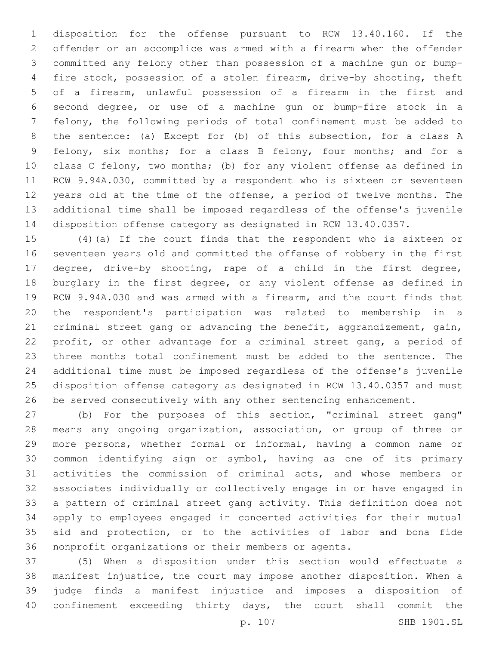disposition for the offense pursuant to RCW 13.40.160. If the offender or an accomplice was armed with a firearm when the offender committed any felony other than possession of a machine gun or bump- fire stock, possession of a stolen firearm, drive-by shooting, theft of a firearm, unlawful possession of a firearm in the first and second degree, or use of a machine gun or bump-fire stock in a felony, the following periods of total confinement must be added to the sentence: (a) Except for (b) of this subsection, for a class A felony, six months; for a class B felony, four months; and for a class C felony, two months; (b) for any violent offense as defined in RCW 9.94A.030, committed by a respondent who is sixteen or seventeen years old at the time of the offense, a period of twelve months. The additional time shall be imposed regardless of the offense's juvenile disposition offense category as designated in RCW 13.40.0357.

 (4)(a) If the court finds that the respondent who is sixteen or seventeen years old and committed the offense of robbery in the first degree, drive-by shooting, rape of a child in the first degree, burglary in the first degree, or any violent offense as defined in RCW 9.94A.030 and was armed with a firearm, and the court finds that the respondent's participation was related to membership in a criminal street gang or advancing the benefit, aggrandizement, gain, profit, or other advantage for a criminal street gang, a period of three months total confinement must be added to the sentence. The additional time must be imposed regardless of the offense's juvenile disposition offense category as designated in RCW 13.40.0357 and must be served consecutively with any other sentencing enhancement.

 (b) For the purposes of this section, "criminal street gang" means any ongoing organization, association, or group of three or more persons, whether formal or informal, having a common name or common identifying sign or symbol, having as one of its primary activities the commission of criminal acts, and whose members or associates individually or collectively engage in or have engaged in a pattern of criminal street gang activity. This definition does not apply to employees engaged in concerted activities for their mutual aid and protection, or to the activities of labor and bona fide nonprofit organizations or their members or agents.

 (5) When a disposition under this section would effectuate a manifest injustice, the court may impose another disposition. When a judge finds a manifest injustice and imposes a disposition of confinement exceeding thirty days, the court shall commit the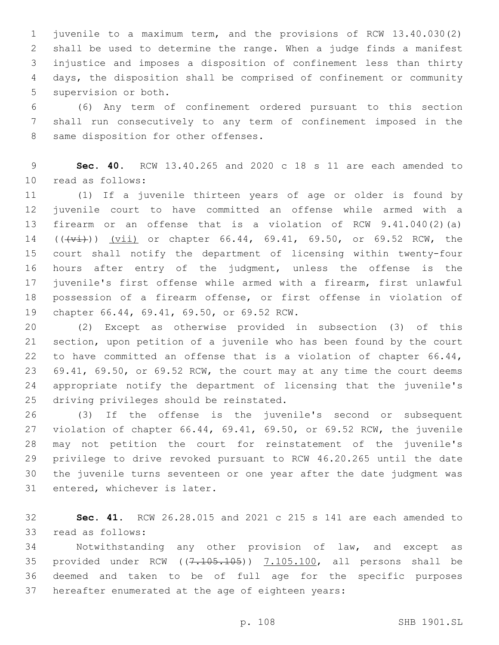juvenile to a maximum term, and the provisions of RCW 13.40.030(2) shall be used to determine the range. When a judge finds a manifest injustice and imposes a disposition of confinement less than thirty days, the disposition shall be comprised of confinement or community 5 supervision or both.

 (6) Any term of confinement ordered pursuant to this section shall run consecutively to any term of confinement imposed in the 8 same disposition for other offenses.

 **Sec. 40.** RCW 13.40.265 and 2020 c 18 s 11 are each amended to 10 read as follows:

 (1) If a juvenile thirteen years of age or older is found by juvenile court to have committed an offense while armed with a firearm or an offense that is a violation of RCW 9.41.040(2)(a) 14 (((vi)) (vii) or chapter 66.44, 69.41, 69.50, or 69.52 RCW, the court shall notify the department of licensing within twenty-four hours after entry of the judgment, unless the offense is the juvenile's first offense while armed with a firearm, first unlawful possession of a firearm offense, or first offense in violation of 19 chapter 66.44, 69.41, 69.50, or 69.52 RCW.

 (2) Except as otherwise provided in subsection (3) of this section, upon petition of a juvenile who has been found by the court to have committed an offense that is a violation of chapter 66.44, 69.41, 69.50, or 69.52 RCW, the court may at any time the court deems appropriate notify the department of licensing that the juvenile's 25 driving privileges should be reinstated.

 (3) If the offense is the juvenile's second or subsequent violation of chapter 66.44, 69.41, 69.50, or 69.52 RCW, the juvenile may not petition the court for reinstatement of the juvenile's privilege to drive revoked pursuant to RCW 46.20.265 until the date the juvenile turns seventeen or one year after the date judgment was 31 entered, whichever is later.

 **Sec. 41.** RCW 26.28.015 and 2021 c 215 s 141 are each amended to 33 read as follows:

 Notwithstanding any other provision of law, and except as 35 provided under RCW  $((7.105.105))$   $(7.105.100)$ , all persons shall be deemed and taken to be of full age for the specific purposes hereafter enumerated at the age of eighteen years: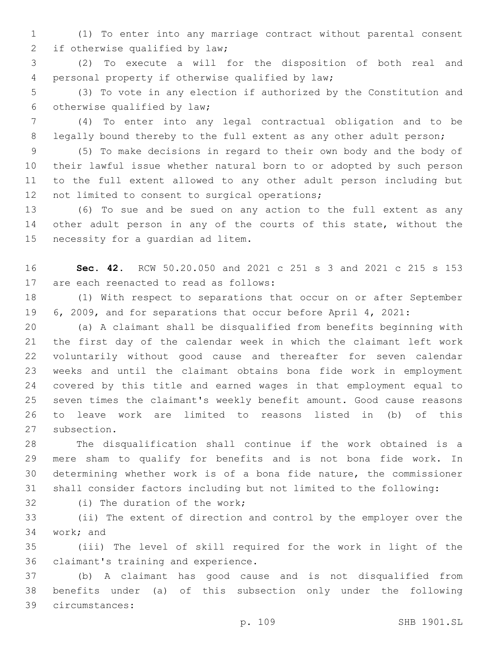(1) To enter into any marriage contract without parental consent 2 if otherwise qualified by law;

 (2) To execute a will for the disposition of both real and personal property if otherwise qualified by law;4

 (3) To vote in any election if authorized by the Constitution and 6 otherwise qualified by law;

 (4) To enter into any legal contractual obligation and to be 8 legally bound thereby to the full extent as any other adult person;

 (5) To make decisions in regard to their own body and the body of their lawful issue whether natural born to or adopted by such person to the full extent allowed to any other adult person including but 12 not limited to consent to surgical operations;

 (6) To sue and be sued on any action to the full extent as any 14 other adult person in any of the courts of this state, without the 15 necessity for a quardian ad litem.

 **Sec. 42.** RCW 50.20.050 and 2021 c 251 s 3 and 2021 c 215 s 153 17 are each reenacted to read as follows:

 (1) With respect to separations that occur on or after September 6, 2009, and for separations that occur before April 4, 2021:

 (a) A claimant shall be disqualified from benefits beginning with the first day of the calendar week in which the claimant left work voluntarily without good cause and thereafter for seven calendar weeks and until the claimant obtains bona fide work in employment covered by this title and earned wages in that employment equal to seven times the claimant's weekly benefit amount. Good cause reasons to leave work are limited to reasons listed in (b) of this 27 subsection.

 The disqualification shall continue if the work obtained is a mere sham to qualify for benefits and is not bona fide work. In determining whether work is of a bona fide nature, the commissioner shall consider factors including but not limited to the following:

32 (i) The duration of the work;

 (ii) The extent of direction and control by the employer over the 34 work; and

 (iii) The level of skill required for the work in light of the 36 claimant's training and experience.

 (b) A claimant has good cause and is not disqualified from benefits under (a) of this subsection only under the following circumstances:39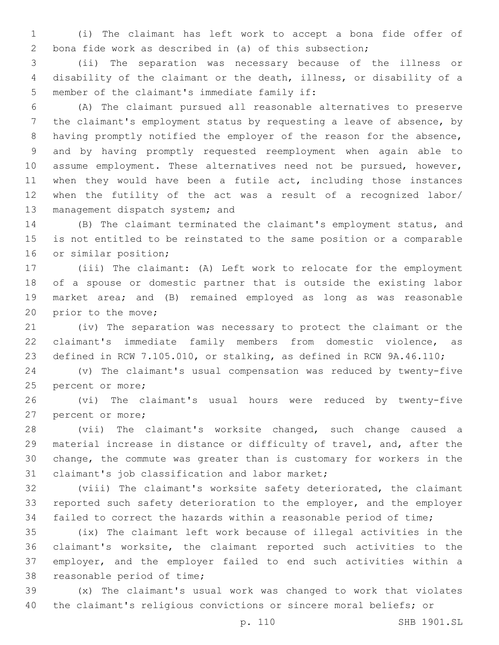(i) The claimant has left work to accept a bona fide offer of bona fide work as described in (a) of this subsection;

 (ii) The separation was necessary because of the illness or disability of the claimant or the death, illness, or disability of a 5 member of the claimant's immediate family if:

 (A) The claimant pursued all reasonable alternatives to preserve the claimant's employment status by requesting a leave of absence, by having promptly notified the employer of the reason for the absence, and by having promptly requested reemployment when again able to 10 assume employment. These alternatives need not be pursued, however, when they would have been a futile act, including those instances when the futility of the act was a result of a recognized labor/ 13 management dispatch system; and

 (B) The claimant terminated the claimant's employment status, and is not entitled to be reinstated to the same position or a comparable 16 or similar position;

 (iii) The claimant: (A) Left work to relocate for the employment of a spouse or domestic partner that is outside the existing labor market area; and (B) remained employed as long as was reasonable 20 prior to the move;

 (iv) The separation was necessary to protect the claimant or the claimant's immediate family members from domestic violence, as defined in RCW 7.105.010, or stalking, as defined in RCW 9A.46.110;

 (v) The claimant's usual compensation was reduced by twenty-five 25 percent or more;

 (vi) The claimant's usual hours were reduced by twenty-five 27 percent or more;

 (vii) The claimant's worksite changed, such change caused a material increase in distance or difficulty of travel, and, after the change, the commute was greater than is customary for workers in the 31 claimant's job classification and labor market;

 (viii) The claimant's worksite safety deteriorated, the claimant reported such safety deterioration to the employer, and the employer failed to correct the hazards within a reasonable period of time;

 (ix) The claimant left work because of illegal activities in the claimant's worksite, the claimant reported such activities to the employer, and the employer failed to end such activities within a 38 reasonable period of time;

 (x) The claimant's usual work was changed to work that violates the claimant's religious convictions or sincere moral beliefs; or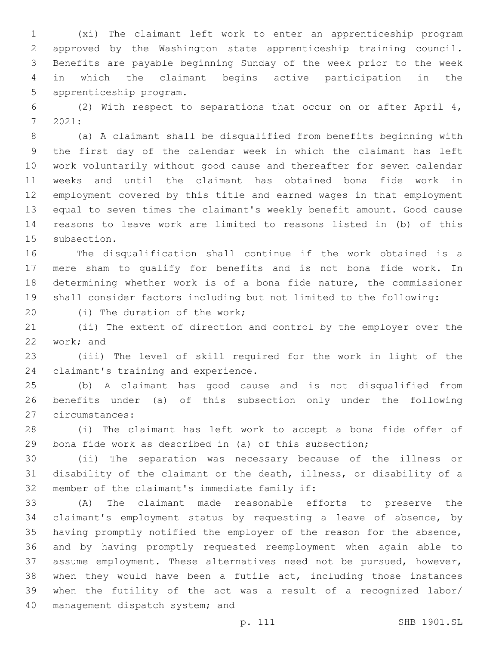(xi) The claimant left work to enter an apprenticeship program approved by the Washington state apprenticeship training council. Benefits are payable beginning Sunday of the week prior to the week in which the claimant begins active participation in the 5 apprenticeship program.

 (2) With respect to separations that occur on or after April 4, 7 2021:

 (a) A claimant shall be disqualified from benefits beginning with the first day of the calendar week in which the claimant has left work voluntarily without good cause and thereafter for seven calendar weeks and until the claimant has obtained bona fide work in employment covered by this title and earned wages in that employment equal to seven times the claimant's weekly benefit amount. Good cause reasons to leave work are limited to reasons listed in (b) of this 15 subsection.

 The disqualification shall continue if the work obtained is a mere sham to qualify for benefits and is not bona fide work. In determining whether work is of a bona fide nature, the commissioner shall consider factors including but not limited to the following:

20 (i) The duration of the work;

 (ii) The extent of direction and control by the employer over the 22 work; and

 (iii) The level of skill required for the work in light of the 24 claimant's training and experience.

 (b) A claimant has good cause and is not disqualified from benefits under (a) of this subsection only under the following 27 circumstances:

 (i) The claimant has left work to accept a bona fide offer of bona fide work as described in (a) of this subsection;

 (ii) The separation was necessary because of the illness or disability of the claimant or the death, illness, or disability of a 32 member of the claimant's immediate family if:

 (A) The claimant made reasonable efforts to preserve the claimant's employment status by requesting a leave of absence, by having promptly notified the employer of the reason for the absence, and by having promptly requested reemployment when again able to assume employment. These alternatives need not be pursued, however, when they would have been a futile act, including those instances when the futility of the act was a result of a recognized labor/ 40 management dispatch system; and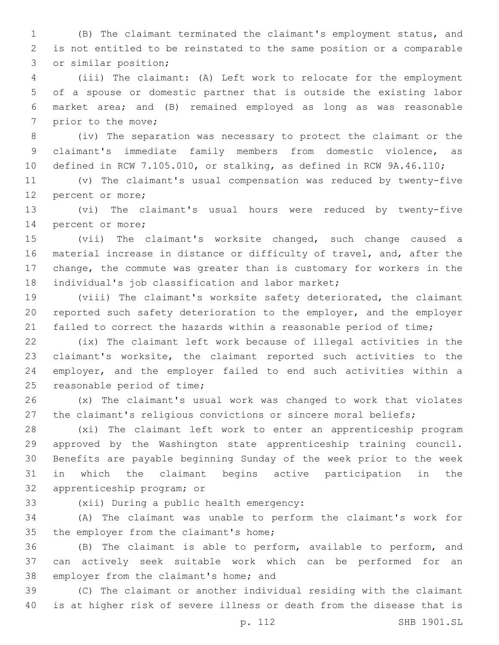(B) The claimant terminated the claimant's employment status, and is not entitled to be reinstated to the same position or a comparable 3 or similar position;

 (iii) The claimant: (A) Left work to relocate for the employment of a spouse or domestic partner that is outside the existing labor market area; and (B) remained employed as long as was reasonable 7 prior to the move;

 (iv) The separation was necessary to protect the claimant or the claimant's immediate family members from domestic violence, as defined in RCW 7.105.010, or stalking, as defined in RCW 9A.46.110;

 (v) The claimant's usual compensation was reduced by twenty-five 12 percent or more;

 (vi) The claimant's usual hours were reduced by twenty-five 14 percent or more;

 (vii) The claimant's worksite changed, such change caused a material increase in distance or difficulty of travel, and, after the change, the commute was greater than is customary for workers in the 18 individual's job classification and labor market;

 (viii) The claimant's worksite safety deteriorated, the claimant reported such safety deterioration to the employer, and the employer 21 failed to correct the hazards within a reasonable period of time;

 (ix) The claimant left work because of illegal activities in the claimant's worksite, the claimant reported such activities to the employer, and the employer failed to end such activities within a 25 reasonable period of time;

 (x) The claimant's usual work was changed to work that violates the claimant's religious convictions or sincere moral beliefs;

 (xi) The claimant left work to enter an apprenticeship program approved by the Washington state apprenticeship training council. Benefits are payable beginning Sunday of the week prior to the week in which the claimant begins active participation in the 32 apprenticeship program; or

33 (xii) During a public health emergency:

 (A) The claimant was unable to perform the claimant's work for 35 the employer from the claimant's home;

 (B) The claimant is able to perform, available to perform, and can actively seek suitable work which can be performed for an 38 employer from the claimant's home; and

 (C) The claimant or another individual residing with the claimant is at higher risk of severe illness or death from the disease that is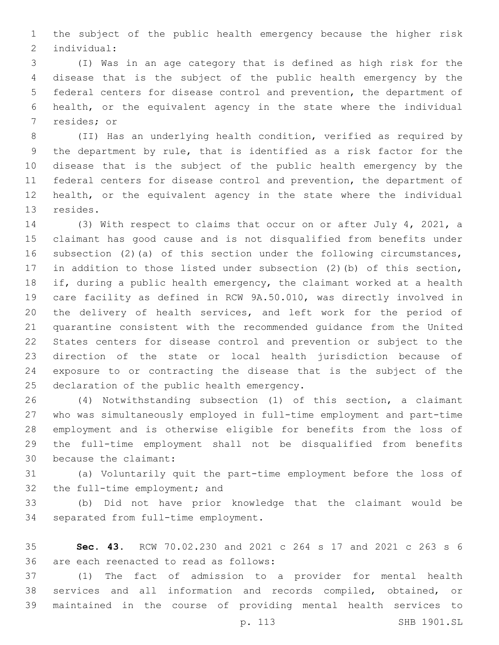the subject of the public health emergency because the higher risk individual:2

 (I) Was in an age category that is defined as high risk for the disease that is the subject of the public health emergency by the federal centers for disease control and prevention, the department of health, or the equivalent agency in the state where the individual 7 resides; or

 (II) Has an underlying health condition, verified as required by the department by rule, that is identified as a risk factor for the disease that is the subject of the public health emergency by the federal centers for disease control and prevention, the department of health, or the equivalent agency in the state where the individual 13 resides.

 (3) With respect to claims that occur on or after July 4, 2021, a claimant has good cause and is not disqualified from benefits under subsection (2)(a) of this section under the following circumstances, in addition to those listed under subsection (2)(b) of this section, if, during a public health emergency, the claimant worked at a health care facility as defined in RCW 9A.50.010, was directly involved in the delivery of health services, and left work for the period of quarantine consistent with the recommended guidance from the United States centers for disease control and prevention or subject to the direction of the state or local health jurisdiction because of exposure to or contracting the disease that is the subject of the 25 declaration of the public health emergency.

 (4) Notwithstanding subsection (1) of this section, a claimant who was simultaneously employed in full-time employment and part-time employment and is otherwise eligible for benefits from the loss of the full-time employment shall not be disqualified from benefits 30 because the claimant:

 (a) Voluntarily quit the part-time employment before the loss of 32 the full-time employment; and

 (b) Did not have prior knowledge that the claimant would be 34 separated from full-time employment.

 **Sec. 43.** RCW 70.02.230 and 2021 c 264 s 17 and 2021 c 263 s 6 36 are each reenacted to read as follows:

 (1) The fact of admission to a provider for mental health services and all information and records compiled, obtained, or maintained in the course of providing mental health services to

p. 113 SHB 1901.SL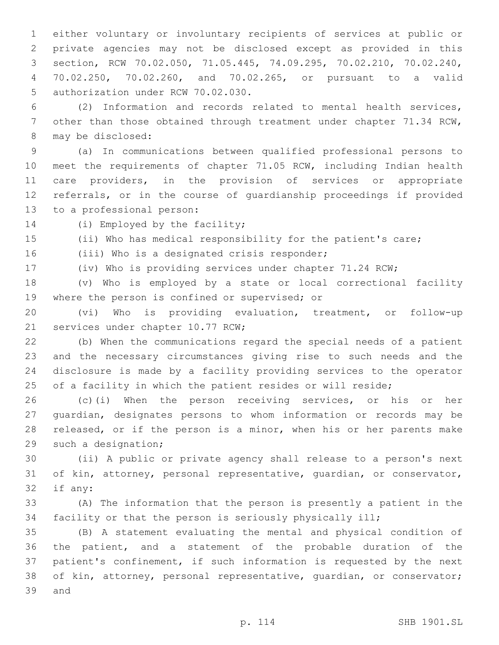either voluntary or involuntary recipients of services at public or private agencies may not be disclosed except as provided in this section, RCW 70.02.050, 71.05.445, 74.09.295, 70.02.210, 70.02.240, 70.02.250, 70.02.260, and 70.02.265, or pursuant to a valid 5 authorization under RCW 70.02.030.

 (2) Information and records related to mental health services, other than those obtained through treatment under chapter 71.34 RCW, 8 may be disclosed:

 (a) In communications between qualified professional persons to meet the requirements of chapter 71.05 RCW, including Indian health care providers, in the provision of services or appropriate referrals, or in the course of guardianship proceedings if provided 13 to a professional person:

14 (i) Employed by the facility;

(ii) Who has medical responsibility for the patient's care;

16 (iii) Who is a designated crisis responder;

(iv) Who is providing services under chapter 71.24 RCW;

 (v) Who is employed by a state or local correctional facility 19 where the person is confined or supervised; or

 (vi) Who is providing evaluation, treatment, or follow-up 21 services under chapter 10.77 RCW;

 (b) When the communications regard the special needs of a patient and the necessary circumstances giving rise to such needs and the disclosure is made by a facility providing services to the operator 25 of a facility in which the patient resides or will reside;

 (c)(i) When the person receiving services, or his or her guardian, designates persons to whom information or records may be released, or if the person is a minor, when his or her parents make 29 such a designation;

 (ii) A public or private agency shall release to a person's next of kin, attorney, personal representative, guardian, or conservator, 32 if any:

 (A) The information that the person is presently a patient in the facility or that the person is seriously physically ill;

 (B) A statement evaluating the mental and physical condition of the patient, and a statement of the probable duration of the patient's confinement, if such information is requested by the next of kin, attorney, personal representative, guardian, or conservator; 39 and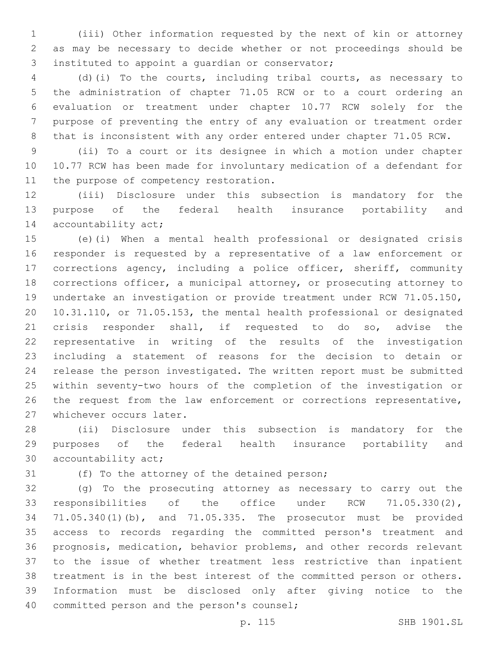(iii) Other information requested by the next of kin or attorney as may be necessary to decide whether or not proceedings should be 3 instituted to appoint a quardian or conservator;

 (d)(i) To the courts, including tribal courts, as necessary to the administration of chapter 71.05 RCW or to a court ordering an evaluation or treatment under chapter 10.77 RCW solely for the purpose of preventing the entry of any evaluation or treatment order that is inconsistent with any order entered under chapter 71.05 RCW.

 (ii) To a court or its designee in which a motion under chapter 10.77 RCW has been made for involuntary medication of a defendant for 11 the purpose of competency restoration.

 (iii) Disclosure under this subsection is mandatory for the purpose of the federal health insurance portability and 14 accountability act;

 (e)(i) When a mental health professional or designated crisis responder is requested by a representative of a law enforcement or corrections agency, including a police officer, sheriff, community corrections officer, a municipal attorney, or prosecuting attorney to undertake an investigation or provide treatment under RCW 71.05.150, 10.31.110, or 71.05.153, the mental health professional or designated crisis responder shall, if requested to do so, advise the representative in writing of the results of the investigation including a statement of reasons for the decision to detain or release the person investigated. The written report must be submitted within seventy-two hours of the completion of the investigation or the request from the law enforcement or corrections representative, 27 whichever occurs later.

 (ii) Disclosure under this subsection is mandatory for the purposes of the federal health insurance portability and 30 accountability act;

31 (f) To the attorney of the detained person;

 (g) To the prosecuting attorney as necessary to carry out the responsibilities of the office under RCW 71.05.330(2), 71.05.340(1)(b), and 71.05.335. The prosecutor must be provided access to records regarding the committed person's treatment and prognosis, medication, behavior problems, and other records relevant to the issue of whether treatment less restrictive than inpatient treatment is in the best interest of the committed person or others. Information must be disclosed only after giving notice to the 40 committed person and the person's counsel;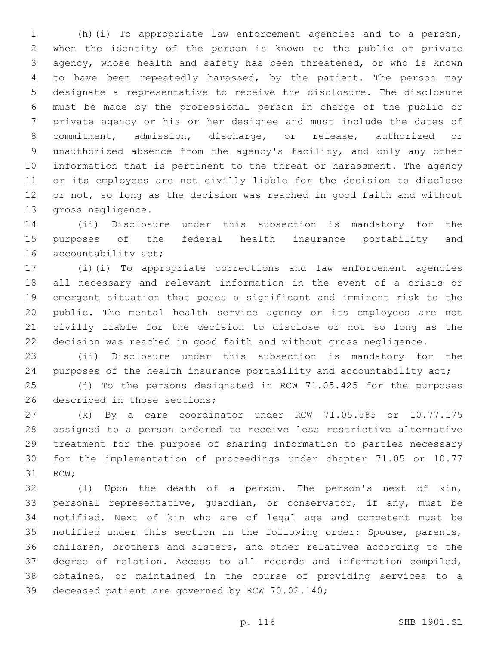(h)(i) To appropriate law enforcement agencies and to a person, when the identity of the person is known to the public or private agency, whose health and safety has been threatened, or who is known to have been repeatedly harassed, by the patient. The person may designate a representative to receive the disclosure. The disclosure must be made by the professional person in charge of the public or private agency or his or her designee and must include the dates of commitment, admission, discharge, or release, authorized or unauthorized absence from the agency's facility, and only any other information that is pertinent to the threat or harassment. The agency or its employees are not civilly liable for the decision to disclose or not, so long as the decision was reached in good faith and without 13 gross negligence.

 (ii) Disclosure under this subsection is mandatory for the purposes of the federal health insurance portability and 16 accountability act;

 (i)(i) To appropriate corrections and law enforcement agencies all necessary and relevant information in the event of a crisis or emergent situation that poses a significant and imminent risk to the public. The mental health service agency or its employees are not civilly liable for the decision to disclose or not so long as the decision was reached in good faith and without gross negligence.

 (ii) Disclosure under this subsection is mandatory for the purposes of the health insurance portability and accountability act;

 (j) To the persons designated in RCW 71.05.425 for the purposes 26 described in those sections;

 (k) By a care coordinator under RCW 71.05.585 or 10.77.175 assigned to a person ordered to receive less restrictive alternative treatment for the purpose of sharing information to parties necessary for the implementation of proceedings under chapter 71.05 or 10.77 31 RCW;

 (l) Upon the death of a person. The person's next of kin, personal representative, guardian, or conservator, if any, must be notified. Next of kin who are of legal age and competent must be notified under this section in the following order: Spouse, parents, children, brothers and sisters, and other relatives according to the degree of relation. Access to all records and information compiled, obtained, or maintained in the course of providing services to a 39 deceased patient are governed by RCW 70.02.140;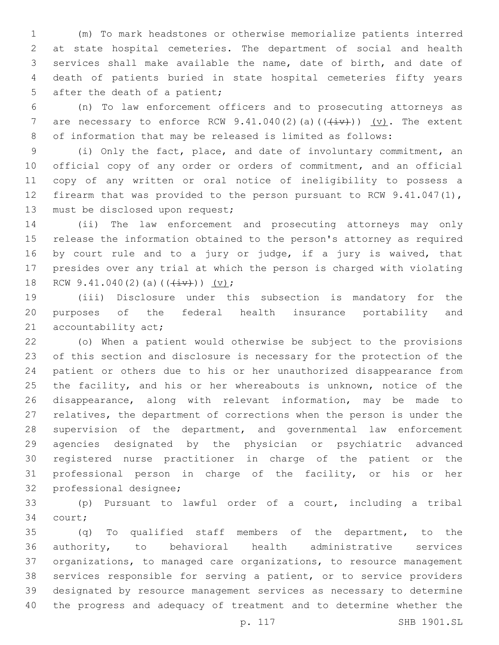(m) To mark headstones or otherwise memorialize patients interred at state hospital cemeteries. The department of social and health services shall make available the name, date of birth, and date of death of patients buried in state hospital cemeteries fifty years 5 after the death of a patient;

 (n) To law enforcement officers and to prosecuting attorneys as 7 are necessary to enforce RCW 9.41.040(2)(a)( $(\overleftrightarrow{iv})$ ) (v). The extent of information that may be released is limited as follows:

 (i) Only the fact, place, and date of involuntary commitment, an official copy of any order or orders of commitment, and an official copy of any written or oral notice of ineligibility to possess a firearm that was provided to the person pursuant to RCW 9.41.047(1), 13 must be disclosed upon request;

 (ii) The law enforcement and prosecuting attorneys may only release the information obtained to the person's attorney as required by court rule and to a jury or judge, if a jury is waived, that presides over any trial at which the person is charged with violating 18 RCW 9.41.040(2)(a)( $(\frac{iv}{})$ ) (v);

 (iii) Disclosure under this subsection is mandatory for the purposes of the federal health insurance portability and 21 accountability act;

 (o) When a patient would otherwise be subject to the provisions of this section and disclosure is necessary for the protection of the patient or others due to his or her unauthorized disappearance from 25 the facility, and his or her whereabouts is unknown, notice of the disappearance, along with relevant information, may be made to relatives, the department of corrections when the person is under the supervision of the department, and governmental law enforcement agencies designated by the physician or psychiatric advanced registered nurse practitioner in charge of the patient or the professional person in charge of the facility, or his or her 32 professional designee;

 (p) Pursuant to lawful order of a court, including a tribal 34 court;

 (q) To qualified staff members of the department, to the authority, to behavioral health administrative services organizations, to managed care organizations, to resource management services responsible for serving a patient, or to service providers designated by resource management services as necessary to determine the progress and adequacy of treatment and to determine whether the

p. 117 SHB 1901.SL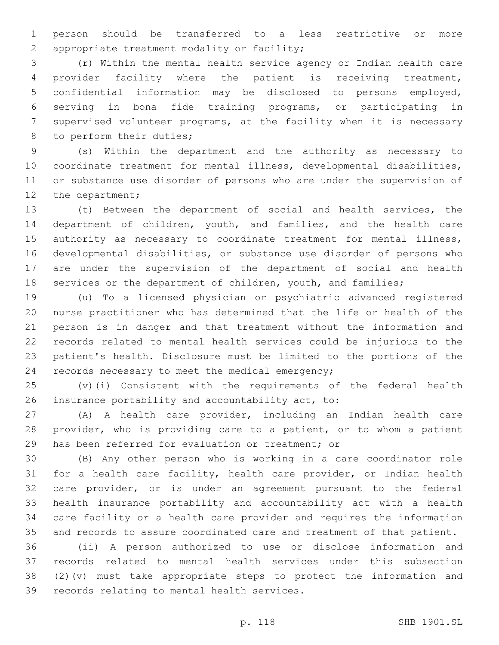person should be transferred to a less restrictive or more 2 appropriate treatment modality or facility;

 (r) Within the mental health service agency or Indian health care provider facility where the patient is receiving treatment, confidential information may be disclosed to persons employed, serving in bona fide training programs, or participating in supervised volunteer programs, at the facility when it is necessary 8 to perform their duties;

 (s) Within the department and the authority as necessary to coordinate treatment for mental illness, developmental disabilities, or substance use disorder of persons who are under the supervision of 12 the department;

 (t) Between the department of social and health services, the department of children, youth, and families, and the health care authority as necessary to coordinate treatment for mental illness, developmental disabilities, or substance use disorder of persons who are under the supervision of the department of social and health 18 services or the department of children, youth, and families;

 (u) To a licensed physician or psychiatric advanced registered nurse practitioner who has determined that the life or health of the person is in danger and that treatment without the information and records related to mental health services could be injurious to the patient's health. Disclosure must be limited to the portions of the 24 records necessary to meet the medical emergency;

 (v)(i) Consistent with the requirements of the federal health 26 insurance portability and accountability act, to:

 (A) A health care provider, including an Indian health care provider, who is providing care to a patient, or to whom a patient 29 has been referred for evaluation or treatment; or

 (B) Any other person who is working in a care coordinator role for a health care facility, health care provider, or Indian health care provider, or is under an agreement pursuant to the federal health insurance portability and accountability act with a health care facility or a health care provider and requires the information and records to assure coordinated care and treatment of that patient.

 (ii) A person authorized to use or disclose information and records related to mental health services under this subsection (2)(v) must take appropriate steps to protect the information and 39 records relating to mental health services.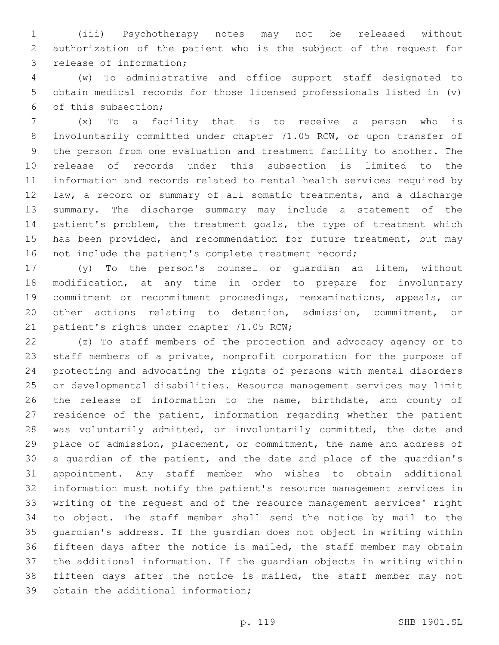(iii) Psychotherapy notes may not be released without authorization of the patient who is the subject of the request for 3 release of information;

 (w) To administrative and office support staff designated to obtain medical records for those licensed professionals listed in (v) of this subsection;6

 (x) To a facility that is to receive a person who is involuntarily committed under chapter 71.05 RCW, or upon transfer of the person from one evaluation and treatment facility to another. The release of records under this subsection is limited to the information and records related to mental health services required by law, a record or summary of all somatic treatments, and a discharge summary. The discharge summary may include a statement of the 14 patient's problem, the treatment goals, the type of treatment which 15 has been provided, and recommendation for future treatment, but may not include the patient's complete treatment record;

 (y) To the person's counsel or guardian ad litem, without modification, at any time in order to prepare for involuntary commitment or recommitment proceedings, reexaminations, appeals, or other actions relating to detention, admission, commitment, or 21 patient's rights under chapter 71.05 RCW;

 (z) To staff members of the protection and advocacy agency or to staff members of a private, nonprofit corporation for the purpose of protecting and advocating the rights of persons with mental disorders or developmental disabilities. Resource management services may limit the release of information to the name, birthdate, and county of residence of the patient, information regarding whether the patient 28 was voluntarily admitted, or involuntarily committed, the date and place of admission, placement, or commitment, the name and address of a guardian of the patient, and the date and place of the guardian's appointment. Any staff member who wishes to obtain additional information must notify the patient's resource management services in writing of the request and of the resource management services' right to object. The staff member shall send the notice by mail to the guardian's address. If the guardian does not object in writing within fifteen days after the notice is mailed, the staff member may obtain the additional information. If the guardian objects in writing within fifteen days after the notice is mailed, the staff member may not 39 obtain the additional information;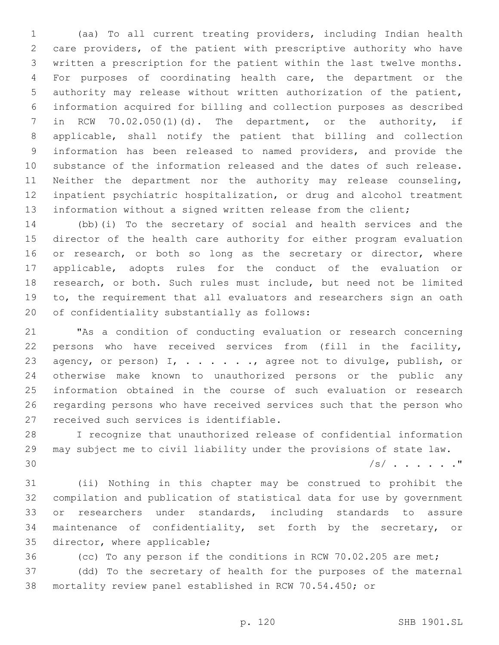(aa) To all current treating providers, including Indian health care providers, of the patient with prescriptive authority who have written a prescription for the patient within the last twelve months. For purposes of coordinating health care, the department or the authority may release without written authorization of the patient, information acquired for billing and collection purposes as described in RCW 70.02.050(1)(d). The department, or the authority, if applicable, shall notify the patient that billing and collection information has been released to named providers, and provide the substance of the information released and the dates of such release. Neither the department nor the authority may release counseling, inpatient psychiatric hospitalization, or drug and alcohol treatment information without a signed written release from the client;

 (bb)(i) To the secretary of social and health services and the director of the health care authority for either program evaluation 16 or research, or both so long as the secretary or director, where applicable, adopts rules for the conduct of the evaluation or research, or both. Such rules must include, but need not be limited to, the requirement that all evaluators and researchers sign an oath 20 of confidentiality substantially as follows:

 "As a condition of conducting evaluation or research concerning persons who have received services from (fill in the facility, 23 agency, or person) I, . . . . . . , agree not to divulge, publish, or otherwise make known to unauthorized persons or the public any information obtained in the course of such evaluation or research regarding persons who have received services such that the person who 27 received such services is identifiable.

 I recognize that unauthorized release of confidential information may subject me to civil liability under the provisions of state law. /s/ . . . . . ."

 (ii) Nothing in this chapter may be construed to prohibit the compilation and publication of statistical data for use by government or researchers under standards, including standards to assure maintenance of confidentiality, set forth by the secretary, or 35 director, where applicable;

 (cc) To any person if the conditions in RCW 70.02.205 are met; (dd) To the secretary of health for the purposes of the maternal mortality review panel established in RCW 70.54.450; or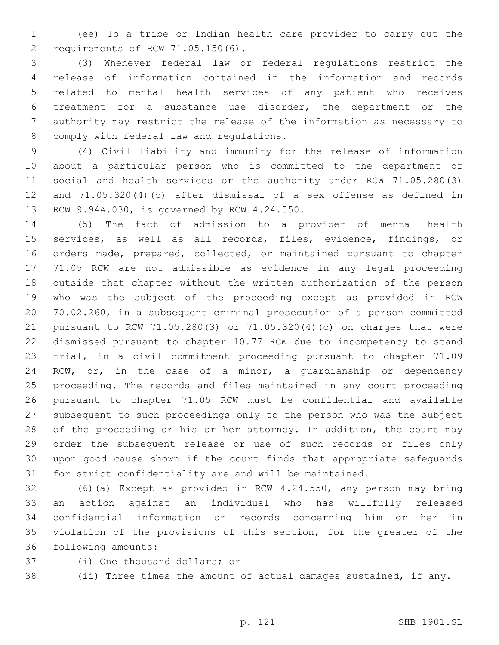(ee) To a tribe or Indian health care provider to carry out the 2 requirements of RCW 71.05.150(6).

 (3) Whenever federal law or federal regulations restrict the release of information contained in the information and records related to mental health services of any patient who receives treatment for a substance use disorder, the department or the authority may restrict the release of the information as necessary to 8 comply with federal law and regulations.

 (4) Civil liability and immunity for the release of information about a particular person who is committed to the department of social and health services or the authority under RCW 71.05.280(3) and 71.05.320(4)(c) after dismissal of a sex offense as defined in 13 RCW 9.94A.030, is governed by RCW 4.24.550.

 (5) The fact of admission to a provider of mental health services, as well as all records, files, evidence, findings, or orders made, prepared, collected, or maintained pursuant to chapter 71.05 RCW are not admissible as evidence in any legal proceeding outside that chapter without the written authorization of the person who was the subject of the proceeding except as provided in RCW 70.02.260, in a subsequent criminal prosecution of a person committed pursuant to RCW 71.05.280(3) or 71.05.320(4)(c) on charges that were dismissed pursuant to chapter 10.77 RCW due to incompetency to stand trial, in a civil commitment proceeding pursuant to chapter 71.09 RCW, or, in the case of a minor, a guardianship or dependency proceeding. The records and files maintained in any court proceeding pursuant to chapter 71.05 RCW must be confidential and available subsequent to such proceedings only to the person who was the subject 28 of the proceeding or his or her attorney. In addition, the court may order the subsequent release or use of such records or files only upon good cause shown if the court finds that appropriate safeguards for strict confidentiality are and will be maintained.

 (6)(a) Except as provided in RCW 4.24.550, any person may bring an action against an individual who has willfully released confidential information or records concerning him or her in violation of the provisions of this section, for the greater of the 36 following amounts:

- 37 (i) One thousand dollars; or
- 
- 

(ii) Three times the amount of actual damages sustained, if any.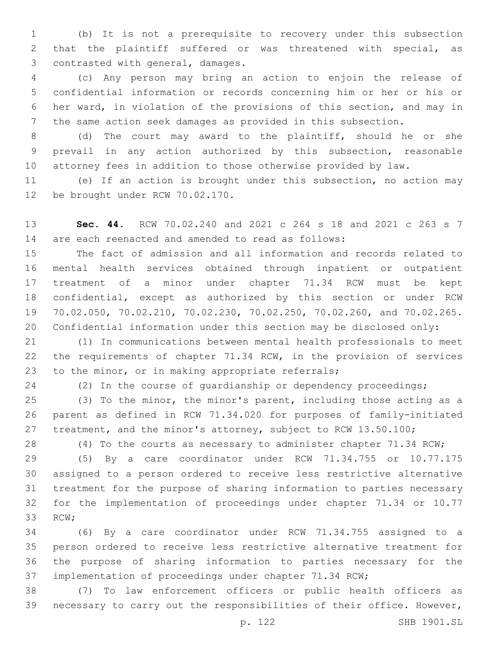(b) It is not a prerequisite to recovery under this subsection that the plaintiff suffered or was threatened with special, as 3 contrasted with general, damages.

 (c) Any person may bring an action to enjoin the release of confidential information or records concerning him or her or his or her ward, in violation of the provisions of this section, and may in the same action seek damages as provided in this subsection.

 (d) The court may award to the plaintiff, should he or she prevail in any action authorized by this subsection, reasonable attorney fees in addition to those otherwise provided by law.

 (e) If an action is brought under this subsection, no action may 12 be brought under RCW 70.02.170.

 **Sec. 44.** RCW 70.02.240 and 2021 c 264 s 18 and 2021 c 263 s 7 are each reenacted and amended to read as follows:

 The fact of admission and all information and records related to mental health services obtained through inpatient or outpatient treatment of a minor under chapter 71.34 RCW must be kept confidential, except as authorized by this section or under RCW 70.02.050, 70.02.210, 70.02.230, 70.02.250, 70.02.260, and 70.02.265. Confidential information under this section may be disclosed only:

 (1) In communications between mental health professionals to meet the requirements of chapter 71.34 RCW, in the provision of services 23 to the minor, or in making appropriate referrals;

(2) In the course of guardianship or dependency proceedings;

 (3) To the minor, the minor's parent, including those acting as a parent as defined in RCW 71.34.020 for purposes of family-initiated treatment, and the minor's attorney, subject to RCW 13.50.100;

(4) To the courts as necessary to administer chapter 71.34 RCW;

 (5) By a care coordinator under RCW 71.34.755 or 10.77.175 assigned to a person ordered to receive less restrictive alternative treatment for the purpose of sharing information to parties necessary for the implementation of proceedings under chapter 71.34 or 10.77 33 RCW:

 (6) By a care coordinator under RCW 71.34.755 assigned to a person ordered to receive less restrictive alternative treatment for the purpose of sharing information to parties necessary for the implementation of proceedings under chapter 71.34 RCW;

 (7) To law enforcement officers or public health officers as necessary to carry out the responsibilities of their office. However,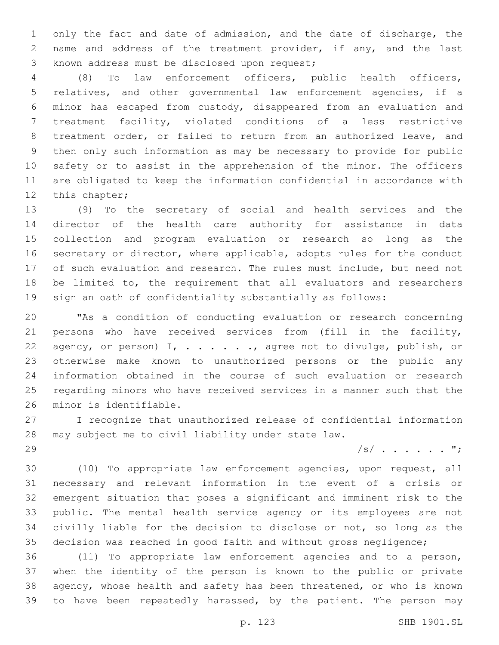only the fact and date of admission, and the date of discharge, the name and address of the treatment provider, if any, and the last 3 known address must be disclosed upon request;

 (8) To law enforcement officers, public health officers, relatives, and other governmental law enforcement agencies, if a minor has escaped from custody, disappeared from an evaluation and treatment facility, violated conditions of a less restrictive treatment order, or failed to return from an authorized leave, and then only such information as may be necessary to provide for public safety or to assist in the apprehension of the minor. The officers are obligated to keep the information confidential in accordance with 12 this chapter;

 (9) To the secretary of social and health services and the director of the health care authority for assistance in data collection and program evaluation or research so long as the secretary or director, where applicable, adopts rules for the conduct of such evaluation and research. The rules must include, but need not be limited to, the requirement that all evaluators and researchers sign an oath of confidentiality substantially as follows:

 "As a condition of conducting evaluation or research concerning persons who have received services from (fill in the facility, 22 agency, or person) I, . . . . . . , agree not to divulge, publish, or otherwise make known to unauthorized persons or the public any information obtained in the course of such evaluation or research regarding minors who have received services in a manner such that the 26 minor is identifiable.

 I recognize that unauthorized release of confidential information may subject me to civil liability under state law.

/s/ . . . . . . ";

 (10) To appropriate law enforcement agencies, upon request, all necessary and relevant information in the event of a crisis or emergent situation that poses a significant and imminent risk to the public. The mental health service agency or its employees are not civilly liable for the decision to disclose or not, so long as the decision was reached in good faith and without gross negligence;

 (11) To appropriate law enforcement agencies and to a person, when the identity of the person is known to the public or private agency, whose health and safety has been threatened, or who is known 39 to have been repeatedly harassed, by the patient. The person may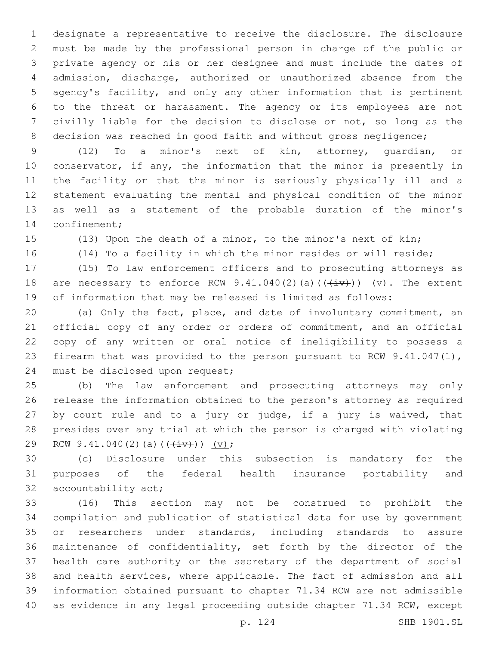designate a representative to receive the disclosure. The disclosure must be made by the professional person in charge of the public or private agency or his or her designee and must include the dates of admission, discharge, authorized or unauthorized absence from the agency's facility, and only any other information that is pertinent to the threat or harassment. The agency or its employees are not civilly liable for the decision to disclose or not, so long as the 8 decision was reached in good faith and without gross negligence;

 (12) To a minor's next of kin, attorney, guardian, or conservator, if any, the information that the minor is presently in the facility or that the minor is seriously physically ill and a statement evaluating the mental and physical condition of the minor as well as a statement of the probable duration of the minor's 14 confinement;

(13) Upon the death of a minor, to the minor's next of kin;

(14) To a facility in which the minor resides or will reside;

 (15) To law enforcement officers and to prosecuting attorneys as 18 are necessary to enforce RCW  $9.41.040(2)(a)((\overrightarrow{iv}))$  (v). The extent of information that may be released is limited as follows:

 (a) Only the fact, place, and date of involuntary commitment, an official copy of any order or orders of commitment, and an official copy of any written or oral notice of ineligibility to possess a firearm that was provided to the person pursuant to RCW 9.41.047(1), 24 must be disclosed upon request;

 (b) The law enforcement and prosecuting attorneys may only release the information obtained to the person's attorney as required by court rule and to a jury or judge, if a jury is waived, that presides over any trial at which the person is charged with violating 29 RCW 9.41.040(2)(a)( $(\frac{iv}{y})$ ) (v);

 (c) Disclosure under this subsection is mandatory for the purposes of the federal health insurance portability and 32 accountability act;

 (16) This section may not be construed to prohibit the compilation and publication of statistical data for use by government or researchers under standards, including standards to assure maintenance of confidentiality, set forth by the director of the health care authority or the secretary of the department of social and health services, where applicable. The fact of admission and all information obtained pursuant to chapter 71.34 RCW are not admissible as evidence in any legal proceeding outside chapter 71.34 RCW, except

p. 124 SHB 1901.SL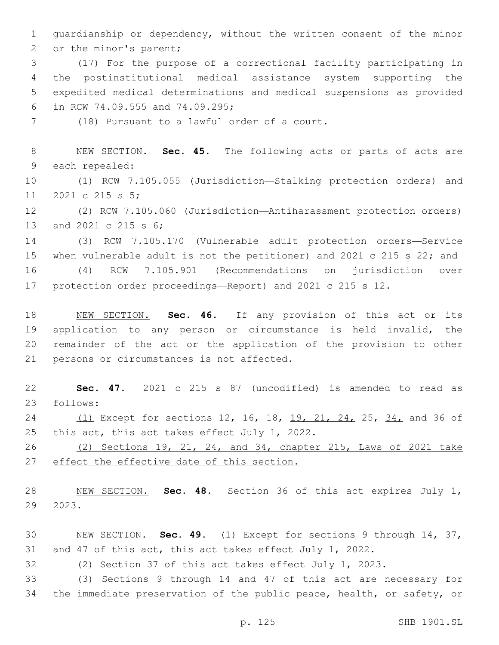guardianship or dependency, without the written consent of the minor 2 or the minor's parent;

 (17) For the purpose of a correctional facility participating in the postinstitutional medical assistance system supporting the expedited medical determinations and medical suspensions as provided 6 in RCW 74.09.555 and 74.09.295;

7 (18) Pursuant to a lawful order of a court.

 NEW SECTION. **Sec. 45.** The following acts or parts of acts are each repealed:

 (1) RCW 7.105.055 (Jurisdiction—Stalking protection orders) and 11 2021 c 215 s 5;

 (2) RCW 7.105.060 (Jurisdiction—Antiharassment protection orders) 13 and 2021 c 215 s 6;

 (3) RCW 7.105.170 (Vulnerable adult protection orders—Service when vulnerable adult is not the petitioner) and 2021 c 215 s 22; and

 (4) RCW 7.105.901 (Recommendations on jurisdiction over protection order proceedings—Report) and 2021 c 215 s 12.

 NEW SECTION. **Sec. 46.** If any provision of this act or its application to any person or circumstance is held invalid, the remainder of the act or the application of the provision to other persons or circumstances is not affected.

 **Sec. 47.** 2021 c 215 s 87 (uncodified) is amended to read as 23 follows:

24 (1) Except for sections 12, 16, 18, 19, 21, 24, 25, 34, and 36 of 25 this act, this act takes effect July 1, 2022.

 (2) Sections 19, 21, 24, and 34, chapter 215, Laws of 2021 take effect the effective date of this section.

 NEW SECTION. **Sec. 48.** Section 36 of this act expires July 1, 2023.

 NEW SECTION. **Sec. 49.** (1) Except for sections 9 through 14, 37, and 47 of this act, this act takes effect July 1, 2022.

(2) Section 37 of this act takes effect July 1, 2023.

 (3) Sections 9 through 14 and 47 of this act are necessary for the immediate preservation of the public peace, health, or safety, or